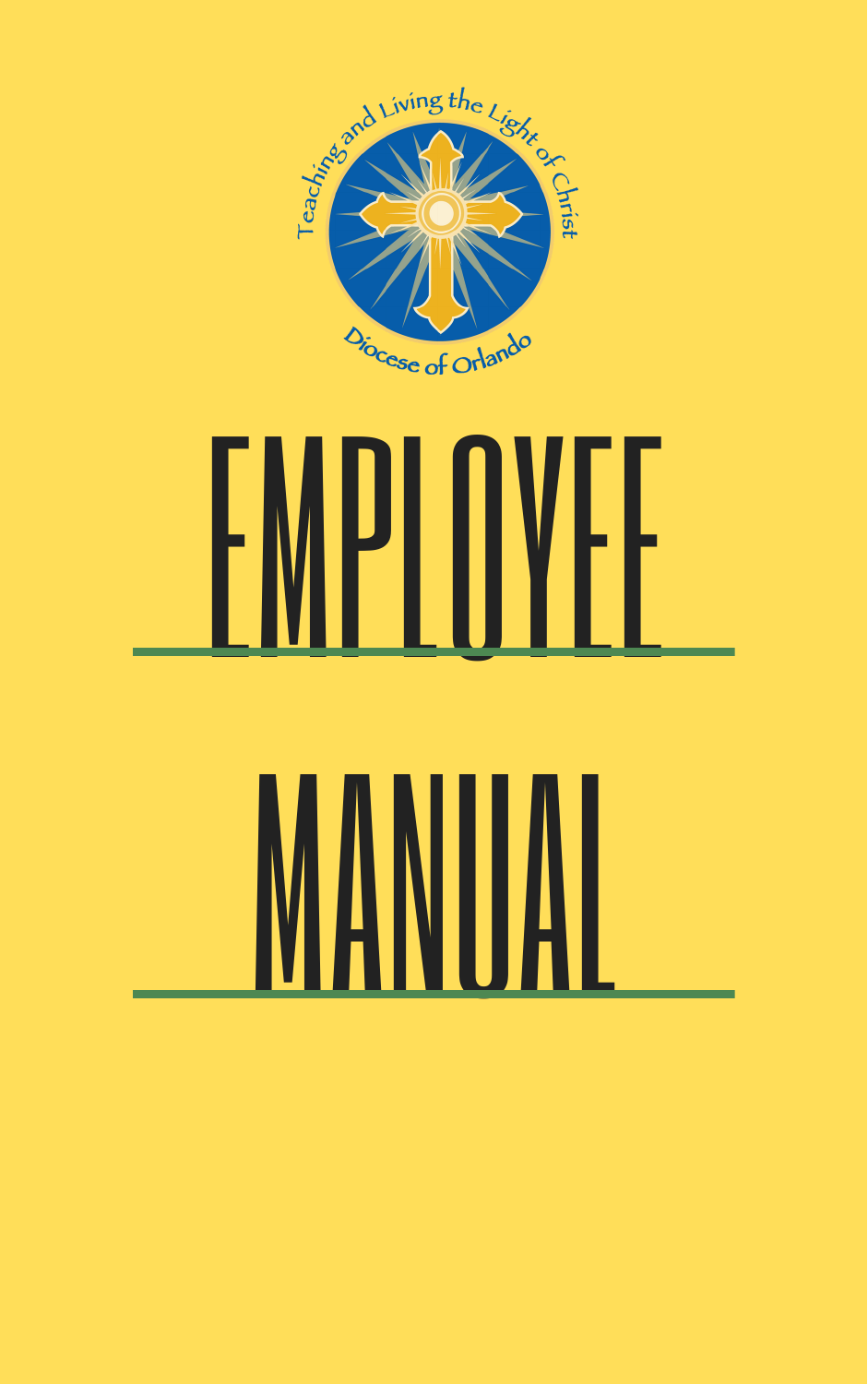



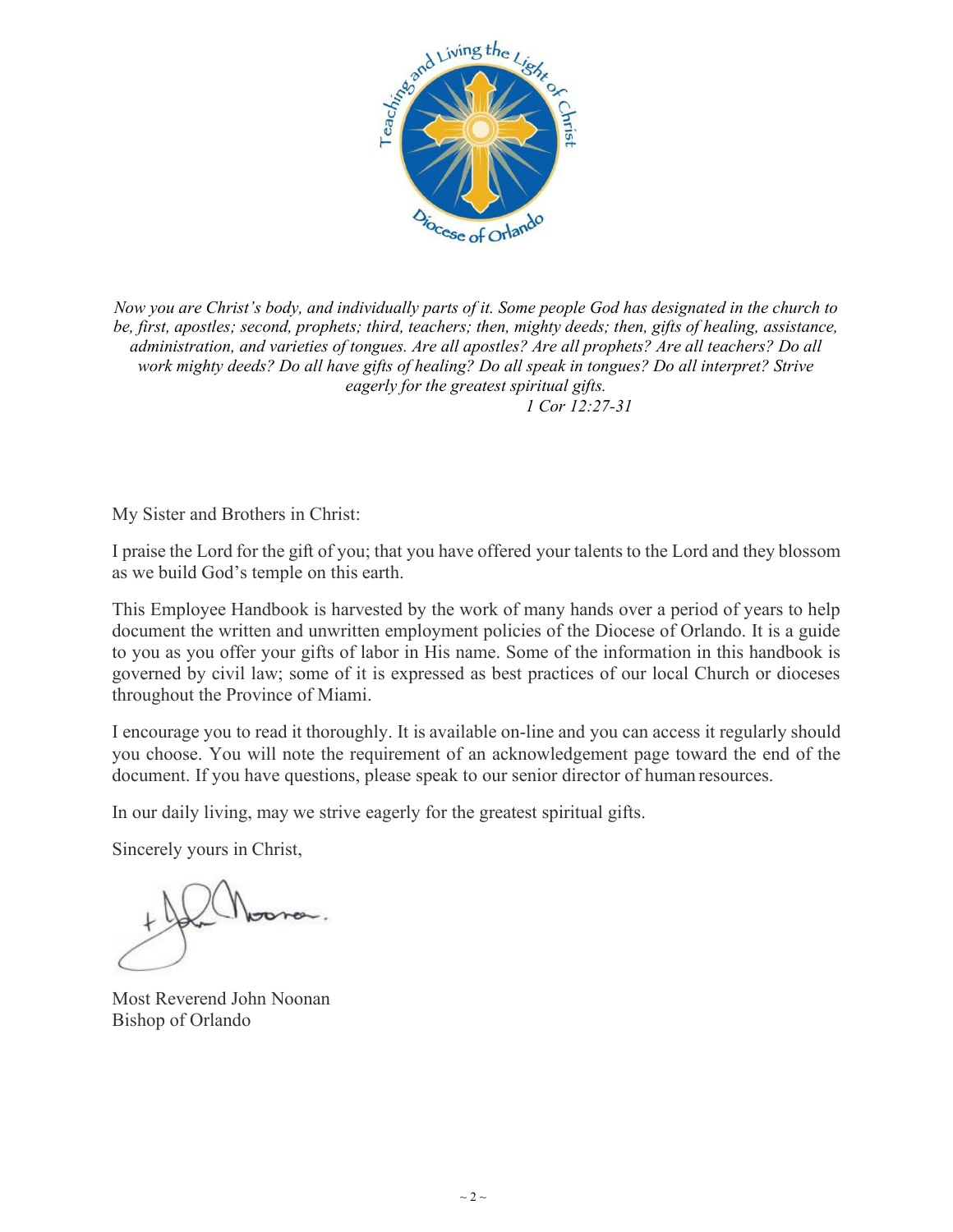

*Now you are Christ's body, and individually parts of it. Some people God has designated in the church to be, first, apostles; second, prophets; third, teachers; then, mighty deeds; then, gifts of healing, assistance, administration, and varieties of tongues. Are all apostles? Are all prophets? Are all teachers? Do all work mighty deeds? Do all have gifts of healing? Do all speak in tongues? Do all interpret? Strive eagerly for the greatest spiritual gifts.*

*1 Cor 12:27-31*

My Sister and Brothers in Christ:

I praise the Lord for the gift of you; that you have offered your talents to the Lord and they blossom as we build God's temple on this earth.

This Employee Handbook is harvested by the work of many hands over a period of years to help document the written and unwritten employment policies of the Diocese of Orlando. It is a guide to you as you offer your gifts of labor in His name. Some of the information in this handbook is governed by civil law; some of it is expressed as best practices of our local Church or dioceses throughout the Province of Miami.

I encourage you to read it thoroughly. It is available on-line and you can access it regularly should you choose. You will note the requirement of an acknowledgement page toward the end of the document. If you have questions, please speak to our senior director of human resources.

In our daily living, may we strive eagerly for the greatest spiritual gifts.

Sincerely yours in Christ,

Most Reverend John Noonan Bishop of Orlando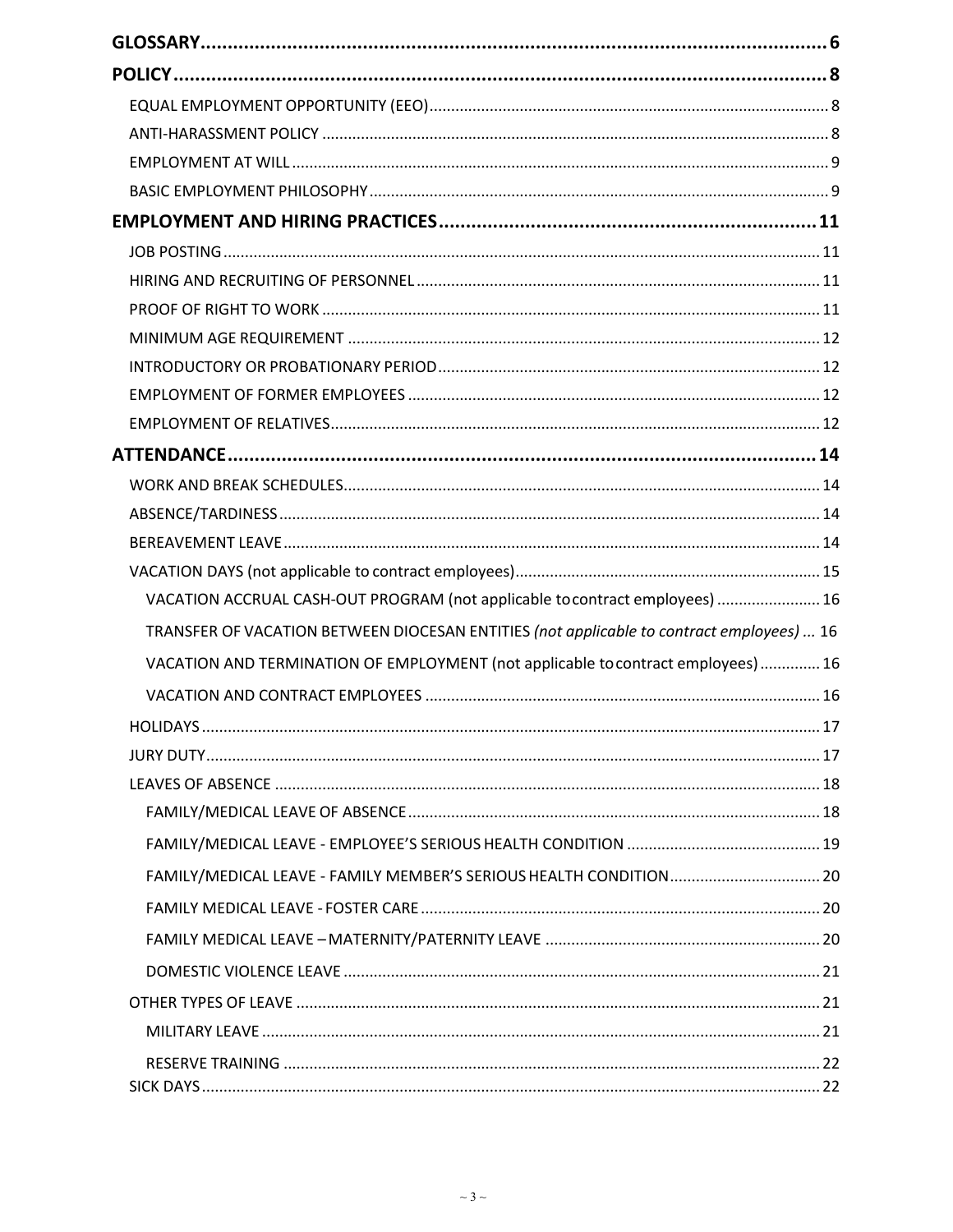| VACATION ACCRUAL CASH-OUT PROGRAM (not applicable to contract employees)  16              |    |
|-------------------------------------------------------------------------------------------|----|
| TRANSFER OF VACATION BETWEEN DIOCESAN ENTITIES (not applicable to contract employees)  16 |    |
| VACATION AND TERMINATION OF EMPLOYMENT (not applicable to contract employees)  16         |    |
|                                                                                           |    |
| HOLIDAYS                                                                                  | 17 |
|                                                                                           |    |
|                                                                                           |    |
|                                                                                           |    |
|                                                                                           |    |
|                                                                                           |    |
|                                                                                           |    |
|                                                                                           |    |
|                                                                                           |    |
|                                                                                           |    |
|                                                                                           |    |
|                                                                                           |    |
|                                                                                           |    |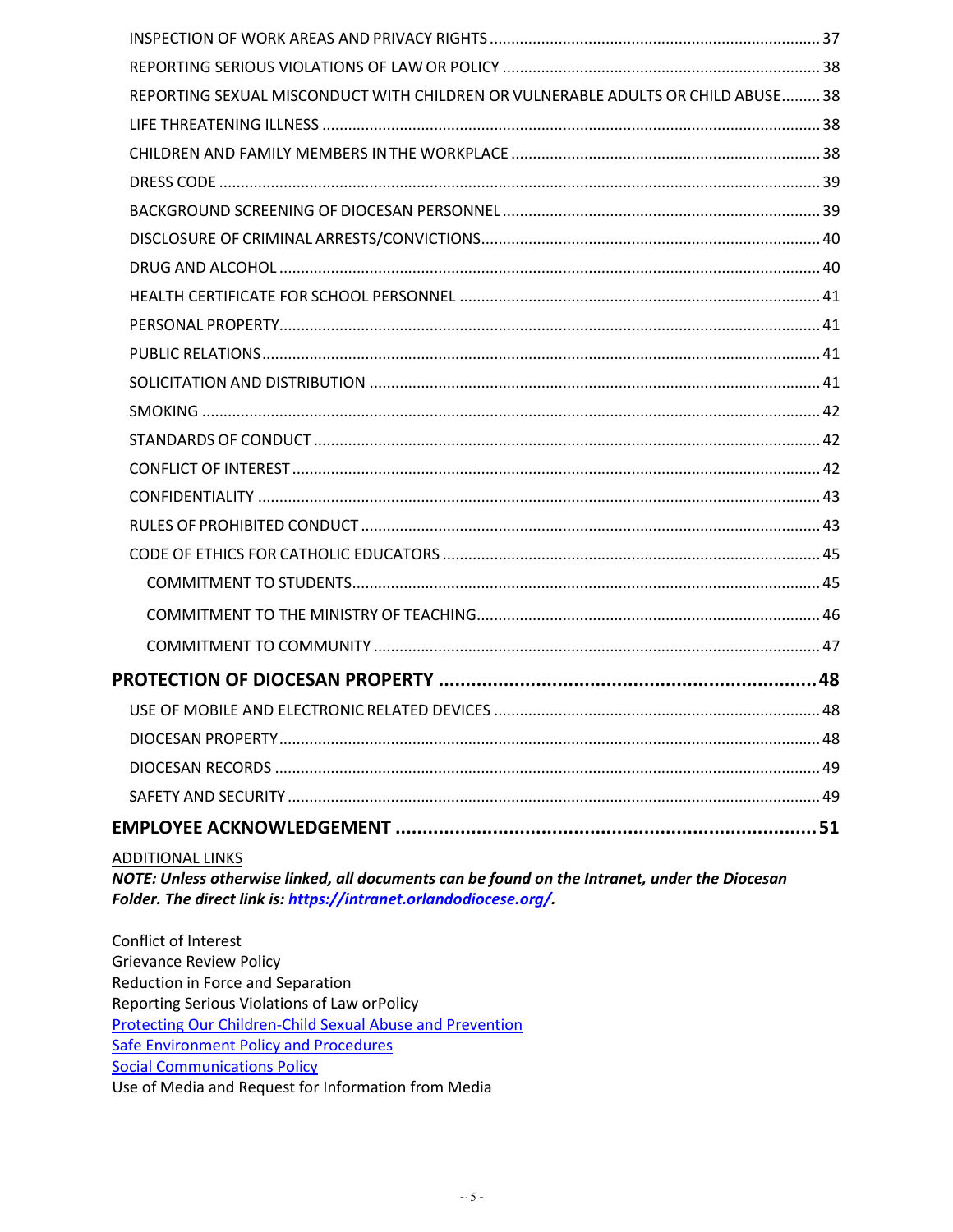| REPORTING SEXUAL MISCONDUCT WITH CHILDREN OR VULNERABLE ADULTS OR CHILD ABUSE 38 |
|----------------------------------------------------------------------------------|
|                                                                                  |
|                                                                                  |
|                                                                                  |
|                                                                                  |
|                                                                                  |
|                                                                                  |
|                                                                                  |
|                                                                                  |
|                                                                                  |
|                                                                                  |
|                                                                                  |
|                                                                                  |
|                                                                                  |
|                                                                                  |
|                                                                                  |
|                                                                                  |
|                                                                                  |
|                                                                                  |
|                                                                                  |
|                                                                                  |
|                                                                                  |
|                                                                                  |
|                                                                                  |
|                                                                                  |
|                                                                                  |

#### **ADDITIONAL LINKS**

NOTE: Unless otherwise linked, all documents can be found on the Intranet, under the Diocesan Folder. The direct link is: https://intranet.orlandodiocese.org/.

Conflict of Interest **Grievance Review Policy** Reduction in Force and Separation Reporting Serious Violations of Law or Policy **Protecting Our Children-Child Sexual Abuse and Prevention** Safe Environment Policy and Procedures **Social Communications Policy** Use of Media and Request for Information from Media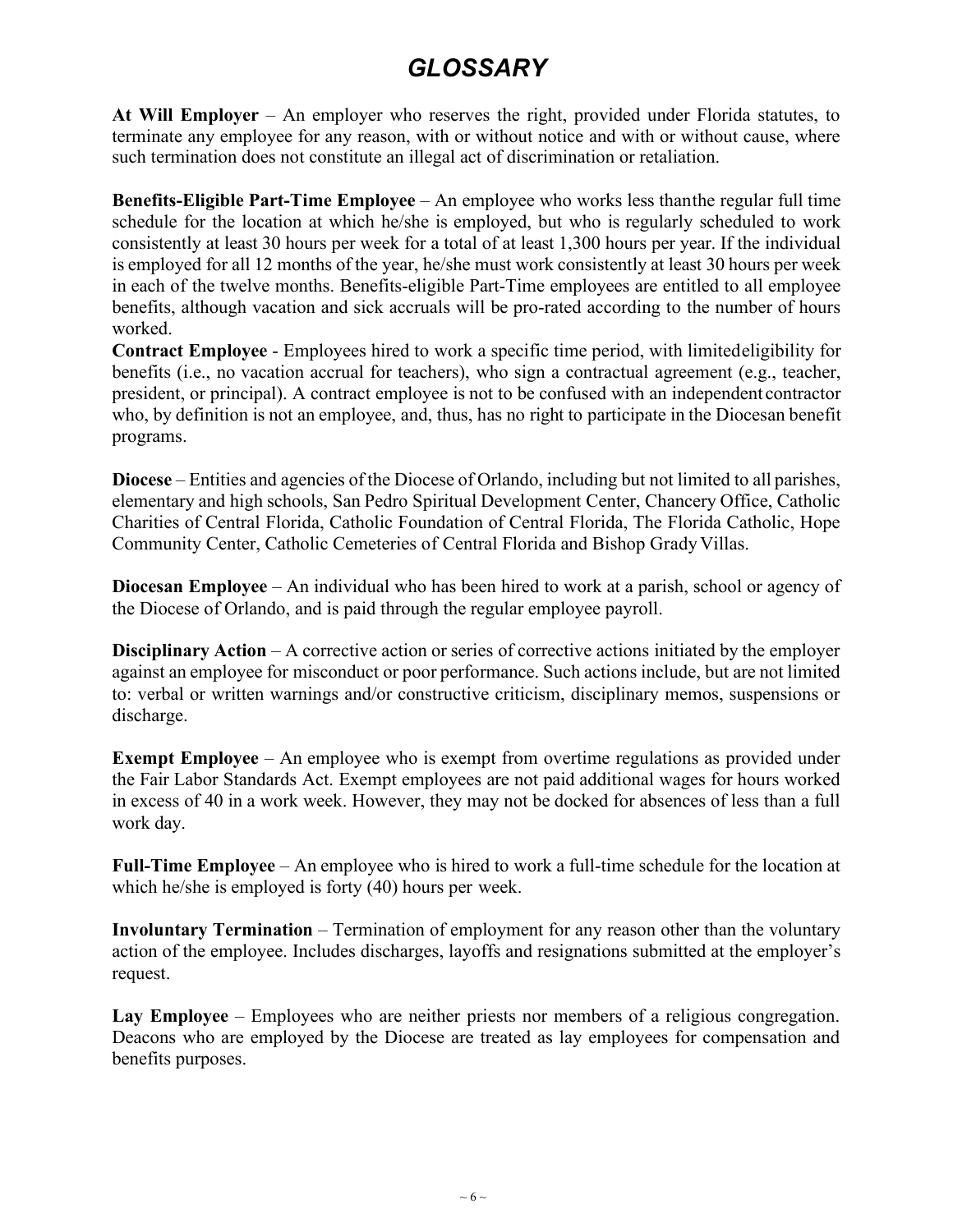# *GLOSSARY*

<span id="page-5-0"></span>**At Will Employer** – An employer who reserves the right, provided under Florida statutes, to terminate any employee for any reason, with or without notice and with or without cause, where such termination does not constitute an illegal act of discrimination or retaliation.

**Benefits-Eligible Part-Time Employee** – An employee who works less thanthe regular full time schedule for the location at which he/she is employed, but who is regularly scheduled to work consistently at least 30 hours per week for a total of at least 1,300 hours per year. If the individual is employed for all 12 months of the year, he/she must work consistently at least 30 hours per week in each of the twelve months. Benefits-eligible Part-Time employees are entitled to all employee benefits, although vacation and sick accruals will be pro-rated according to the number of hours worked.

**Contract Employee** - Employees hired to work a specific time period, with limitedeligibility for benefits (i.e., no vacation accrual for teachers), who sign a contractual agreement (e.g., teacher, president, or principal). A contract employee is not to be confused with an independent contractor who, by definition is not an employee, and, thus, has no right to participate in the Diocesan benefit programs.

**Diocese** – Entities and agencies of the Diocese of Orlando, including but not limited to all parishes, elementary and high schools, San Pedro Spiritual Development Center, Chancery Office, Catholic Charities of Central Florida, Catholic Foundation of Central Florida, The Florida Catholic, Hope Community Center, Catholic Cemeteries of Central Florida and Bishop Grady Villas.

**Diocesan Employee** – An individual who has been hired to work at a parish, school or agency of the Diocese of Orlando, and is paid through the regular employee payroll.

**Disciplinary Action** – A corrective action or series of corrective actions initiated by the employer against an employee for misconduct or poor performance. Such actions include, but are not limited to: verbal or written warnings and/or constructive criticism, disciplinary memos, suspensions or discharge.

**Exempt Employee** – An employee who is exempt from overtime regulations as provided under the Fair Labor Standards Act. Exempt employees are not paid additional wages for hours worked in excess of 40 in a work week. However, they may not be docked for absences of less than a full work day.

**Full-Time Employee** – An employee who is hired to work a full-time schedule for the location at which he/she is employed is forty (40) hours per week.

**Involuntary Termination** – Termination of employment for any reason other than the voluntary action of the employee. Includes discharges, layoffs and resignations submitted at the employer's request.

**Lay Employee** – Employees who are neither priests nor members of a religious congregation. Deacons who are employed by the Diocese are treated as lay employees for compensation and benefits purposes.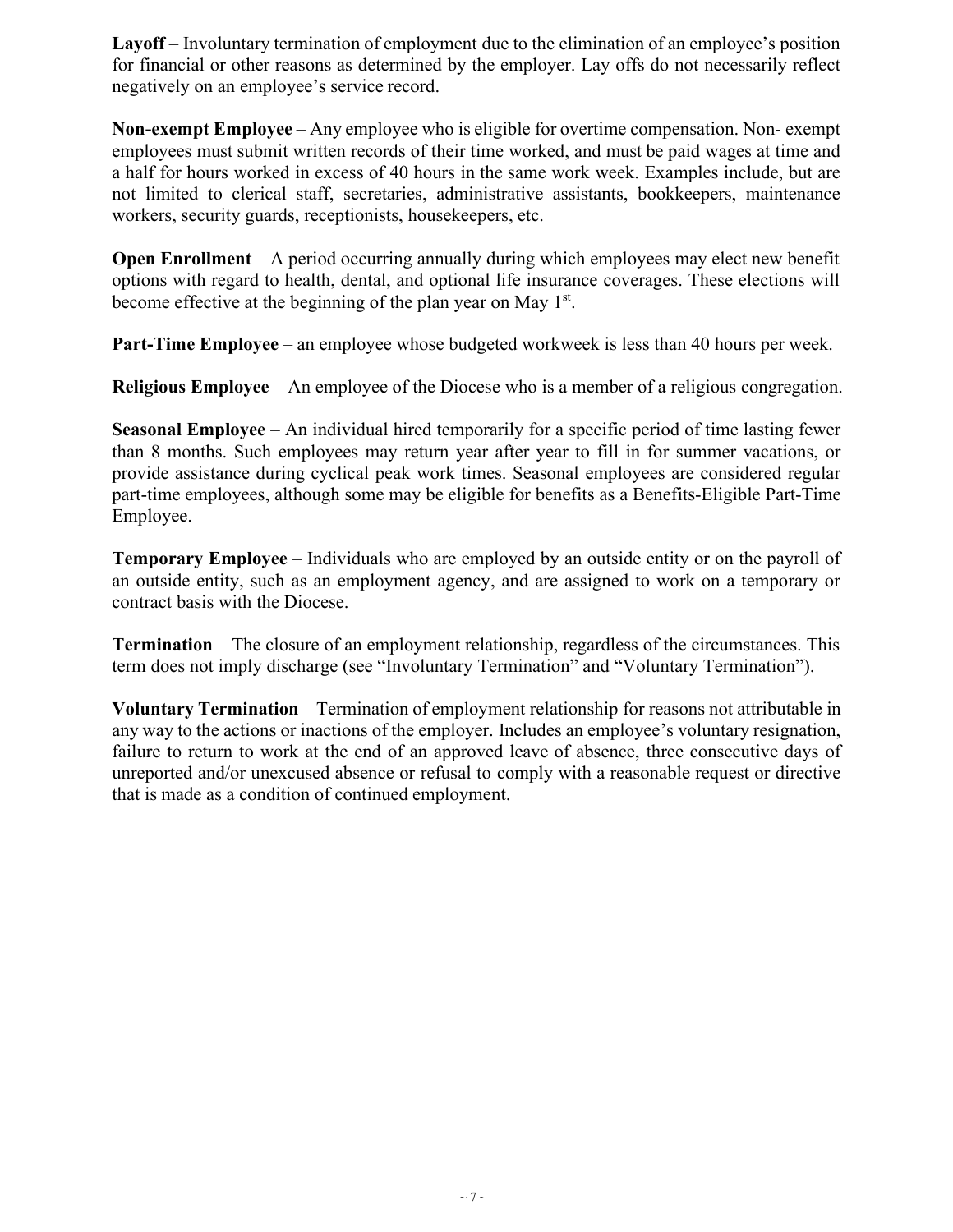**Layoff** – Involuntary termination of employment due to the elimination of an employee's position for financial or other reasons as determined by the employer. Lay offs do not necessarily reflect negatively on an employee's service record.

**Non-exempt Employee** – Any employee who is eligible for overtime compensation. Non- exempt employees must submit written records of their time worked, and must be paid wages at time and a half for hours worked in excess of 40 hours in the same work week. Examples include, but are not limited to clerical staff, secretaries, administrative assistants, bookkeepers, maintenance workers, security guards, receptionists, housekeepers, etc.

**Open Enrollment** – A period occurring annually during which employees may elect new benefit options with regard to health, dental, and optional life insurance coverages. These elections will become effective at the beginning of the plan year on May  $1<sup>st</sup>$ .

**Part-Time Employee** – an employee whose budgeted workweek is less than 40 hours per week.

**Religious Employee** – An employee of the Diocese who is a member of a religious congregation.

**Seasonal Employee** – An individual hired temporarily for a specific period of time lasting fewer than 8 months. Such employees may return year after year to fill in for summer vacations, or provide assistance during cyclical peak work times. Seasonal employees are considered regular part-time employees, although some may be eligible for benefits as a Benefits-Eligible Part-Time Employee.

**Temporary Employee** – Individuals who are employed by an outside entity or on the payroll of an outside entity, such as an employment agency, and are assigned to work on a temporary or contract basis with the Diocese.

**Termination** – The closure of an employment relationship, regardless of the circumstances. This term does not imply discharge (see "Involuntary Termination" and "Voluntary Termination").

**Voluntary Termination** – Termination of employment relationship for reasons not attributable in any way to the actions or inactions of the employer. Includes an employee's voluntary resignation, failure to return to work at the end of an approved leave of absence, three consecutive days of unreported and/or unexcused absence or refusal to comply with a reasonable request or directive that is made as a condition of continued employment.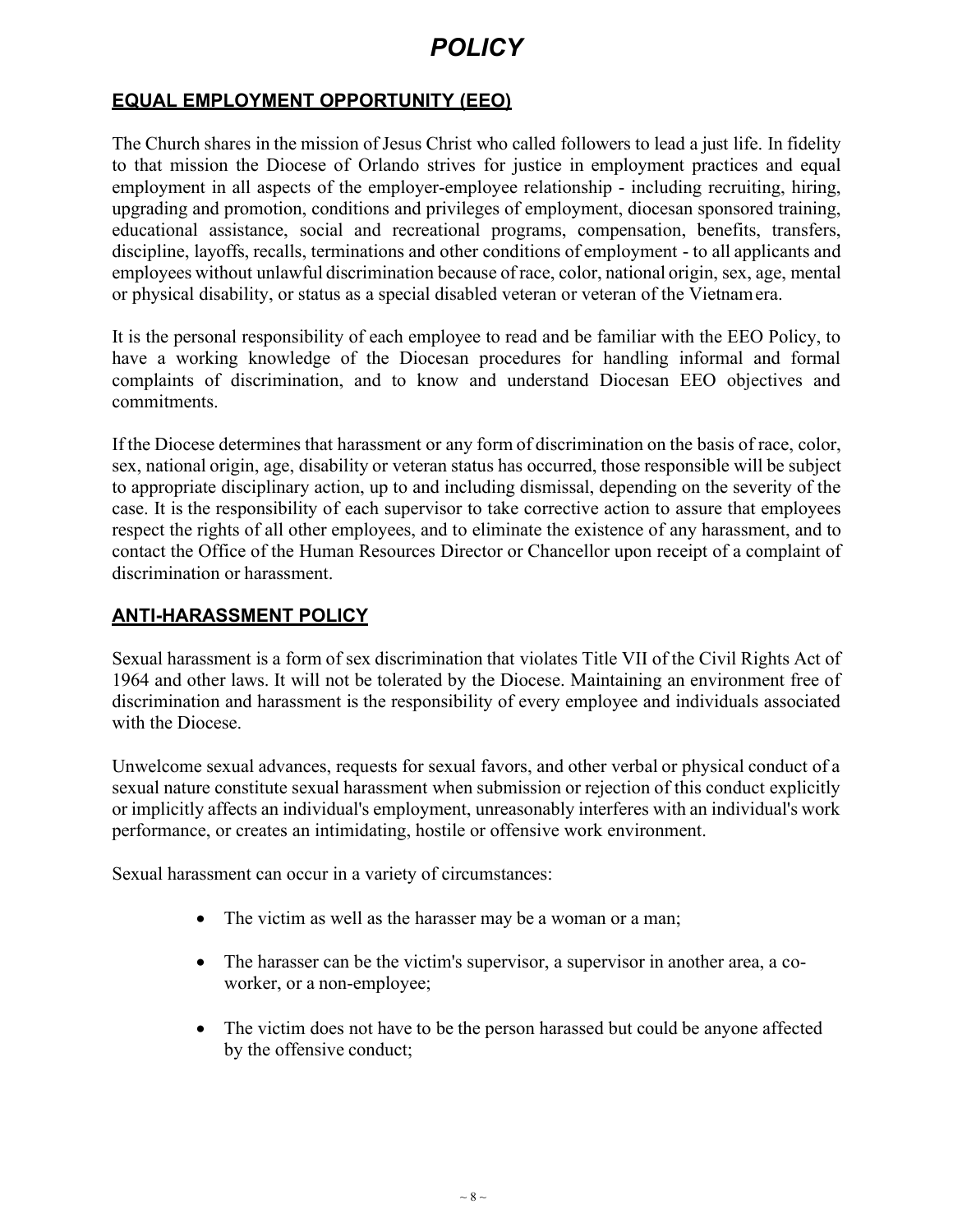# *POLICY*

## <span id="page-7-1"></span><span id="page-7-0"></span>**EQUAL EMPLOYMENT OPPORTUNITY (EEO)**

The Church shares in the mission of Jesus Christ who called followers to lead a just life. In fidelity to that mission the Diocese of Orlando strives for justice in employment practices and equal employment in all aspects of the employer-employee relationship - including recruiting, hiring, upgrading and promotion, conditions and privileges of employment, diocesan sponsored training, educational assistance, social and recreational programs, compensation, benefits, transfers, discipline, layoffs, recalls, terminations and other conditions of employment - to all applicants and employees without unlawful discrimination because of race, color, national origin, sex, age, mental or physical disability, or status as a special disabled veteran or veteran of the Vietnamera.

It is the personal responsibility of each employee to read and be familiar with the EEO Policy, to have a working knowledge of the Diocesan procedures for handling informal and formal complaints of discrimination, and to know and understand Diocesan EEO objectives and commitments.

If the Diocese determines that harassment or any form of discrimination on the basis of race, color, sex, national origin, age, disability or veteran status has occurred, those responsible will be subject to appropriate disciplinary action, up to and including dismissal, depending on the severity of the case. It is the responsibility of each supervisor to take corrective action to assure that employees respect the rights of all other employees, and to eliminate the existence of any harassment, and to contact the Office of the Human Resources Director or Chancellor upon receipt of a complaint of discrimination or harassment.

### <span id="page-7-2"></span>**ANTI-HARASSMENT POLICY**

Sexual harassment is a form of sex discrimination that violates Title VII of the Civil Rights Act of 1964 and other laws. It will not be tolerated by the Diocese. Maintaining an environment free of discrimination and harassment is the responsibility of every employee and individuals associated with the Diocese.

Unwelcome sexual advances, requests for sexual favors, and other verbal or physical conduct of a sexual nature constitute sexual harassment when submission or rejection of this conduct explicitly or implicitly affects an individual's employment, unreasonably interferes with an individual's work performance, or creates an intimidating, hostile or offensive work environment.

Sexual harassment can occur in a variety of circumstances:

- The victim as well as the harasser may be a woman or a man;
- The harasser can be the victim's supervisor, a supervisor in another area, a coworker, or a non-employee;
- The victim does not have to be the person harassed but could be anyone affected by the offensive conduct;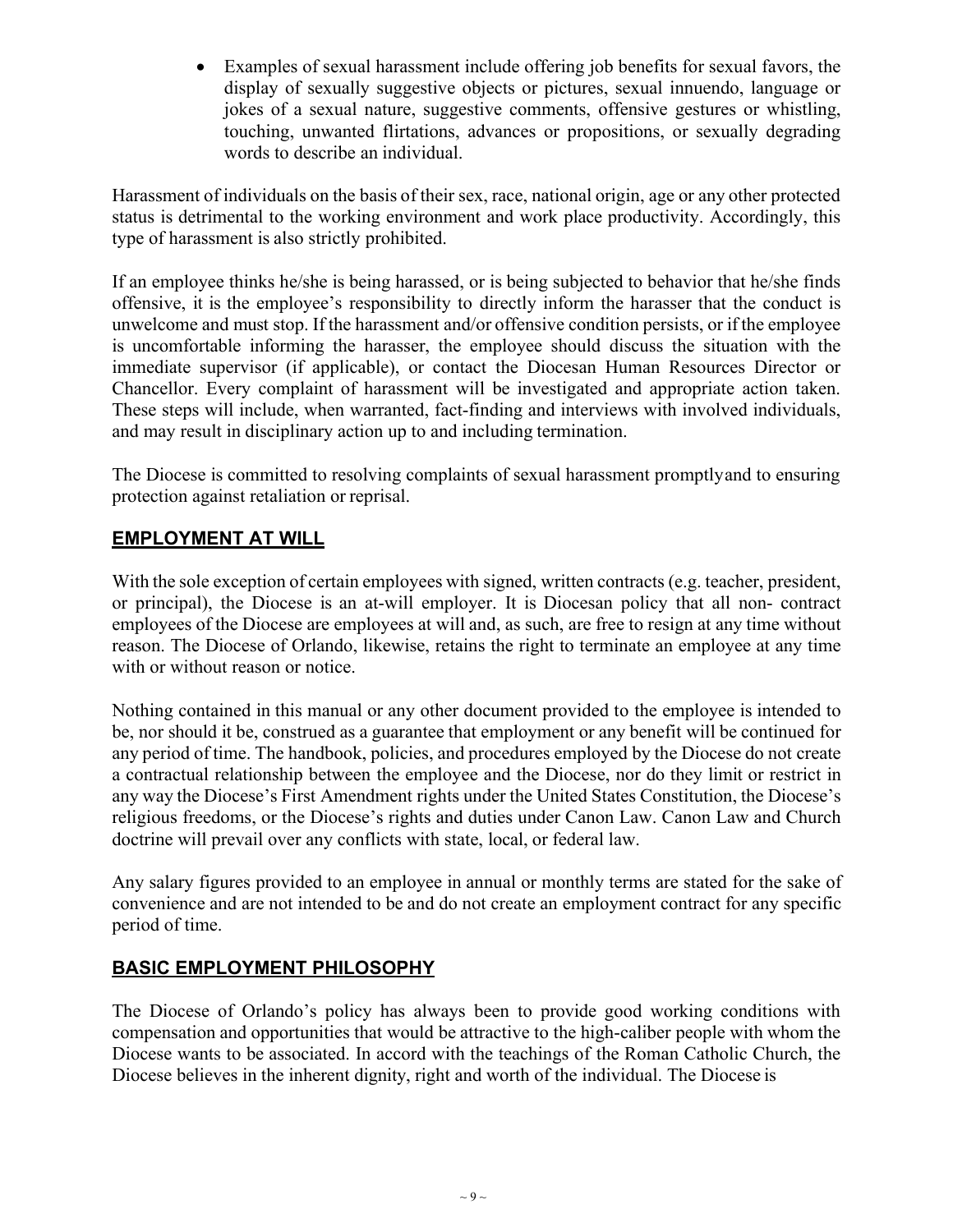• Examples of sexual harassment include offering job benefits for sexual favors, the display of sexually suggestive objects or pictures, sexual innuendo, language or jokes of a sexual nature, suggestive comments, offensive gestures or whistling, touching, unwanted flirtations, advances or propositions, or sexually degrading words to describe an individual.

Harassment of individuals on the basis of their sex, race, national origin, age or any other protected status is detrimental to the working environment and work place productivity. Accordingly, this type of harassment is also strictly prohibited.

If an employee thinks he/she is being harassed, or is being subjected to behavior that he/she finds offensive, it is the employee's responsibility to directly inform the harasser that the conduct is unwelcome and must stop. If the harassment and/or offensive condition persists, or if the employee is uncomfortable informing the harasser, the employee should discuss the situation with the immediate supervisor (if applicable), or contact the Diocesan Human Resources Director or Chancellor. Every complaint of harassment will be investigated and appropriate action taken. These steps will include, when warranted, fact-finding and interviews with involved individuals, and may result in disciplinary action up to and including termination.

The Diocese is committed to resolving complaints of sexual harassment promptlyand to ensuring protection against retaliation or reprisal.

# <span id="page-8-0"></span>**EMPLOYMENT AT WILL**

With the sole exception of certain employees with signed, written contracts (e.g. teacher, president, or principal), the Diocese is an at-will employer. It is Diocesan policy that all non- contract employees of the Diocese are employees at will and, as such, are free to resign at any time without reason. The Diocese of Orlando, likewise, retains the right to terminate an employee at any time with or without reason or notice.

Nothing contained in this manual or any other document provided to the employee is intended to be, nor should it be, construed as a guarantee that employment or any benefit will be continued for any period of time. The handbook, policies, and procedures employed by the Diocese do not create a contractual relationship between the employee and the Diocese, nor do they limit or restrict in any way the Diocese's First Amendment rights under the United States Constitution, the Diocese's religious freedoms, or the Diocese's rights and duties under Canon Law. Canon Law and Church doctrine will prevail over any conflicts with state, local, or federal law.

Any salary figures provided to an employee in annual or monthly terms are stated for the sake of convenience and are not intended to be and do not create an employment contract for any specific period of time.

# <span id="page-8-1"></span>**BASIC EMPLOYMENT PHILOSOPHY**

The Diocese of Orlando's policy has always been to provide good working conditions with compensation and opportunities that would be attractive to the high-caliber people with whom the Diocese wants to be associated. In accord with the teachings of the Roman Catholic Church, the Diocese believes in the inherent dignity, right and worth of the individual. The Diocese is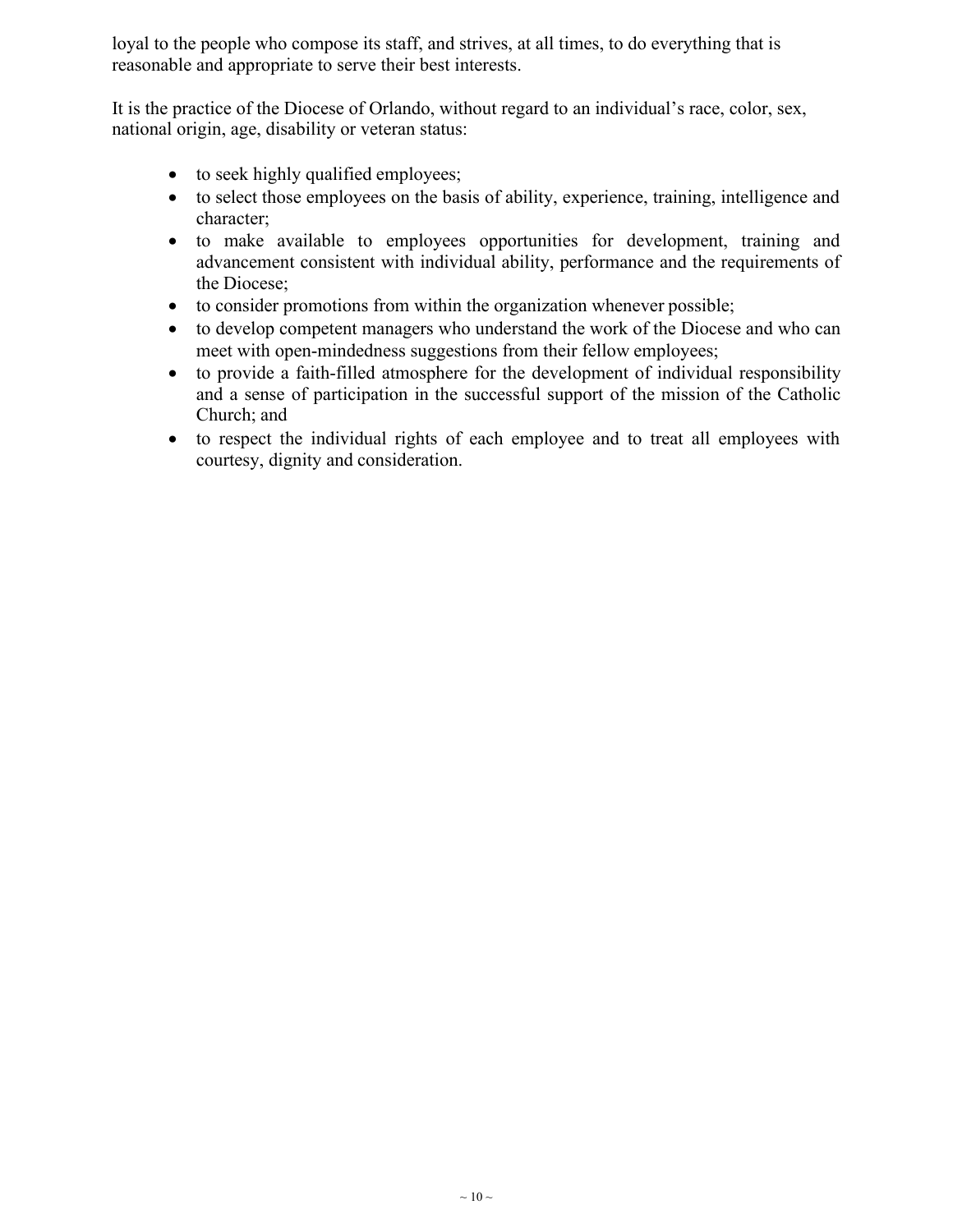loyal to the people who compose its staff, and strives, at all times, to do everything that is reasonable and appropriate to serve their best interests.

It is the practice of the Diocese of Orlando, without regard to an individual's race, color, sex, national origin, age, disability or veteran status:

- to seek highly qualified employees;
- to select those employees on the basis of ability, experience, training, intelligence and character;
- to make available to employees opportunities for development, training and advancement consistent with individual ability, performance and the requirements of the Diocese;
- to consider promotions from within the organization whenever possible;
- to develop competent managers who understand the work of the Diocese and who can meet with open-mindedness suggestions from their fellow employees;
- to provide a faith-filled atmosphere for the development of individual responsibility and a sense of participation in the successful support of the mission of the Catholic Church; and
- to respect the individual rights of each employee and to treat all employees with courtesy, dignity and consideration.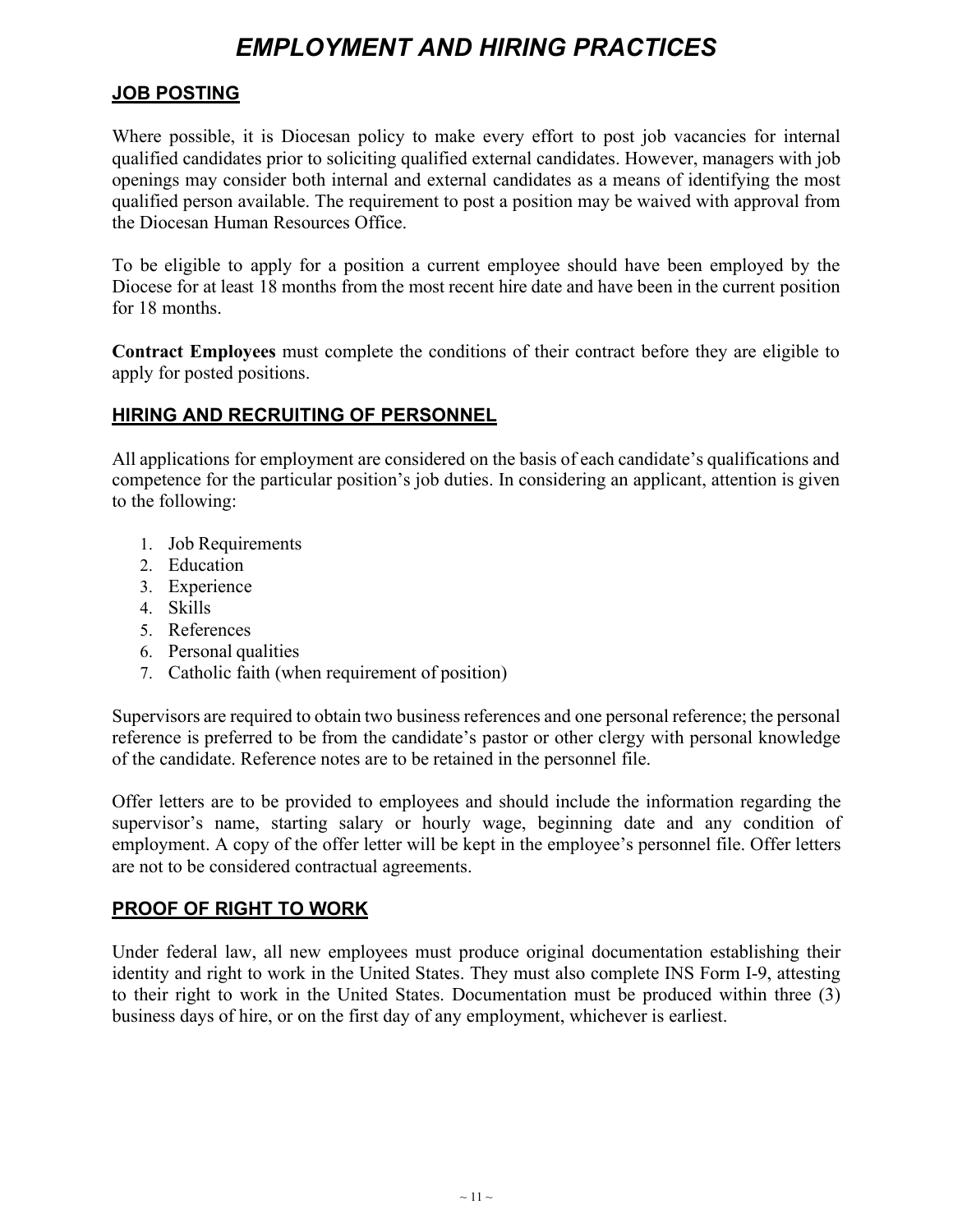# *EMPLOYMENT AND HIRING PRACTICES*

## <span id="page-10-1"></span><span id="page-10-0"></span>**JOB POSTING**

Where possible, it is Diocesan policy to make every effort to post job vacancies for internal qualified candidates prior to soliciting qualified external candidates. However, managers with job openings may consider both internal and external candidates as a means of identifying the most qualified person available. The requirement to post a position may be waived with approval from the Diocesan Human Resources Office.

To be eligible to apply for a position a current employee should have been employed by the Diocese for at least 18 months from the most recent hire date and have been in the current position for 18 months.

**Contract Employees** must complete the conditions of their contract before they are eligible to apply for posted positions.

## <span id="page-10-2"></span>**HIRING AND RECRUITING OF PERSONNEL**

All applications for employment are considered on the basis of each candidate's qualifications and competence for the particular position's job duties. In considering an applicant, attention is given to the following:

- 1. Job Requirements
- 2. Education
- 3. Experience
- 4. Skills
- 5. References
- 6. Personal qualities
- 7. Catholic faith (when requirement of position)

Supervisors are required to obtain two business references and one personal reference; the personal reference is preferred to be from the candidate's pastor or other clergy with personal knowledge of the candidate. Reference notes are to be retained in the personnel file.

Offer letters are to be provided to employees and should include the information regarding the supervisor's name, starting salary or hourly wage, beginning date and any condition of employment. A copy of the offer letter will be kept in the employee's personnel file. Offer letters are not to be considered contractual agreements.

## <span id="page-10-3"></span>**PROOF OF RIGHT TO WORK**

Under federal law, all new employees must produce original documentation establishing their identity and right to work in the United States. They must also complete INS Form I-9, attesting to their right to work in the United States. Documentation must be produced within three (3) business days of hire, or on the first day of any employment, whichever is earliest.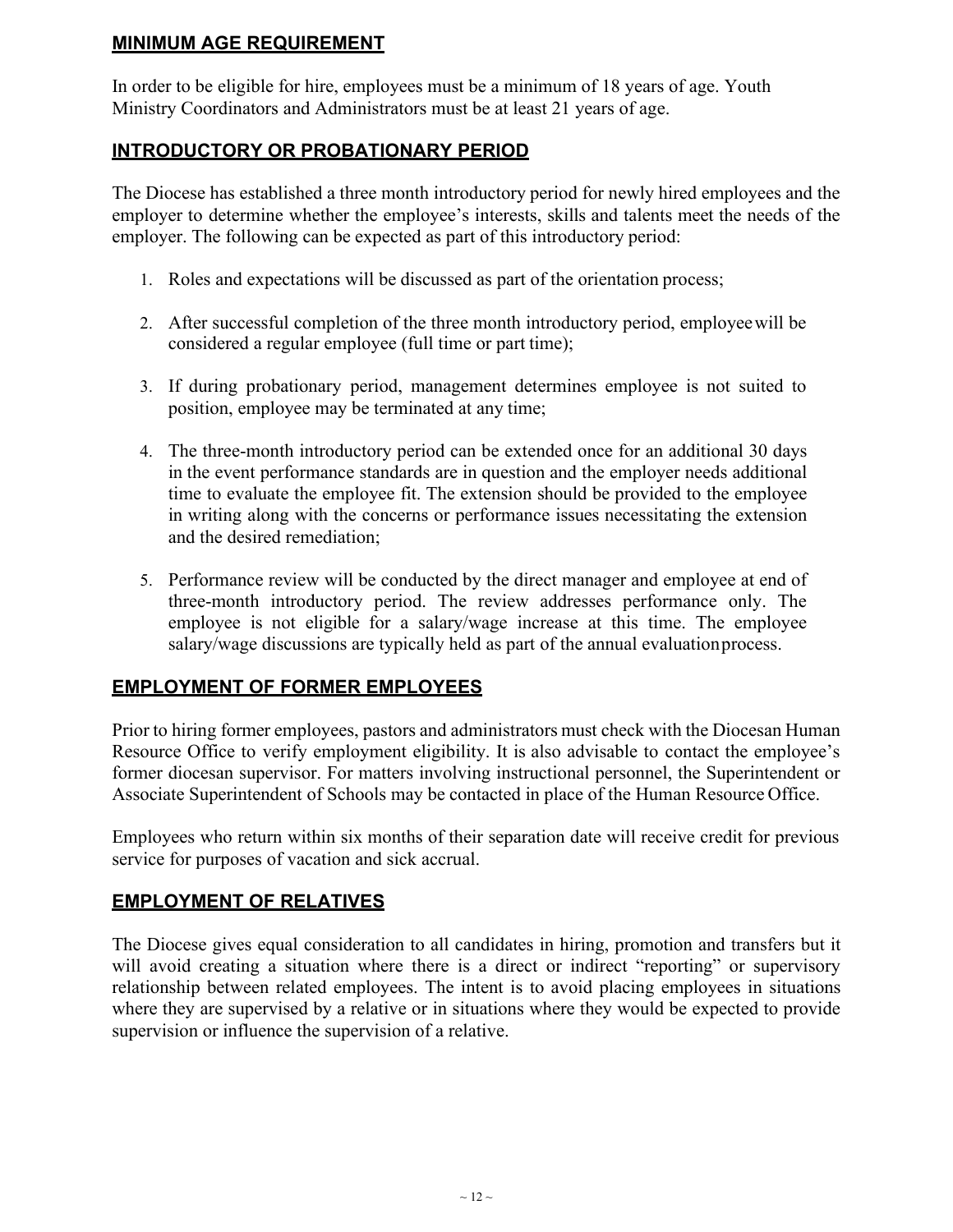## <span id="page-11-0"></span>**MINIMUM AGE REQUIREMENT**

In order to be eligible for hire, employees must be a minimum of 18 years of age. Youth Ministry Coordinators and Administrators must be at least 21 years of age.

## <span id="page-11-1"></span>**INTRODUCTORY OR PROBATIONARY PERIOD**

The Diocese has established a three month introductory period for newly hired employees and the employer to determine whether the employee's interests, skills and talents meet the needs of the employer. The following can be expected as part of this introductory period:

- 1. Roles and expectations will be discussed as part of the orientation process;
- 2. After successful completion of the three month introductory period, employeewill be considered a regular employee (full time or part time);
- 3. If during probationary period, management determines employee is not suited to position, employee may be terminated at any time;
- 4. The three-month introductory period can be extended once for an additional 30 days in the event performance standards are in question and the employer needs additional time to evaluate the employee fit. The extension should be provided to the employee in writing along with the concerns or performance issues necessitating the extension and the desired remediation;
- 5. Performance review will be conducted by the direct manager and employee at end of three-month introductory period. The review addresses performance only. The employee is not eligible for a salary/wage increase at this time. The employee salary/wage discussions are typically held as part of the annual evaluation process.

# <span id="page-11-2"></span>**EMPLOYMENT OF FORMER EMPLOYEES**

Prior to hiring former employees, pastors and administrators must check with the Diocesan Human Resource Office to verify employment eligibility. It is also advisable to contact the employee's former diocesan supervisor. For matters involving instructional personnel, the Superintendent or Associate Superintendent of Schools may be contacted in place of the Human Resource Office.

Employees who return within six months of their separation date will receive credit for previous service for purposes of vacation and sick accrual.

# <span id="page-11-3"></span>**EMPLOYMENT OF RELATIVES**

The Diocese gives equal consideration to all candidates in hiring, promotion and transfers but it will avoid creating a situation where there is a direct or indirect "reporting" or supervisory relationship between related employees. The intent is to avoid placing employees in situations where they are supervised by a relative or in situations where they would be expected to provide supervision or influence the supervision of a relative.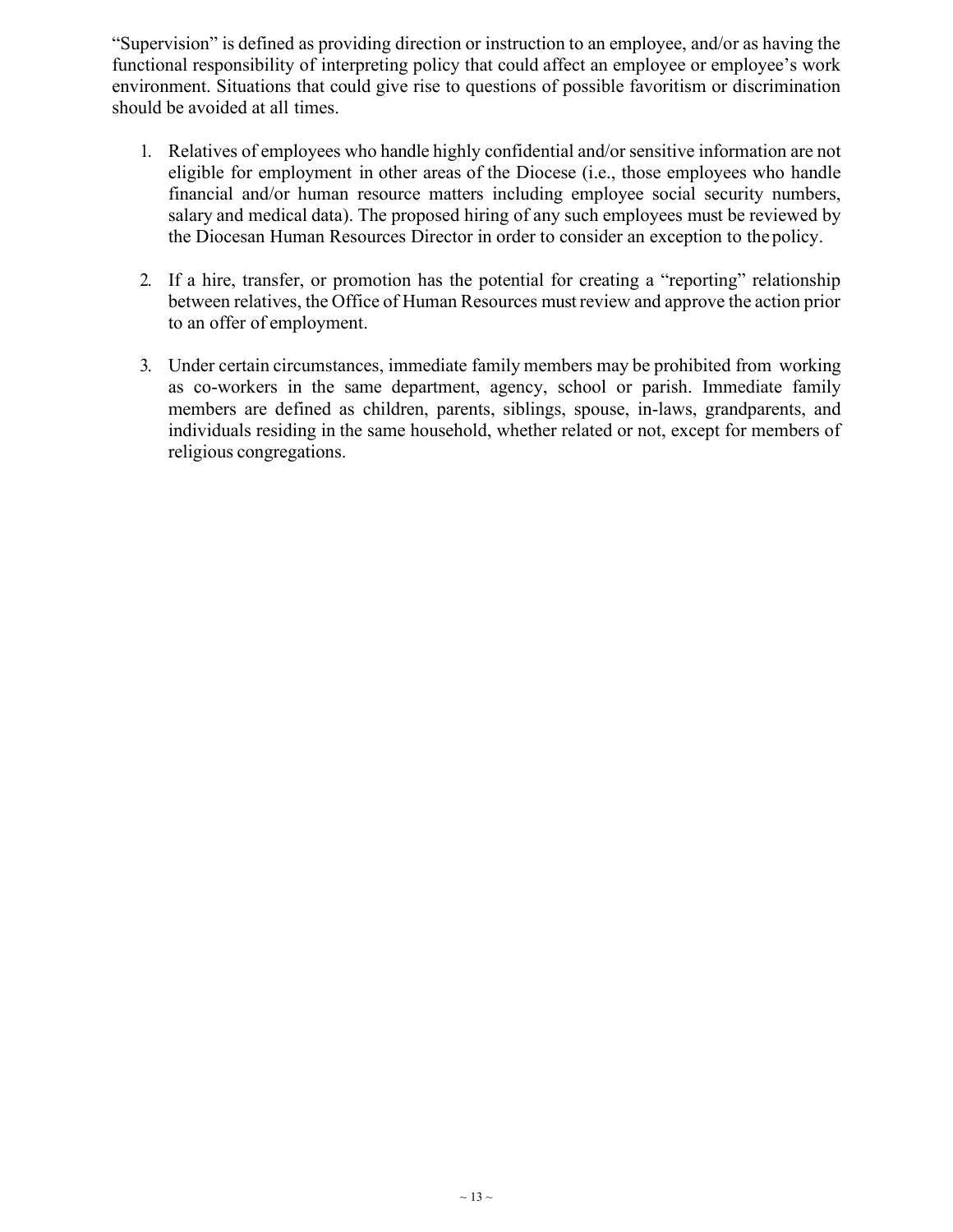"Supervision" is defined as providing direction or instruction to an employee, and/or as having the functional responsibility of interpreting policy that could affect an employee or employee's work environment. Situations that could give rise to questions of possible favoritism or discrimination should be avoided at all times.

- 1. Relatives of employees who handle highly confidential and/or sensitive information are not eligible for employment in other areas of the Diocese (i.e., those employees who handle financial and/or human resource matters including employee social security numbers, salary and medical data). The proposed hiring of any such employees must be reviewed by the Diocesan Human Resources Director in order to consider an exception to the policy.
- 2. If a hire, transfer, or promotion has the potential for creating a "reporting" relationship between relatives, the Office of Human Resources must review and approve the action prior to an offer of employment.
- 3. Under certain circumstances, immediate family members may be prohibited from working as co-workers in the same department, agency, school or parish. Immediate family members are defined as children, parents, siblings, spouse, in-laws, grandparents, and individuals residing in the same household, whether related or not, except for members of religious congregations.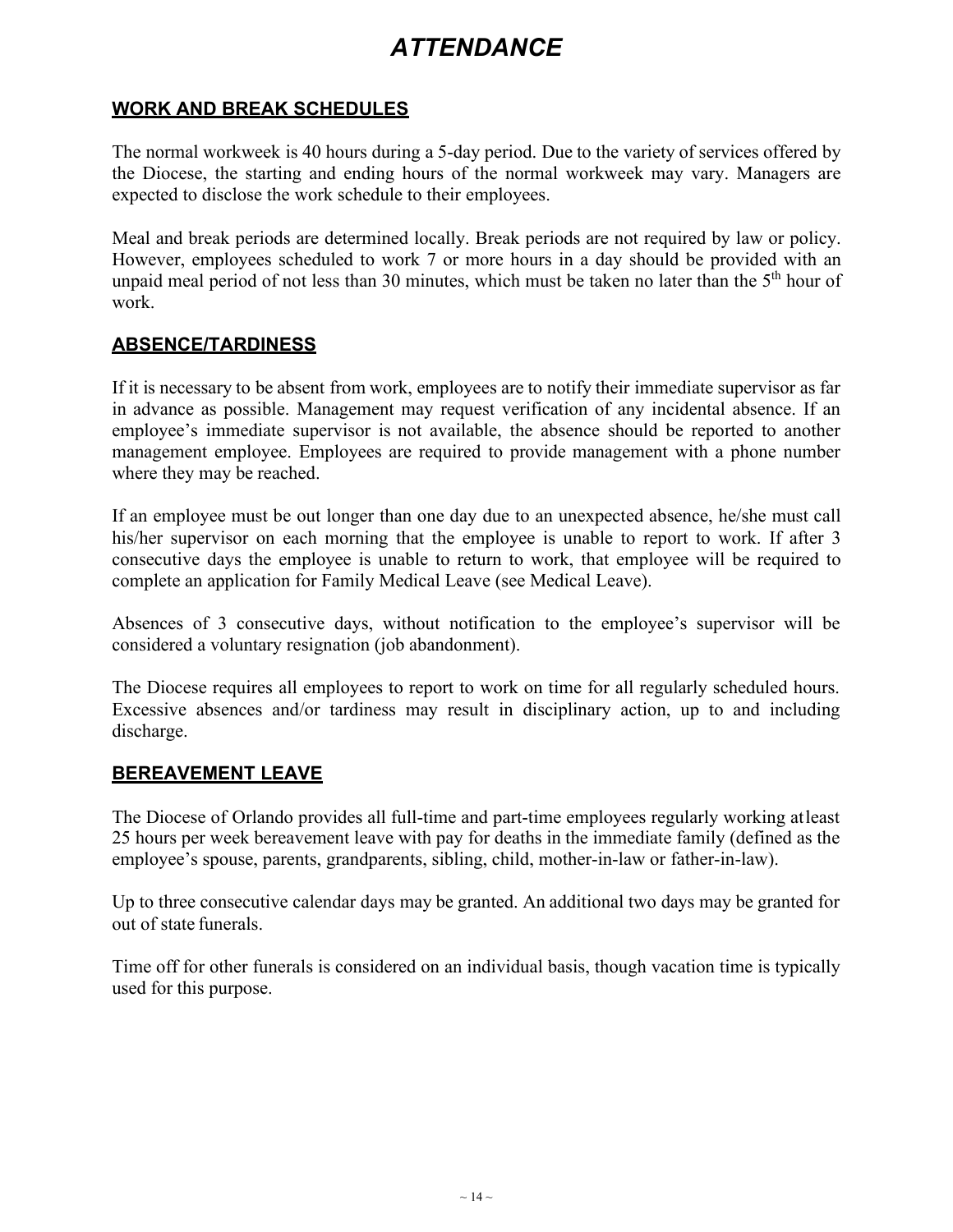# *ATTENDANCE*

# <span id="page-13-1"></span><span id="page-13-0"></span>**WORK AND BREAK SCHEDULES**

The normal workweek is 40 hours during a 5-day period. Due to the variety of services offered by the Diocese, the starting and ending hours of the normal workweek may vary. Managers are expected to disclose the work schedule to their employees.

Meal and break periods are determined locally. Break periods are not required by law or policy. However, employees scheduled to work 7 or more hours in a day should be provided with an unpaid meal period of not less than 30 minutes, which must be taken no later than the 5<sup>th</sup> hour of work.

## <span id="page-13-2"></span>**ABSENCE/TARDINESS**

If it is necessary to be absent from work, employees are to notify their immediate supervisor as far in advance as possible. Management may request verification of any incidental absence. If an employee's immediate supervisor is not available, the absence should be reported to another management employee. Employees are required to provide management with a phone number where they may be reached.

If an employee must be out longer than one day due to an unexpected absence, he/she must call his/her supervisor on each morning that the employee is unable to report to work. If after 3 consecutive days the employee is unable to return to work, that employee will be required to complete an application for Family Medical Leave (see Medical Leave).

Absences of 3 consecutive days, without notification to the employee's supervisor will be considered a voluntary resignation (job abandonment).

The Diocese requires all employees to report to work on time for all regularly scheduled hours. Excessive absences and/or tardiness may result in disciplinary action, up to and including discharge.

## <span id="page-13-3"></span>**BEREAVEMENT LEAVE**

The Diocese of Orlando provides all full-time and part-time employees regularly working atleast 25 hours per week bereavement leave with pay for deaths in the immediate family (defined as the employee's spouse, parents, grandparents, sibling, child, mother-in-law or father-in-law).

Up to three consecutive calendar days may be granted. An additional two days may be granted for out of state funerals.

Time off for other funerals is considered on an individual basis, though vacation time is typically used for this purpose.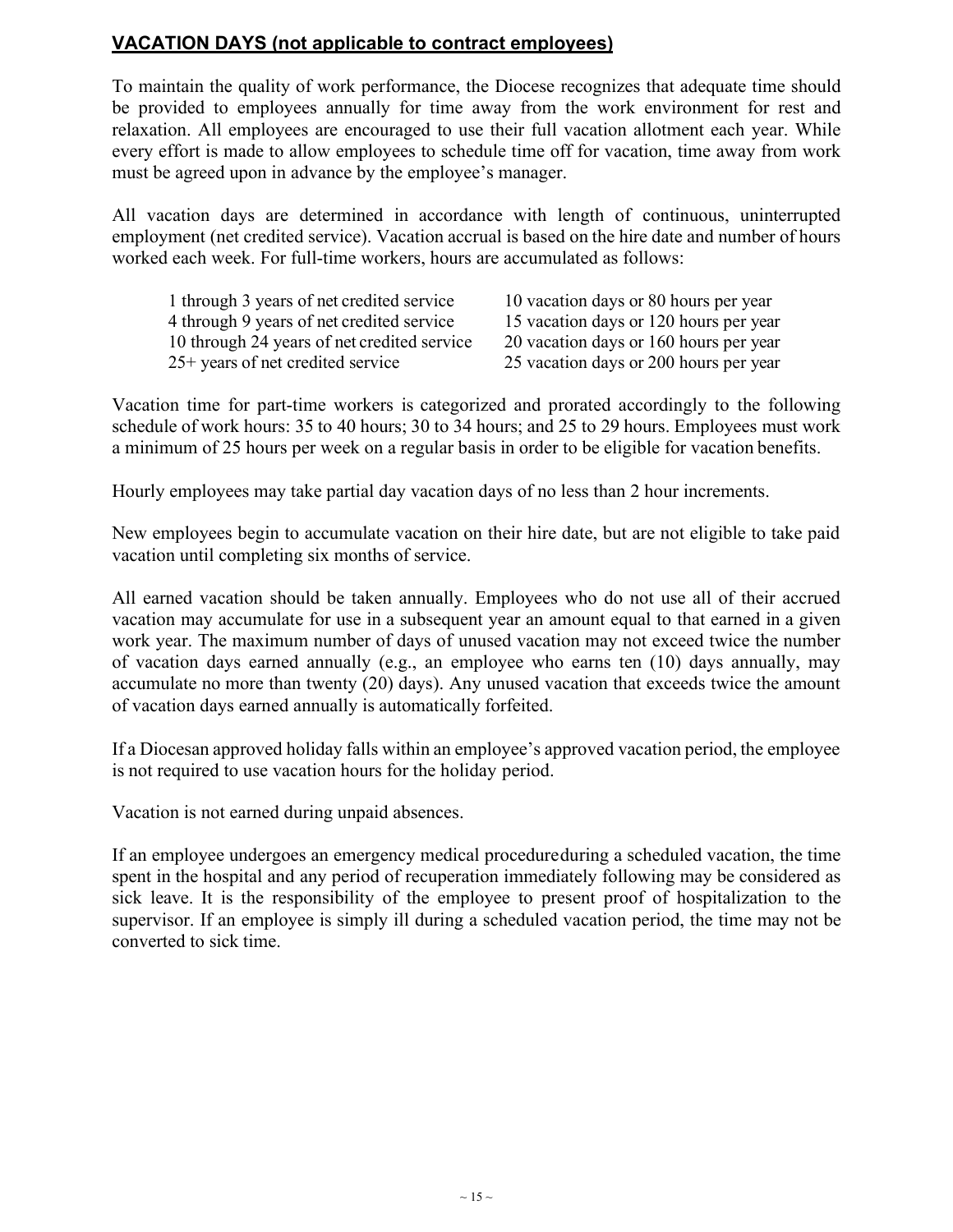# <span id="page-14-0"></span>**VACATION DAYS (not applicable to contract employees)**

To maintain the quality of work performance, the Diocese recognizes that adequate time should be provided to employees annually for time away from the work environment for rest and relaxation. All employees are encouraged to use their full vacation allotment each year. While every effort is made to allow employees to schedule time off for vacation, time away from work must be agreed upon in advance by the employee's manager.

All vacation days are determined in accordance with length of continuous, uninterrupted employment (net credited service). Vacation accrual is based on the hire date and number of hours worked each week. For full-time workers, hours are accumulated as follows:

| 1 through 3 years of net credited service   | 10 vacation days or 80 hours per year  |
|---------------------------------------------|----------------------------------------|
| 4 through 9 years of net credited service   | 15 vacation days or 120 hours per year |
| 10 through 24 years of net credited service | 20 vacation days or 160 hours per year |
| $25+$ years of net credited service         | 25 vacation days or 200 hours per year |

Vacation time for part-time workers is categorized and prorated accordingly to the following schedule of work hours: 35 to 40 hours; 30 to 34 hours; and 25 to 29 hours. Employees must work a minimum of 25 hours per week on a regular basis in order to be eligible for vacation benefits.

Hourly employees may take partial day vacation days of no less than 2 hour increments.

New employees begin to accumulate vacation on their hire date, but are not eligible to take paid vacation until completing six months of service.

All earned vacation should be taken annually. Employees who do not use all of their accrued vacation may accumulate for use in a subsequent year an amount equal to that earned in a given work year. The maximum number of days of unused vacation may not exceed twice the number of vacation days earned annually (e.g., an employee who earns ten (10) days annually, may accumulate no more than twenty (20) days). Any unused vacation that exceeds twice the amount of vacation days earned annually is automatically forfeited.

If a Diocesan approved holiday falls within an employee's approved vacation period, the employee is not required to use vacation hours for the holiday period.

Vacation is not earned during unpaid absences.

If an employee undergoes an emergency medical procedureduring a scheduled vacation, the time spent in the hospital and any period of recuperation immediately following may be considered as sick leave. It is the responsibility of the employee to present proof of hospitalization to the supervisor. If an employee is simply ill during a scheduled vacation period, the time may not be converted to sick time.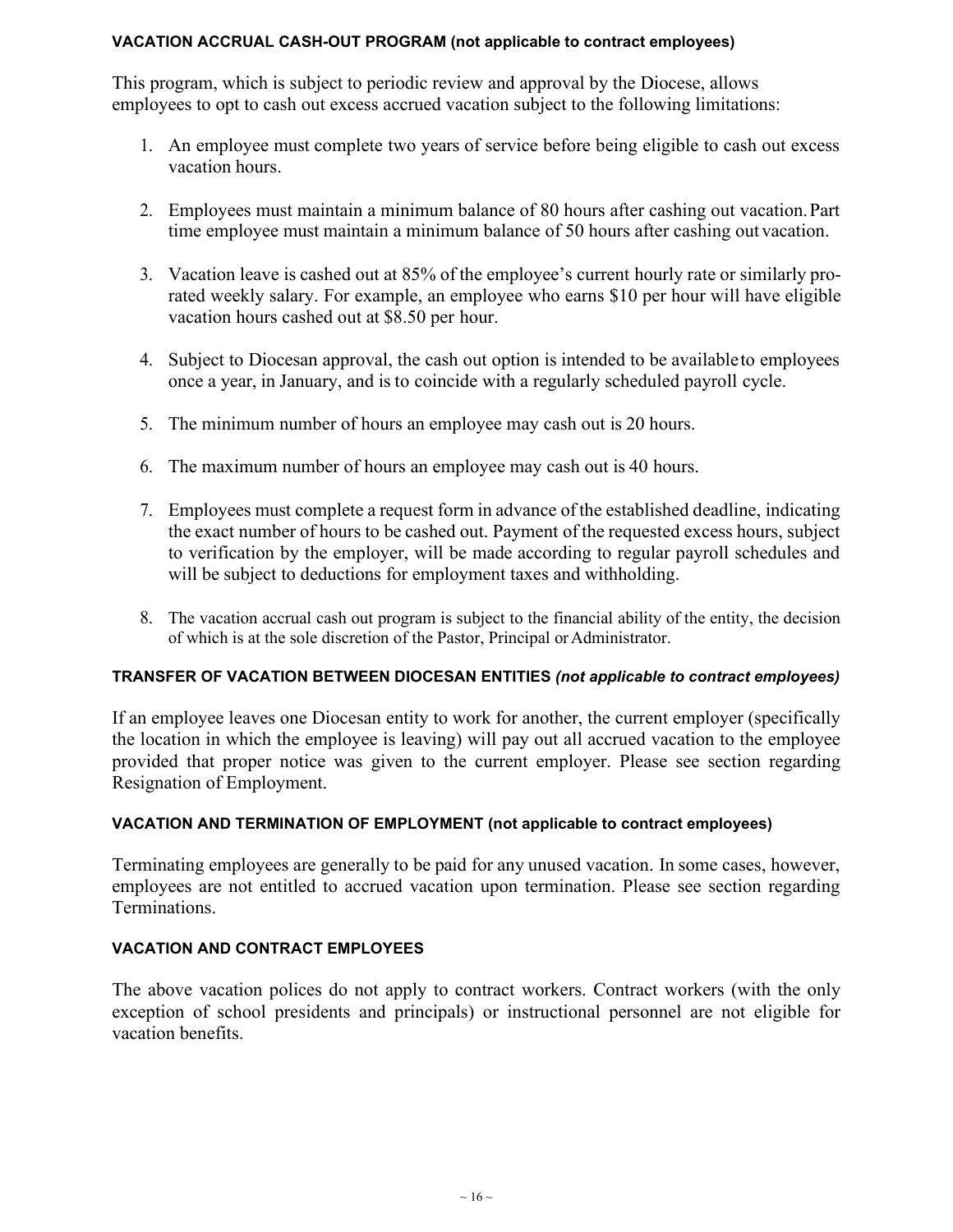#### <span id="page-15-0"></span>**VACATION ACCRUAL CASH-OUT PROGRAM (not applicable to contract employees)**

This program, which is subject to periodic review and approval by the Diocese, allows employees to opt to cash out excess accrued vacation subject to the following limitations:

- 1. An employee must complete two years of service before being eligible to cash out excess vacation hours.
- 2. Employees must maintain a minimum balance of 80 hours after cashing out vacation.Part time employee must maintain a minimum balance of 50 hours after cashing out vacation.
- 3. Vacation leave is cashed out at 85% of the employee's current hourly rate or similarly prorated weekly salary. For example, an employee who earns \$10 per hour will have eligible vacation hours cashed out at \$8.50 per hour.
- 4. Subject to Diocesan approval, the cash out option is intended to be availableto employees once a year, in January, and is to coincide with a regularly scheduled payroll cycle.
- 5. The minimum number of hours an employee may cash out is 20 hours.
- 6. The maximum number of hours an employee may cash out is 40 hours.
- 7. Employees must complete a request form in advance ofthe established deadline, indicating the exact number of hours to be cashed out. Payment of the requested excess hours, subject to verification by the employer, will be made according to regular payroll schedules and will be subject to deductions for employment taxes and withholding.
- 8. The vacation accrual cash out program is subject to the financial ability of the entity, the decision of which is at the sole discretion of the Pastor, Principal or Administrator.

#### <span id="page-15-1"></span>**TRANSFER OF VACATION BETWEEN DIOCESAN ENTITIES** *(not applicable to contract employees)*

If an employee leaves one Diocesan entity to work for another, the current employer (specifically the location in which the employee is leaving) will pay out all accrued vacation to the employee provided that proper notice was given to the current employer. Please see section regarding Resignation of Employment.

#### <span id="page-15-2"></span>**VACATION AND TERMINATION OF EMPLOYMENT (not applicable to contract employees)**

Terminating employees are generally to be paid for any unused vacation. In some cases, however, employees are not entitled to accrued vacation upon termination. Please see section regarding Terminations.

#### <span id="page-15-3"></span>**VACATION AND CONTRACT EMPLOYEES**

The above vacation polices do not apply to contract workers. Contract workers (with the only exception of school presidents and principals) or instructional personnel are not eligible for vacation benefits.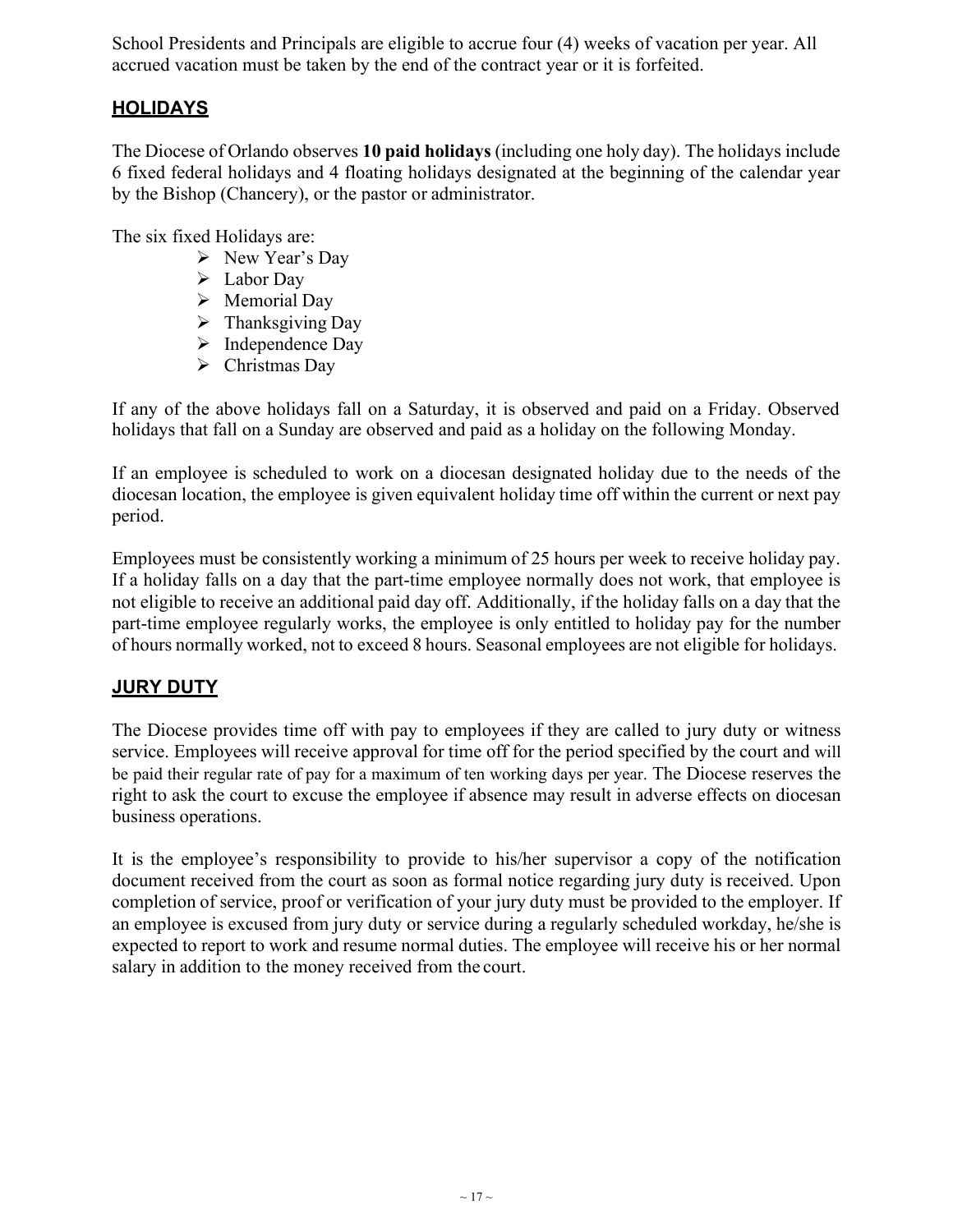School Presidents and Principals are eligible to accrue four (4) weeks of vacation per year. All accrued vacation must be taken by the end of the contract year or it is forfeited.

# <span id="page-16-0"></span>**HOLIDAYS**

The Diocese of Orlando observes **10 paid holidays** (including one holy day). The holidays include 6 fixed federal holidays and 4 floating holidays designated at the beginning of the calendar year by the Bishop (Chancery), or the pastor or administrator.

The six fixed Holidays are:

- $\triangleright$  New Year's Day
- $\blacktriangleright$  Labor Day
- $\triangleright$  Memorial Day
- $\triangleright$  Thanksgiving Day
- $\triangleright$  Independence Day
- $\triangleright$  Christmas Day

If any of the above holidays fall on a Saturday, it is observed and paid on a Friday. Observed holidays that fall on a Sunday are observed and paid as a holiday on the following Monday.

If an employee is scheduled to work on a diocesan designated holiday due to the needs of the diocesan location, the employee is given equivalent holiday time off within the current or next pay period.

Employees must be consistently working a minimum of 25 hours per week to receive holiday pay. If a holiday falls on a day that the part-time employee normally does not work, that employee is not eligible to receive an additional paid day off. Additionally, if the holiday falls on a day that the part-time employee regularly works, the employee is only entitled to holiday pay for the number of hours normally worked, not to exceed 8 hours. Seasonal employees are not eligible for holidays.

# <span id="page-16-1"></span>**JURY DUTY**

The Diocese provides time off with pay to employees if they are called to jury duty or witness service. Employees will receive approval for time off for the period specified by the court and will be paid their regular rate of pay for a maximum of ten working days per year. The Diocese reserves the right to ask the court to excuse the employee if absence may result in adverse effects on diocesan business operations.

It is the employee's responsibility to provide to his/her supervisor a copy of the notification document received from the court as soon as formal notice regarding jury duty is received. Upon completion of service, proof or verification of your jury duty must be provided to the employer. If an employee is excused from jury duty or service during a regularly scheduled workday, he/she is expected to report to work and resume normal duties. The employee will receive his or her normal salary in addition to the money received from the court.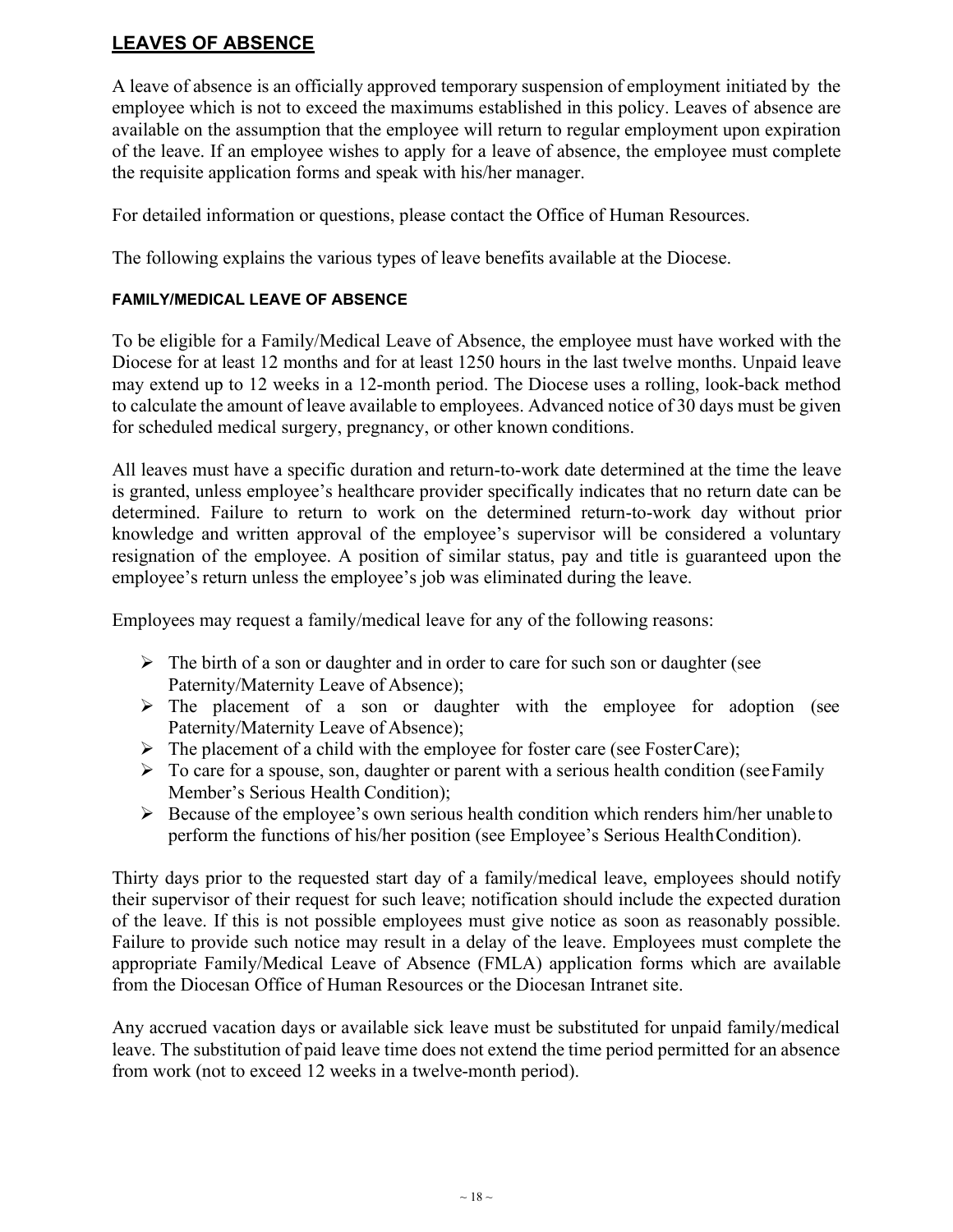# <span id="page-17-0"></span>**LEAVES OF ABSENCE**

A leave of absence is an officially approved temporary suspension of employment initiated by the employee which is not to exceed the maximums established in this policy. Leaves of absence are available on the assumption that the employee will return to regular employment upon expiration of the leave. If an employee wishes to apply for a leave of absence, the employee must complete the requisite application forms and speak with his/her manager.

For detailed information or questions, please contact the Office of Human Resources.

The following explains the various types of leave benefits available at the Diocese.

### <span id="page-17-1"></span>**FAMILY/MEDICAL LEAVE OF ABSENCE**

To be eligible for a Family/Medical Leave of Absence, the employee must have worked with the Diocese for at least 12 months and for at least 1250 hours in the last twelve months. Unpaid leave may extend up to 12 weeks in a 12-month period. The Diocese uses a rolling, look-back method to calculate the amount of leave available to employees. Advanced notice of 30 days must be given for scheduled medical surgery, pregnancy, or other known conditions.

All leaves must have a specific duration and return-to-work date determined at the time the leave is granted, unless employee's healthcare provider specifically indicates that no return date can be determined. Failure to return to work on the determined return-to-work day without prior knowledge and written approval of the employee's supervisor will be considered a voluntary resignation of the employee. A position of similar status, pay and title is guaranteed upon the employee's return unless the employee's job was eliminated during the leave.

Employees may request a family/medical leave for any of the following reasons:

- $\triangleright$  The birth of a son or daughter and in order to care for such son or daughter (see Paternity/Maternity Leave of Absence);
- $\triangleright$  The placement of a son or daughter with the employee for adoption (see Paternity/Maternity Leave of Absence);
- $\triangleright$  The placement of a child with the employee for foster care (see FosterCare);
- $\triangleright$  To care for a spouse, son, daughter or parent with a serious health condition (see Family Member's Serious Health Condition);
- $\triangleright$  Because of the employee's own serious health condition which renders him/her unable to perform the functions of his/her position (see Employee's Serious Health Condition).

Thirty days prior to the requested start day of a family/medical leave, employees should notify their supervisor of their request for such leave; notification should include the expected duration of the leave. If this is not possible employees must give notice as soon as reasonably possible. Failure to provide such notice may result in a delay of the leave. Employees must complete the appropriate Family/Medical Leave of Absence (FMLA) application forms which are available from the Diocesan Office of Human Resources or the Diocesan Intranet site.

Any accrued vacation days or available sick leave must be substituted for unpaid family/medical leave. The substitution of paid leave time does not extend the time period permitted for an absence from work (not to exceed 12 weeks in a twelve-month period).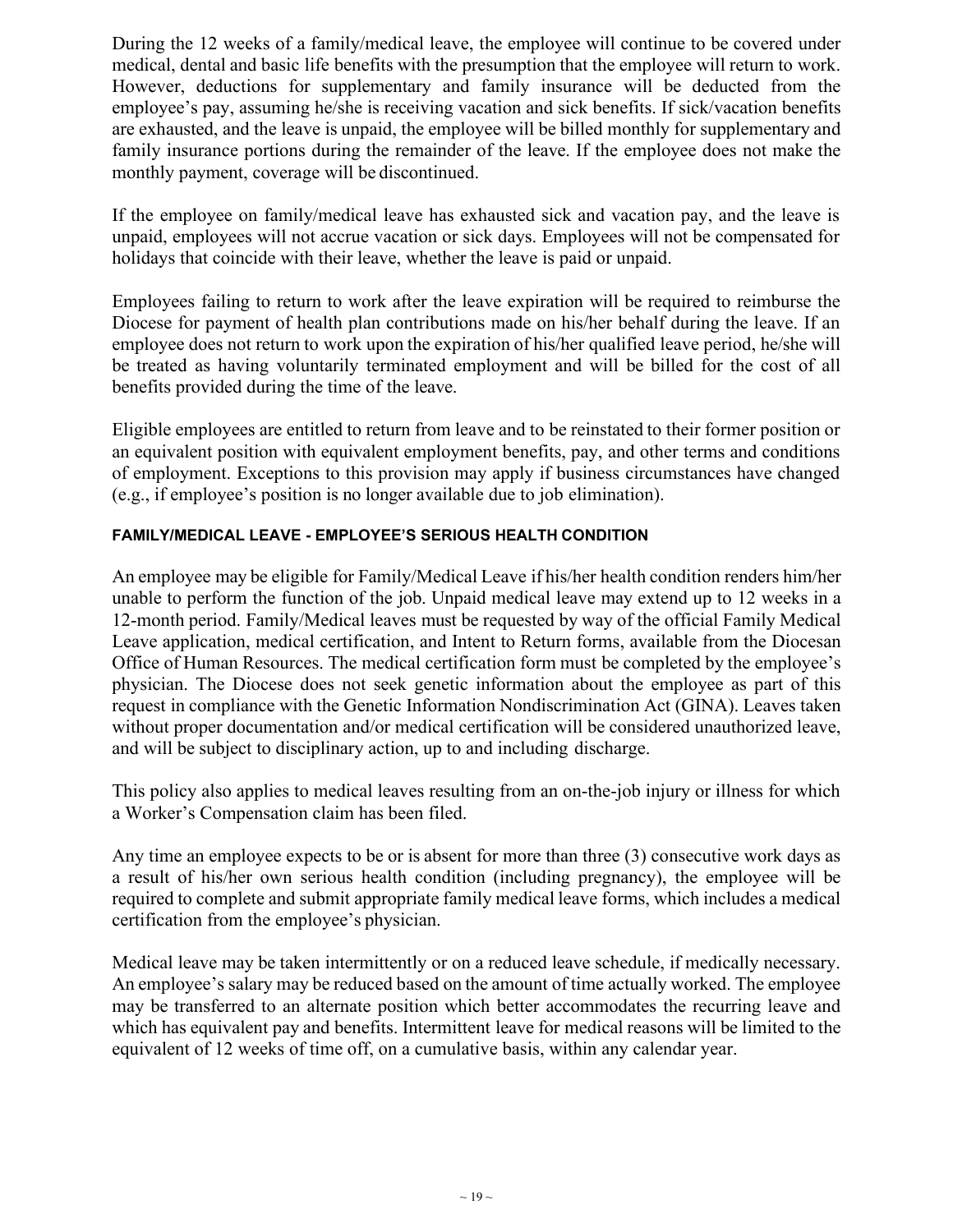During the 12 weeks of a family/medical leave, the employee will continue to be covered under medical, dental and basic life benefits with the presumption that the employee will return to work. However, deductions for supplementary and family insurance will be deducted from the employee's pay, assuming he/she is receiving vacation and sick benefits. If sick/vacation benefits are exhausted, and the leave is unpaid, the employee will be billed monthly for supplementary and family insurance portions during the remainder of the leave. If the employee does not make the monthly payment, coverage will be discontinued.

If the employee on family/medical leave has exhausted sick and vacation pay, and the leave is unpaid, employees will not accrue vacation or sick days. Employees will not be compensated for holidays that coincide with their leave, whether the leave is paid or unpaid.

Employees failing to return to work after the leave expiration will be required to reimburse the Diocese for payment of health plan contributions made on his/her behalf during the leave. If an employee does not return to work upon the expiration of his/her qualified leave period, he/she will be treated as having voluntarily terminated employment and will be billed for the cost of all benefits provided during the time of the leave.

Eligible employees are entitled to return from leave and to be reinstated to their former position or an equivalent position with equivalent employment benefits, pay, and other terms and conditions of employment. Exceptions to this provision may apply if business circumstances have changed (e.g., if employee's position is no longer available due to job elimination).

## <span id="page-18-0"></span>**FAMILY/MEDICAL LEAVE - EMPLOYEE'S SERIOUS HEALTH CONDITION**

An employee may be eligible for Family/Medical Leave if his/her health condition renders him/her unable to perform the function of the job. Unpaid medical leave may extend up to 12 weeks in a 12-month period. Family/Medical leaves must be requested by way of the official Family Medical Leave application, medical certification, and Intent to Return forms, available from the Diocesan Office of Human Resources. The medical certification form must be completed by the employee's physician. The Diocese does not seek genetic information about the employee as part of this request in compliance with the Genetic Information Nondiscrimination Act (GINA). Leaves taken without proper documentation and/or medical certification will be considered unauthorized leave, and will be subject to disciplinary action, up to and including discharge.

This policy also applies to medical leaves resulting from an on-the-job injury or illness for which a Worker's Compensation claim has been filed.

Any time an employee expects to be or is absent for more than three (3) consecutive work days as a result of his/her own serious health condition (including pregnancy), the employee will be required to complete and submit appropriate family medical leave forms, which includes a medical certification from the employee's physician.

Medical leave may be taken intermittently or on a reduced leave schedule, if medically necessary. An employee's salary may be reduced based on the amount of time actually worked. The employee may be transferred to an alternate position which better accommodates the recurring leave and which has equivalent pay and benefits. Intermittent leave for medical reasons will be limited to the equivalent of 12 weeks of time off, on a cumulative basis, within any calendar year.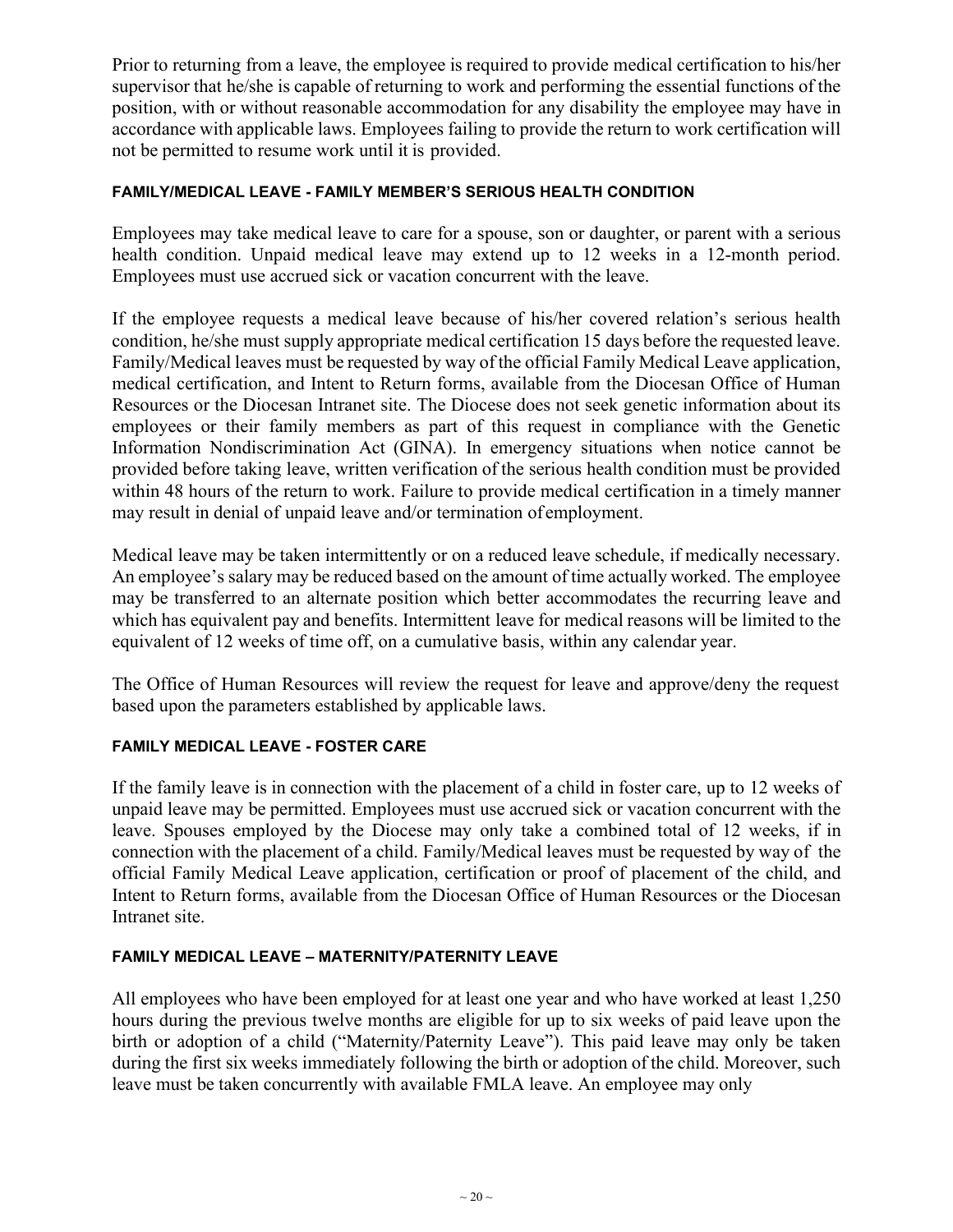Prior to returning from a leave, the employee is required to provide medical certification to his/her supervisor that he/she is capable of returning to work and performing the essential functions of the position, with or without reasonable accommodation for any disability the employee may have in accordance with applicable laws. Employees failing to provide the return to work certification will not be permitted to resume work until it is provided.

#### <span id="page-19-0"></span>**FAMILY/MEDICAL LEAVE - FAMILY MEMBER'S SERIOUS HEALTH CONDITION**

Employees may take medical leave to care for a spouse, son or daughter, or parent with a serious health condition. Unpaid medical leave may extend up to 12 weeks in a 12-month period. Employees must use accrued sick or vacation concurrent with the leave.

If the employee requests a medical leave because of his/her covered relation's serious health condition, he/she must supply appropriate medical certification 15 days before the requested leave. Family/Medical leaves must be requested by way of the official Family Medical Leave application, medical certification, and Intent to Return forms, available from the Diocesan Office of Human Resources or the Diocesan Intranet site. The Diocese does not seek genetic information about its employees or their family members as part of this request in compliance with the Genetic Information Nondiscrimination Act (GINA). In emergency situations when notice cannot be provided before taking leave, written verification of the serious health condition must be provided within 48 hours of the return to work. Failure to provide medical certification in a timely manner may result in denial of unpaid leave and/or termination of employment.

Medical leave may be taken intermittently or on a reduced leave schedule, if medically necessary. An employee's salary may be reduced based on the amount of time actually worked. The employee may be transferred to an alternate position which better accommodates the recurring leave and which has equivalent pay and benefits. Intermittent leave for medical reasons will be limited to the equivalent of 12 weeks of time off, on a cumulative basis, within any calendar year.

The Office of Human Resources will review the request for leave and approve/deny the request based upon the parameters established by applicable laws.

## <span id="page-19-1"></span>**FAMILY MEDICAL LEAVE - FOSTER CARE**

If the family leave is in connection with the placement of a child in foster care, up to 12 weeks of unpaid leave may be permitted. Employees must use accrued sick or vacation concurrent with the leave. Spouses employed by the Diocese may only take a combined total of 12 weeks, if in connection with the placement of a child. Family/Medical leaves must be requested by way of the official Family Medical Leave application, certification or proof of placement of the child, and Intent to Return forms, available from the Diocesan Office of Human Resources or the Diocesan Intranet site.

#### <span id="page-19-2"></span>**FAMILY MEDICAL LEAVE – MATERNITY/PATERNITY LEAVE**

All employees who have been employed for at least one year and who have worked at least 1,250 hours during the previous twelve months are eligible for up to six weeks of paid leave upon the birth or adoption of a child ("Maternity/Paternity Leave"). This paid leave may only be taken during the first six weeks immediately following the birth or adoption of the child. Moreover, such leave must be taken concurrently with available FMLA leave. An employee may only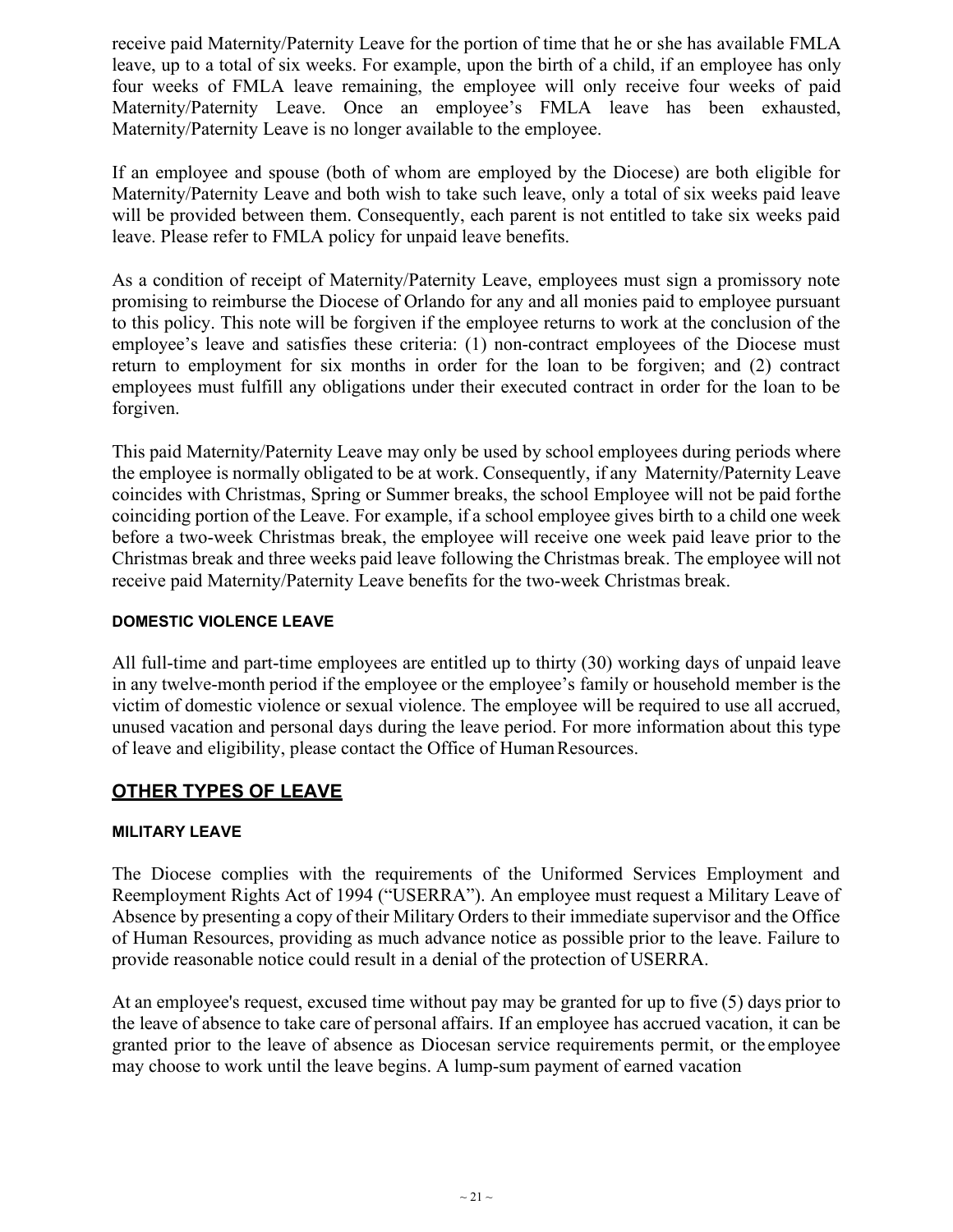receive paid Maternity/Paternity Leave for the portion of time that he or she has available FMLA leave, up to a total of six weeks. For example, upon the birth of a child, if an employee has only four weeks of FMLA leave remaining, the employee will only receive four weeks of paid Maternity/Paternity Leave. Once an employee's FMLA leave has been exhausted, Maternity/Paternity Leave is no longer available to the employee.

If an employee and spouse (both of whom are employed by the Diocese) are both eligible for Maternity/Paternity Leave and both wish to take such leave, only a total of six weeks paid leave will be provided between them. Consequently, each parent is not entitled to take six weeks paid leave. Please refer to FMLA policy for unpaid leave benefits.

As a condition of receipt of Maternity/Paternity Leave, employees must sign a promissory note promising to reimburse the Diocese of Orlando for any and all monies paid to employee pursuant to this policy. This note will be forgiven if the employee returns to work at the conclusion of the employee's leave and satisfies these criteria: (1) non-contract employees of the Diocese must return to employment for six months in order for the loan to be forgiven; and (2) contract employees must fulfill any obligations under their executed contract in order for the loan to be forgiven.

This paid Maternity/Paternity Leave may only be used by school employees during periods where the employee is normally obligated to be at work. Consequently, if any Maternity/Paternity Leave coincides with Christmas, Spring or Summer breaks, the school Employee will not be paid forthe coinciding portion of the Leave. For example, if a school employee gives birth to a child one week before a two-week Christmas break, the employee will receive one week paid leave prior to the Christmas break and three weeks paid leave following the Christmas break. The employee will not receive paid Maternity/Paternity Leave benefits for the two-week Christmas break.

#### <span id="page-20-0"></span>**DOMESTIC VIOLENCE LEAVE**

All full-time and part-time employees are entitled up to thirty (30) working days of unpaid leave in any twelve-month period if the employee or the employee's family or household member is the victim of domestic violence or sexual violence. The employee will be required to use all accrued, unused vacation and personal days during the leave period. For more information about this type of leave and eligibility, please contact the Office of HumanResources.

# <span id="page-20-1"></span>**OTHER TYPES OF LEAVE**

## <span id="page-20-2"></span>**MILITARY LEAVE**

The Diocese complies with the requirements of the Uniformed Services Employment and Reemployment Rights Act of 1994 ("USERRA"). An employee must request a Military Leave of Absence by presenting a copy of their Military Orders to their immediate supervisor and the Office of Human Resources, providing as much advance notice as possible prior to the leave. Failure to provide reasonable notice could result in a denial of the protection of USERRA.

At an employee's request, excused time without pay may be granted for up to five (5) days prior to the leave of absence to take care of personal affairs. If an employee has accrued vacation, it can be granted prior to the leave of absence as Diocesan service requirements permit, or the employee may choose to work until the leave begins. A lump-sum payment of earned vacation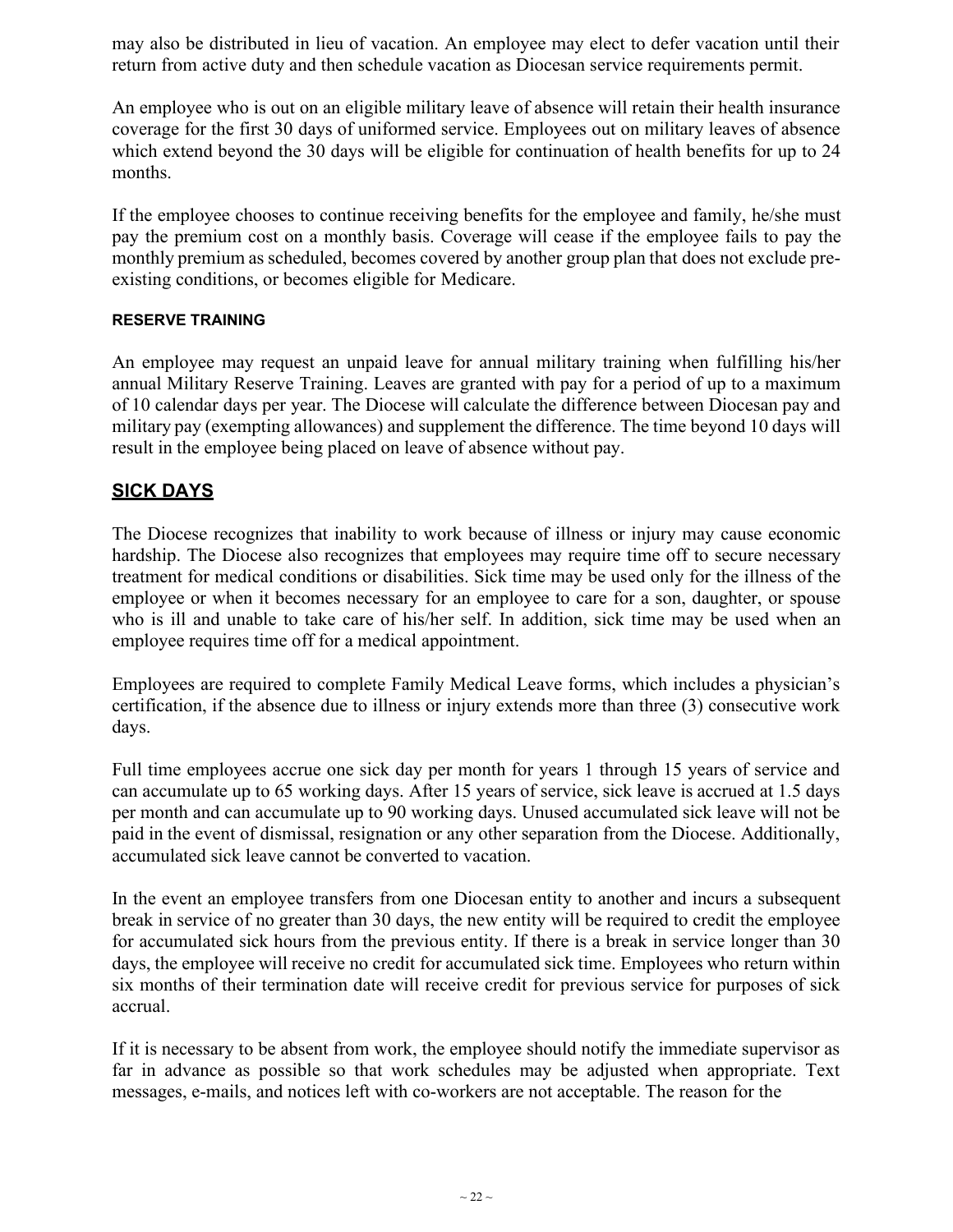may also be distributed in lieu of vacation. An employee may elect to defer vacation until their return from active duty and then schedule vacation as Diocesan service requirements permit.

An employee who is out on an eligible military leave of absence will retain their health insurance coverage for the first 30 days of uniformed service. Employees out on military leaves of absence which extend beyond the 30 days will be eligible for continuation of health benefits for up to 24 months.

If the employee chooses to continue receiving benefits for the employee and family, he/she must pay the premium cost on a monthly basis. Coverage will cease if the employee fails to pay the monthly premium as scheduled, becomes covered by another group plan that does not exclude preexisting conditions, or becomes eligible for Medicare.

### <span id="page-21-0"></span>**RESERVE TRAINING**

An employee may request an unpaid leave for annual military training when fulfilling his/her annual Military Reserve Training. Leaves are granted with pay for a period of up to a maximum of 10 calendar days per year. The Diocese will calculate the difference between Diocesan pay and military pay (exempting allowances) and supplement the difference. The time beyond 10 days will result in the employee being placed on leave of absence without pay.

# <span id="page-21-1"></span>**SICK DAYS**

The Diocese recognizes that inability to work because of illness or injury may cause economic hardship. The Diocese also recognizes that employees may require time off to secure necessary treatment for medical conditions or disabilities. Sick time may be used only for the illness of the employee or when it becomes necessary for an employee to care for a son, daughter, or spouse who is ill and unable to take care of his/her self. In addition, sick time may be used when an employee requires time off for a medical appointment.

Employees are required to complete Family Medical Leave forms, which includes a physician's certification, if the absence due to illness or injury extends more than three (3) consecutive work days.

Full time employees accrue one sick day per month for years 1 through 15 years of service and can accumulate up to 65 working days. After 15 years of service, sick leave is accrued at 1.5 days per month and can accumulate up to 90 working days. Unused accumulated sick leave will not be paid in the event of dismissal, resignation or any other separation from the Diocese. Additionally, accumulated sick leave cannot be converted to vacation.

In the event an employee transfers from one Diocesan entity to another and incurs a subsequent break in service of no greater than 30 days, the new entity will be required to credit the employee for accumulated sick hours from the previous entity. If there is a break in service longer than 30 days, the employee will receive no credit for accumulated sick time. Employees who return within six months of their termination date will receive credit for previous service for purposes of sick accrual.

If it is necessary to be absent from work, the employee should notify the immediate supervisor as far in advance as possible so that work schedules may be adjusted when appropriate. Text messages, e-mails, and notices left with co-workers are not acceptable. The reason for the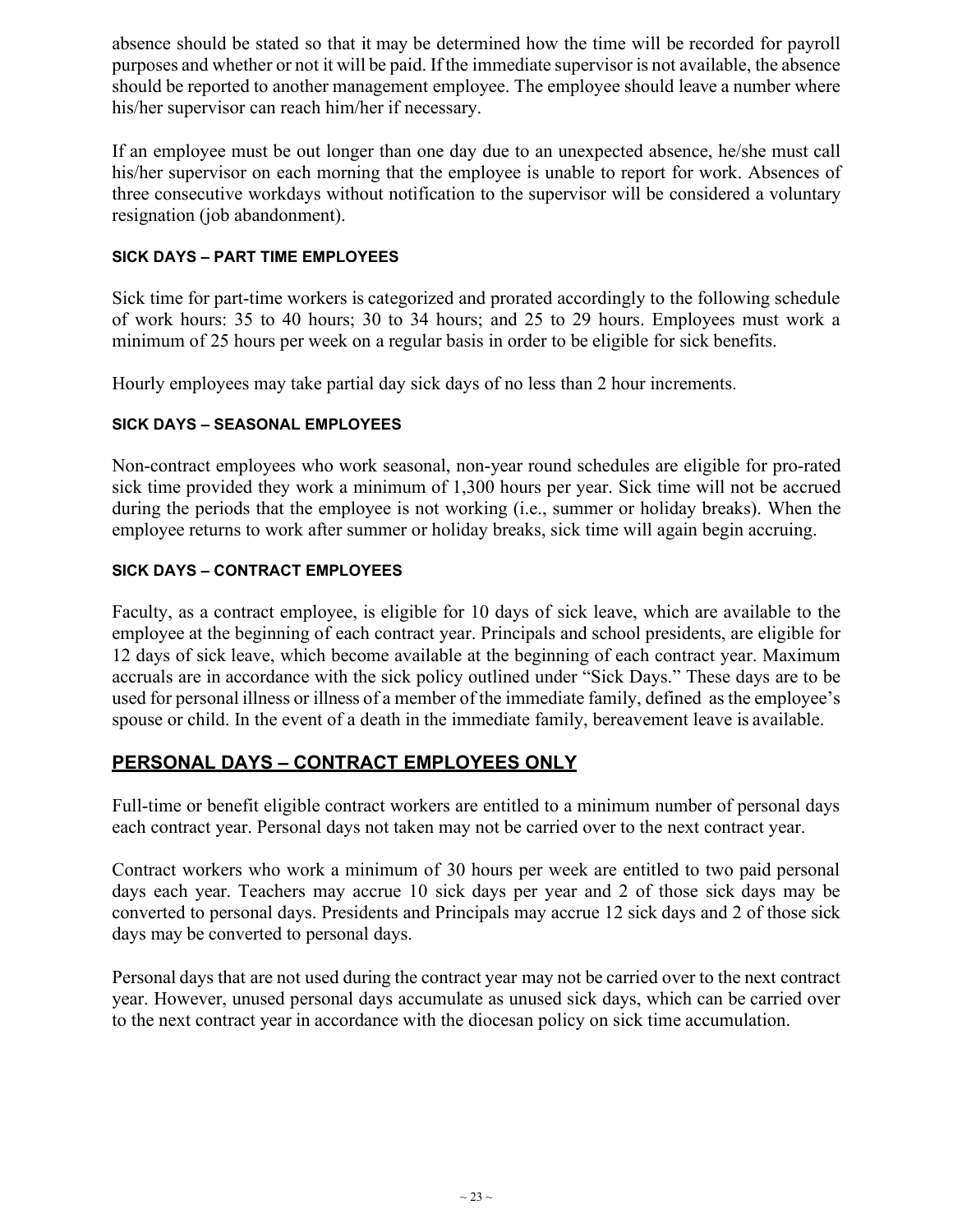absence should be stated so that it may be determined how the time will be recorded for payroll purposes and whether or not it will be paid. If the immediate supervisor is not available, the absence should be reported to another management employee. The employee should leave a number where his/her supervisor can reach him/her if necessary.

If an employee must be out longer than one day due to an unexpected absence, he/she must call his/her supervisor on each morning that the employee is unable to report for work. Absences of three consecutive workdays without notification to the supervisor will be considered a voluntary resignation (job abandonment).

### <span id="page-22-0"></span>**SICK DAYS – PART TIME EMPLOYEES**

Sick time for part-time workers is categorized and prorated accordingly to the following schedule of work hours: 35 to 40 hours; 30 to 34 hours; and 25 to 29 hours. Employees must work a minimum of 25 hours per week on a regular basis in order to be eligible for sick benefits.

Hourly employees may take partial day sick days of no less than 2 hour increments.

### <span id="page-22-1"></span>**SICK DAYS – SEASONAL EMPLOYEES**

Non-contract employees who work seasonal, non-year round schedules are eligible for pro-rated sick time provided they work a minimum of 1,300 hours per year. Sick time will not be accrued during the periods that the employee is not working (i.e., summer or holiday breaks). When the employee returns to work after summer or holiday breaks, sick time will again begin accruing.

#### <span id="page-22-2"></span>**SICK DAYS – CONTRACT EMPLOYEES**

Faculty, as a contract employee, is eligible for 10 days of sick leave, which are available to the employee at the beginning of each contract year. Principals and school presidents, are eligible for 12 days of sick leave, which become available at the beginning of each contract year. Maximum accruals are in accordance with the sick policy outlined under "Sick Days." These days are to be used for personal illness or illness of a member of the immediate family, defined as the employee's spouse or child. In the event of a death in the immediate family, bereavement leave is available.

# <span id="page-22-3"></span>**PERSONAL DAYS – CONTRACT EMPLOYEES ONLY**

Full-time or benefit eligible contract workers are entitled to a minimum number of personal days each contract year. Personal days not taken may not be carried over to the next contract year.

Contract workers who work a minimum of 30 hours per week are entitled to two paid personal days each year. Teachers may accrue 10 sick days per year and 2 of those sick days may be converted to personal days. Presidents and Principals may accrue 12 sick days and 2 of those sick days may be converted to personal days.

Personal days that are not used during the contract year may not be carried over to the next contract year. However, unused personal days accumulate as unused sick days, which can be carried over to the next contract year in accordance with the diocesan policy on sick time accumulation.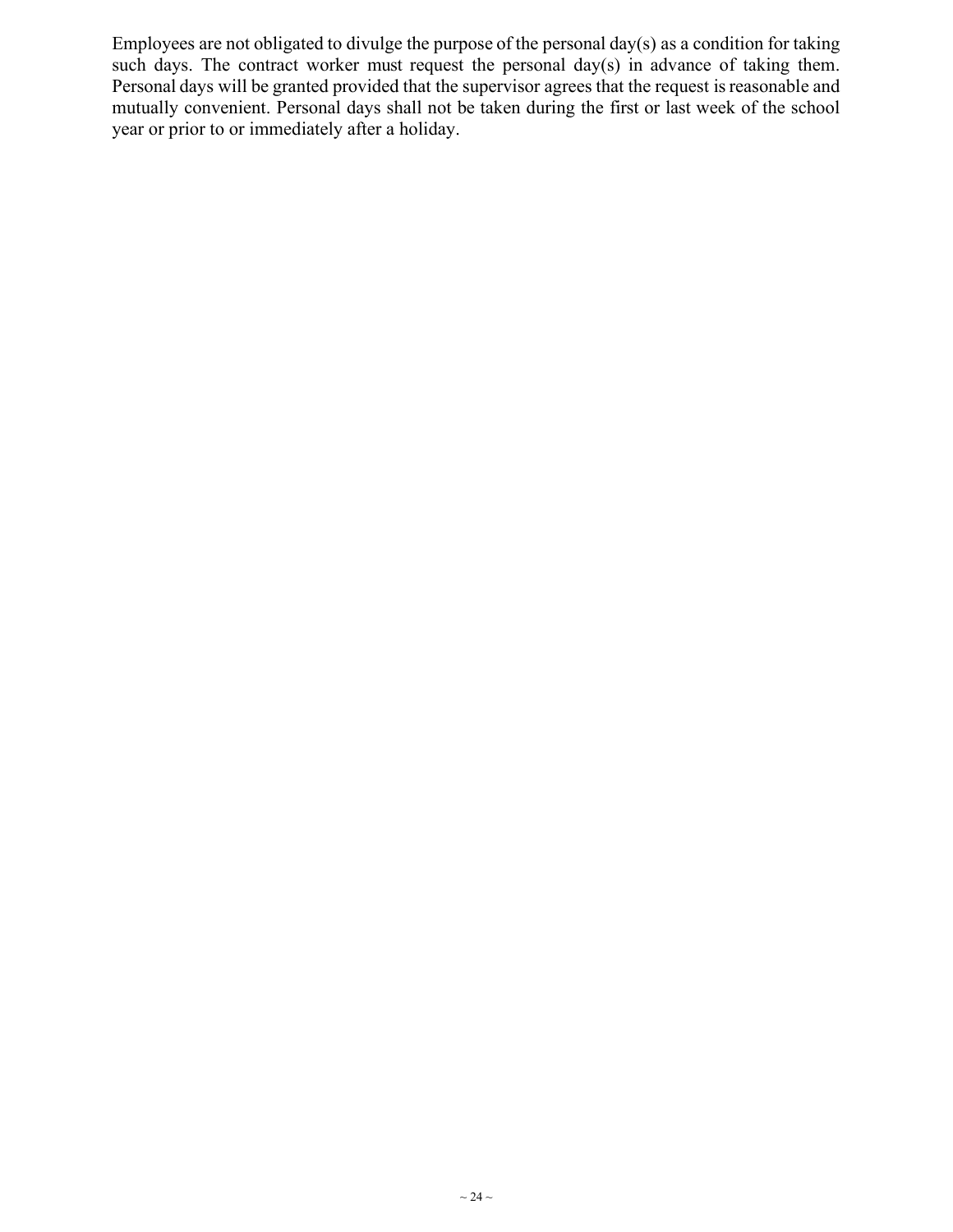Employees are not obligated to divulge the purpose of the personal day(s) as a condition for taking such days. The contract worker must request the personal day(s) in advance of taking them. Personal days will be granted provided that the supervisor agrees that the request is reasonable and mutually convenient. Personal days shall not be taken during the first or last week of the school year or prior to or immediately after a holiday.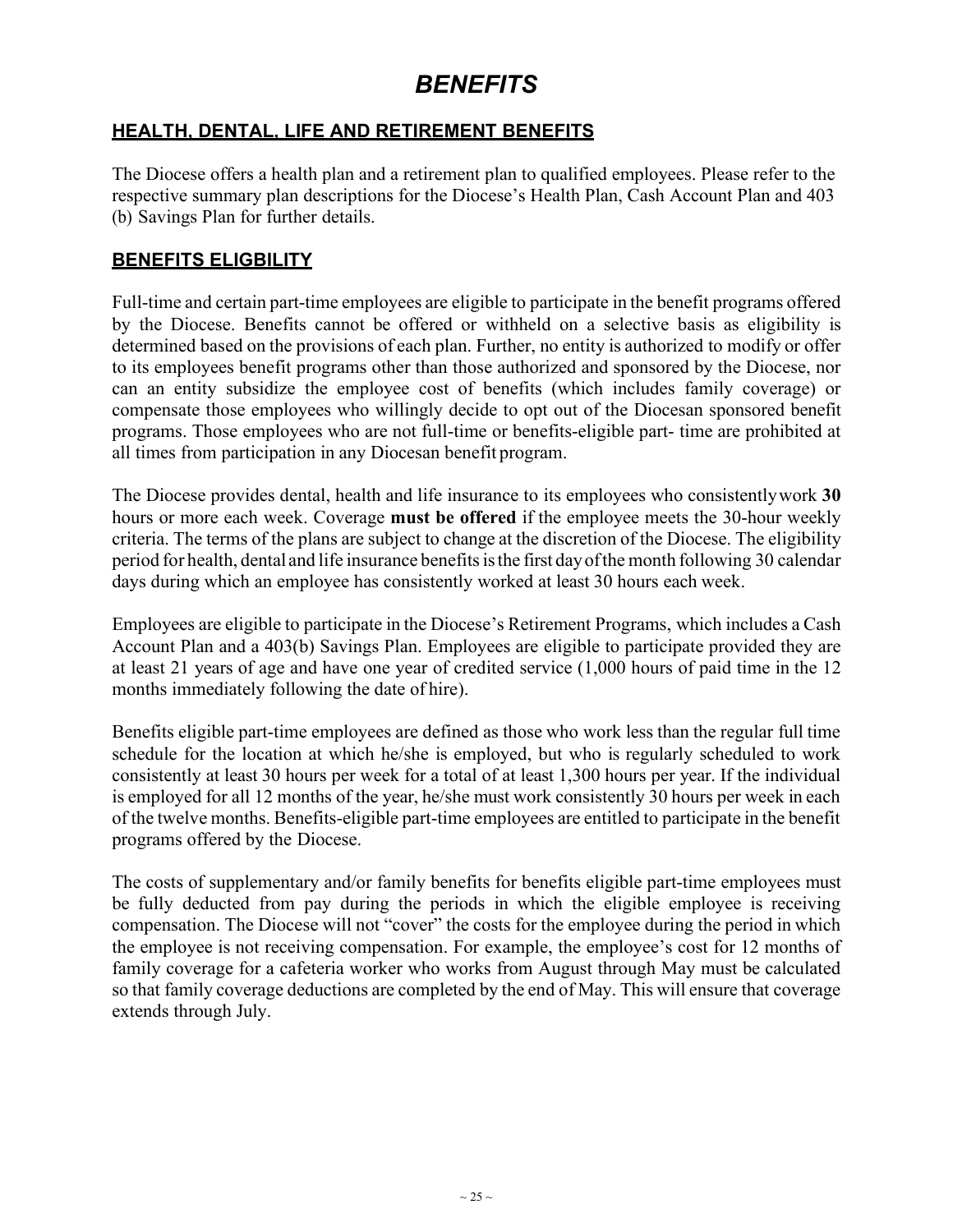# *BENEFITS*

# <span id="page-24-1"></span><span id="page-24-0"></span>**HEALTH, DENTAL, LIFE AND RETIREMENT BENEFITS**

The Diocese offers a health plan and a retirement plan to qualified employees. Please refer to the respective summary plan descriptions for the Diocese's Health Plan, Cash Account Plan and 403 (b) Savings Plan for further details.

## <span id="page-24-2"></span>**BENEFITS ELIGBILITY**

Full-time and certain part-time employees are eligible to participate in the benefit programs offered by the Diocese. Benefits cannot be offered or withheld on a selective basis as eligibility is determined based on the provisions of each plan. Further, no entity is authorized to modify or offer to its employees benefit programs other than those authorized and sponsored by the Diocese, nor can an entity subsidize the employee cost of benefits (which includes family coverage) or compensate those employees who willingly decide to opt out of the Diocesan sponsored benefit programs. Those employees who are not full-time or benefits-eligible part- time are prohibited at all times from participation in any Diocesan benefit program.

The Diocese provides dental, health and life insurance to its employees who consistently work **30**  hours or more each week. Coverage **must be offered** if the employee meets the 30-hour weekly criteria. The terms of the plans are subject to change at the discretion of the Diocese. The eligibility period for health, dental and life insurance benefits is the first day of the month following 30 calendar days during which an employee has consistently worked at least 30 hours each week.

Employees are eligible to participate in the Diocese's Retirement Programs, which includes a Cash Account Plan and a 403(b) Savings Plan. Employees are eligible to participate provided they are at least 21 years of age and have one year of credited service (1,000 hours of paid time in the 12 months immediately following the date of hire).

Benefits eligible part-time employees are defined as those who work less than the regular full time schedule for the location at which he/she is employed, but who is regularly scheduled to work consistently at least 30 hours per week for a total of at least 1,300 hours per year. If the individual is employed for all 12 months of the year, he/she must work consistently 30 hours per week in each of the twelve months. Benefits-eligible part-time employees are entitled to participate in the benefit programs offered by the Diocese.

The costs of supplementary and/or family benefits for benefits eligible part-time employees must be fully deducted from pay during the periods in which the eligible employee is receiving compensation. The Diocese will not "cover" the costs for the employee during the period in which the employee is not receiving compensation. For example, the employee's cost for 12 months of family coverage for a cafeteria worker who works from August through May must be calculated so that family coverage deductions are completed by the end of May. This will ensure that coverage extends through July.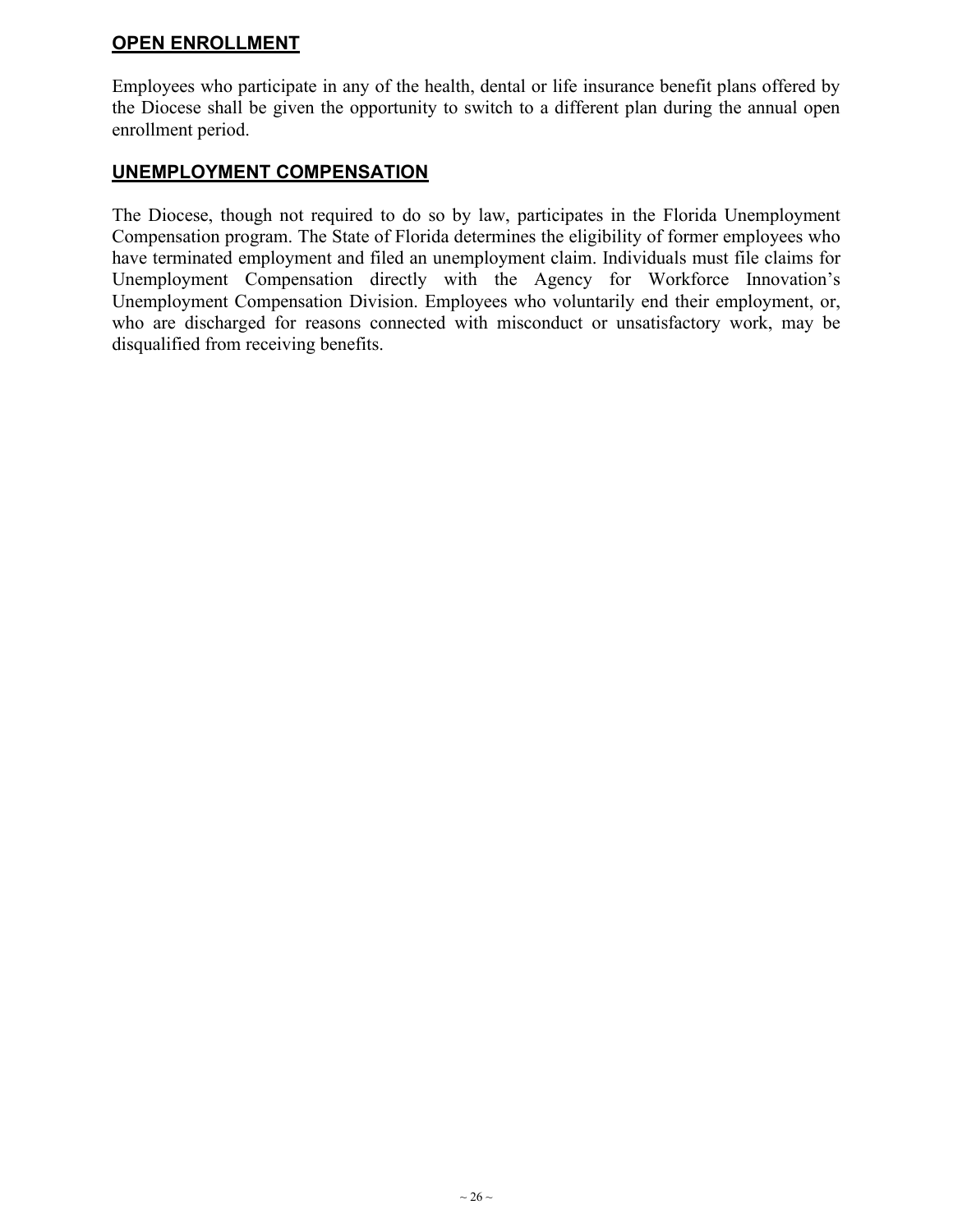## <span id="page-25-0"></span>**OPEN ENROLLMENT**

Employees who participate in any of the health, dental or life insurance benefit plans offered by the Diocese shall be given the opportunity to switch to a different plan during the annual open enrollment period.

## <span id="page-25-1"></span>**UNEMPLOYMENT COMPENSATION**

The Diocese, though not required to do so by law, participates in the Florida Unemployment Compensation program. The State of Florida determines the eligibility of former employees who have terminated employment and filed an unemployment claim. Individuals must file claims for Unemployment Compensation directly with the Agency for Workforce Innovation's Unemployment Compensation Division. Employees who voluntarily end their employment, or, who are discharged for reasons connected with misconduct or unsatisfactory work, may be disqualified from receiving benefits.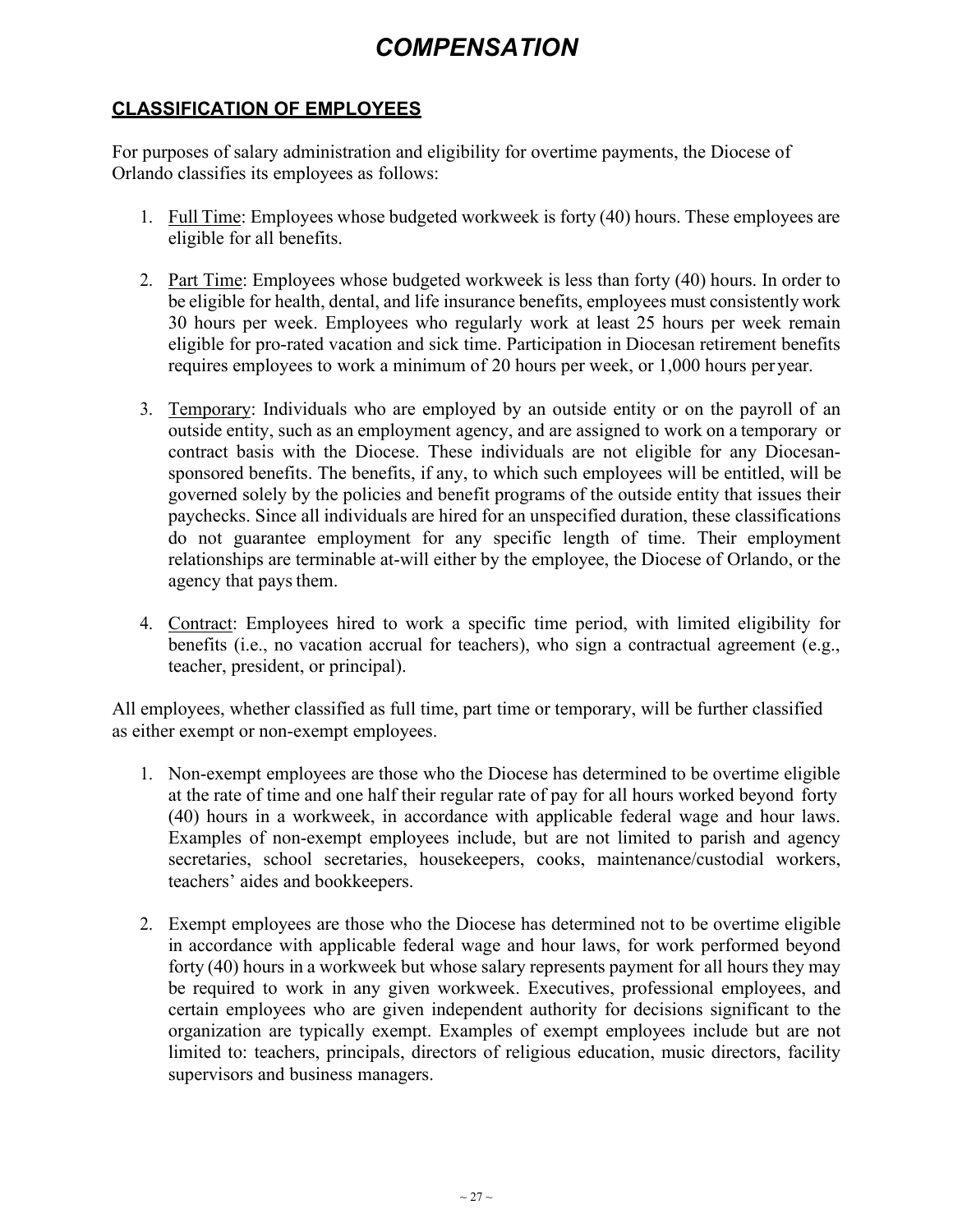# *COMPENSATION*

# <span id="page-26-1"></span><span id="page-26-0"></span>**CLASSIFICATION OF EMPLOYEES**

For purposes of salary administration and eligibility for overtime payments, the Diocese of Orlando classifies its employees as follows:

- 1. Full Time: Employees whose budgeted workweek is forty (40) hours. These employees are eligible for all benefits.
- 2. Part Time: Employees whose budgeted workweek is less than forty (40) hours. In order to be eligible for health, dental, and life insurance benefits, employees must consistently work 30 hours per week. Employees who regularly work at least 25 hours per week remain eligible for pro-rated vacation and sick time. Participation in Diocesan retirement benefits requires employees to work a minimum of 20 hours per week, or 1,000 hours per year.
- 3. Temporary: Individuals who are employed by an outside entity or on the payroll of an outside entity, such as an employment agency, and are assigned to work on a temporary or contract basis with the Diocese. These individuals are not eligible for any Diocesansponsored benefits. The benefits, if any, to which such employees will be entitled, will be governed solely by the policies and benefit programs of the outside entity that issues their paychecks. Since all individuals are hired for an unspecified duration, these classifications do not guarantee employment for any specific length of time. Their employment relationships are terminable at-will either by the employee, the Diocese of Orlando, or the agency that pays them.
- 4. Contract: Employees hired to work a specific time period, with limited eligibility for benefits (i.e., no vacation accrual for teachers), who sign a contractual agreement (e.g., teacher, president, or principal).

All employees, whether classified as full time, part time or temporary, will be further classified as either exempt or non-exempt employees.

- 1. Non-exempt employees are those who the Diocese has determined to be overtime eligible at the rate of time and one half their regular rate of pay for all hours worked beyond forty (40) hours in a workweek, in accordance with applicable federal wage and hour laws. Examples of non-exempt employees include, but are not limited to parish and agency secretaries, school secretaries, housekeepers, cooks, maintenance/custodial workers, teachers' aides and bookkeepers.
- 2. Exempt employees are those who the Diocese has determined not to be overtime eligible in accordance with applicable federal wage and hour laws, for work performed beyond forty (40) hours in a workweek but whose salary represents payment for all hours they may be required to work in any given workweek. Executives, professional employees, and certain employees who are given independent authority for decisions significant to the organization are typically exempt. Examples of exempt employees include but are not limited to: teachers, principals, directors of religious education, music directors, facility supervisors and business managers.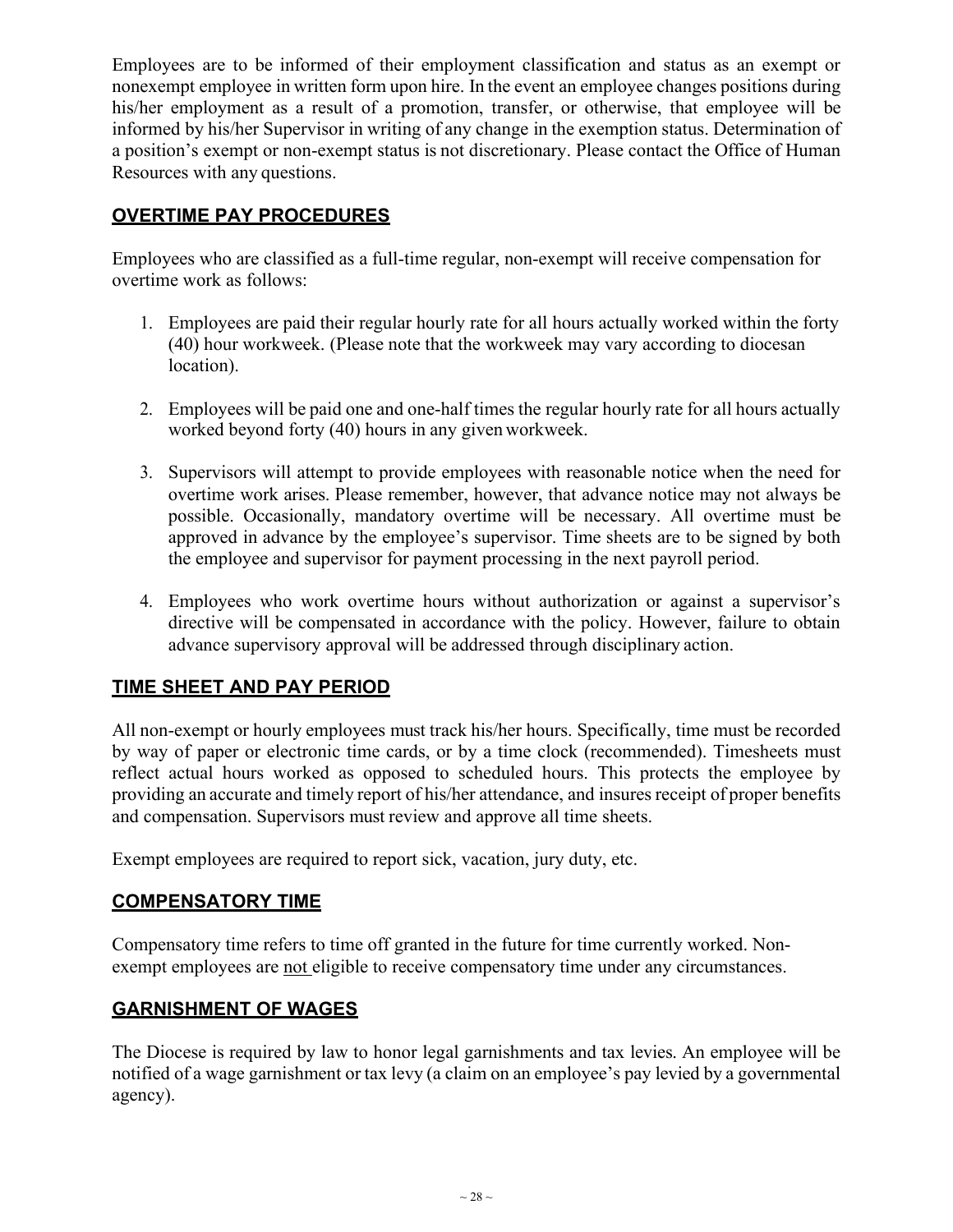Employees are to be informed of their employment classification and status as an exempt or nonexempt employee in written form upon hire. In the event an employee changes positions during his/her employment as a result of a promotion, transfer, or otherwise, that employee will be informed by his/her Supervisor in writing of any change in the exemption status. Determination of a position's exempt or non-exempt status is not discretionary. Please contact the Office of Human Resources with any questions.

# <span id="page-27-0"></span>**OVERTIME PAY PROCEDURES**

Employees who are classified as a full-time regular, non-exempt will receive compensation for overtime work as follows:

- 1. Employees are paid their regular hourly rate for all hours actually worked within the forty (40) hour workweek. (Please note that the workweek may vary according to diocesan location).
- 2. Employees will be paid one and one-half times the regular hourly rate for all hours actually worked beyond forty (40) hours in any given workweek.
- 3. Supervisors will attempt to provide employees with reasonable notice when the need for overtime work arises. Please remember, however, that advance notice may not always be possible. Occasionally, mandatory overtime will be necessary. All overtime must be approved in advance by the employee's supervisor. Time sheets are to be signed by both the employee and supervisor for payment processing in the next payroll period.
- 4. Employees who work overtime hours without authorization or against a supervisor's directive will be compensated in accordance with the policy. However, failure to obtain advance supervisory approval will be addressed through disciplinary action.

# <span id="page-27-1"></span>**TIME SHEET AND PAY PERIOD**

All non-exempt or hourly employees must track his/her hours. Specifically, time must be recorded by way of paper or electronic time cards, or by a time clock (recommended). Timesheets must reflect actual hours worked as opposed to scheduled hours. This protects the employee by providing an accurate and timely report of his/her attendance, and insures receipt of proper benefits and compensation. Supervisors must review and approve all time sheets.

Exempt employees are required to report sick, vacation, jury duty, etc.

# <span id="page-27-2"></span>**COMPENSATORY TIME**

Compensatory time refers to time off granted in the future for time currently worked. Nonexempt employees are not eligible to receive compensatory time under any circumstances.

# <span id="page-27-3"></span>**GARNISHMENT OF WAGES**

The Diocese is required by law to honor legal garnishments and tax levies. An employee will be notified of a wage garnishment or tax levy (a claim on an employee's pay levied by a governmental agency).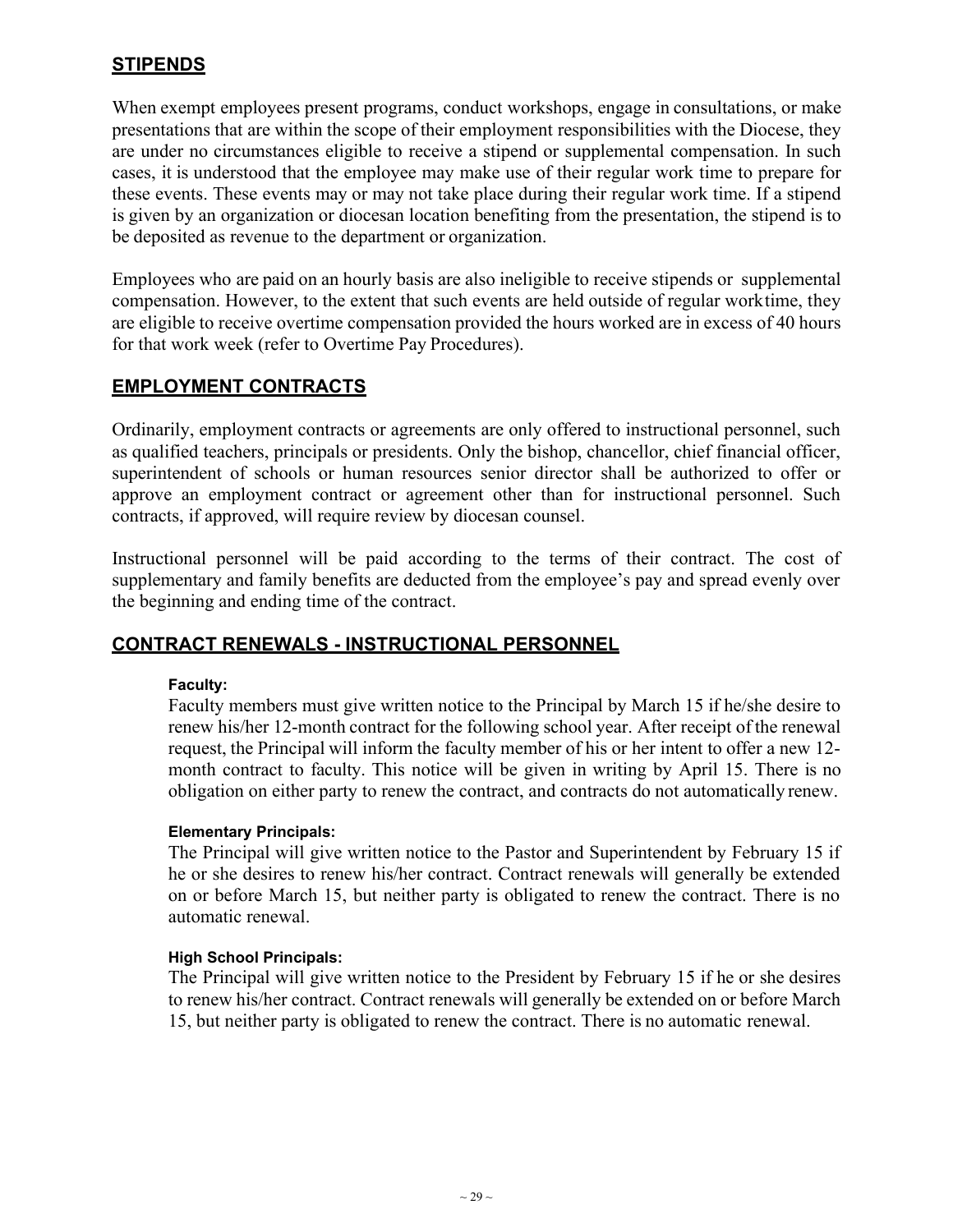# <span id="page-28-0"></span>**STIPENDS**

When exempt employees present programs, conduct workshops, engage in consultations, or make presentations that are within the scope of their employment responsibilities with the Diocese, they are under no circumstances eligible to receive a stipend or supplemental compensation. In such cases, it is understood that the employee may make use of their regular work time to prepare for these events. These events may or may not take place during their regular work time. If a stipend is given by an organization or diocesan location benefiting from the presentation, the stipend is to be deposited as revenue to the department or organization.

Employees who are paid on an hourly basis are also ineligible to receive stipends or supplemental compensation. However, to the extent that such events are held outside of regular worktime, they are eligible to receive overtime compensation provided the hours worked are in excess of 40 hours for that work week (refer to Overtime Pay Procedures).

### <span id="page-28-1"></span>**EMPLOYMENT CONTRACTS**

Ordinarily, employment contracts or agreements are only offered to instructional personnel, such as qualified teachers, principals or presidents. Only the bishop, chancellor, chief financial officer, superintendent of schools or human resources senior director shall be authorized to offer or approve an employment contract or agreement other than for instructional personnel. Such contracts, if approved, will require review by diocesan counsel.

Instructional personnel will be paid according to the terms of their contract. The cost of supplementary and family benefits are deducted from the employee's pay and spread evenly over the beginning and ending time of the contract.

## <span id="page-28-3"></span><span id="page-28-2"></span>**CONTRACT RENEWALS - INSTRUCTIONAL PERSONNEL**

#### **Faculty:**

Faculty members must give written notice to the Principal by March 15 if he/she desire to renew his/her 12-month contract for the following school year. After receipt of the renewal request, the Principal will inform the faculty member of his or her intent to offer a new 12 month contract to faculty. This notice will be given in writing by April 15. There is no obligation on either party to renew the contract, and contracts do not automatically renew.

#### <span id="page-28-4"></span>**Elementary Principals:**

The Principal will give written notice to the Pastor and Superintendent by February 15 if he or she desires to renew his/her contract. Contract renewals will generally be extended on or before March 15, but neither party is obligated to renew the contract. There is no automatic renewal.

#### <span id="page-28-5"></span>**High School Principals:**

The Principal will give written notice to the President by February 15 if he or she desires to renew his/her contract. Contract renewals will generally be extended on or before March 15, but neither party is obligated to renew the contract. There is no automatic renewal.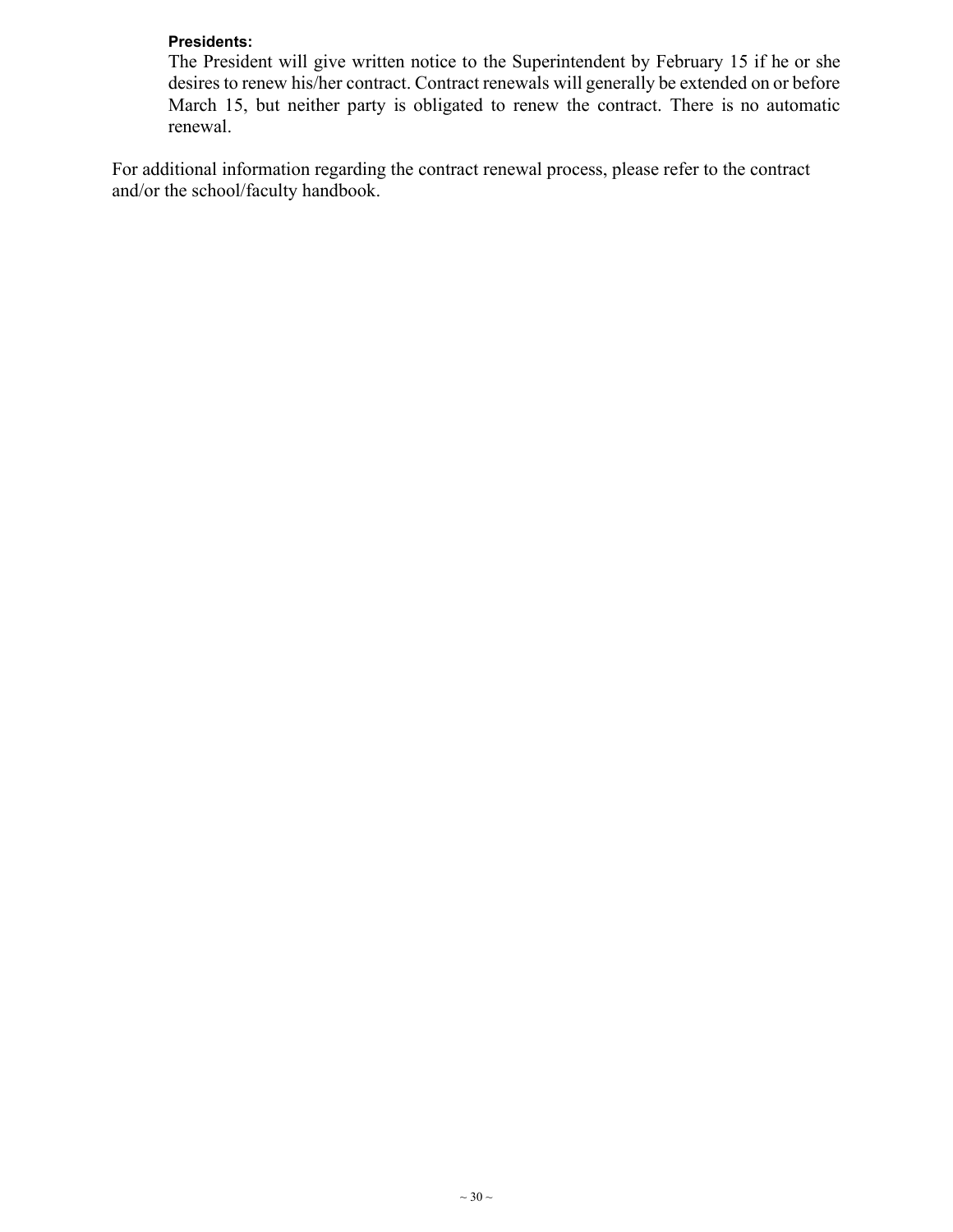#### <span id="page-29-0"></span>**Presidents:**

The President will give written notice to the Superintendent by February 15 if he or she desires to renew his/her contract. Contract renewals will generally be extended on or before March 15, but neither party is obligated to renew the contract. There is no automatic renewal.

For additional information regarding the contract renewal process, please refer to the contract and/or the school/faculty handbook.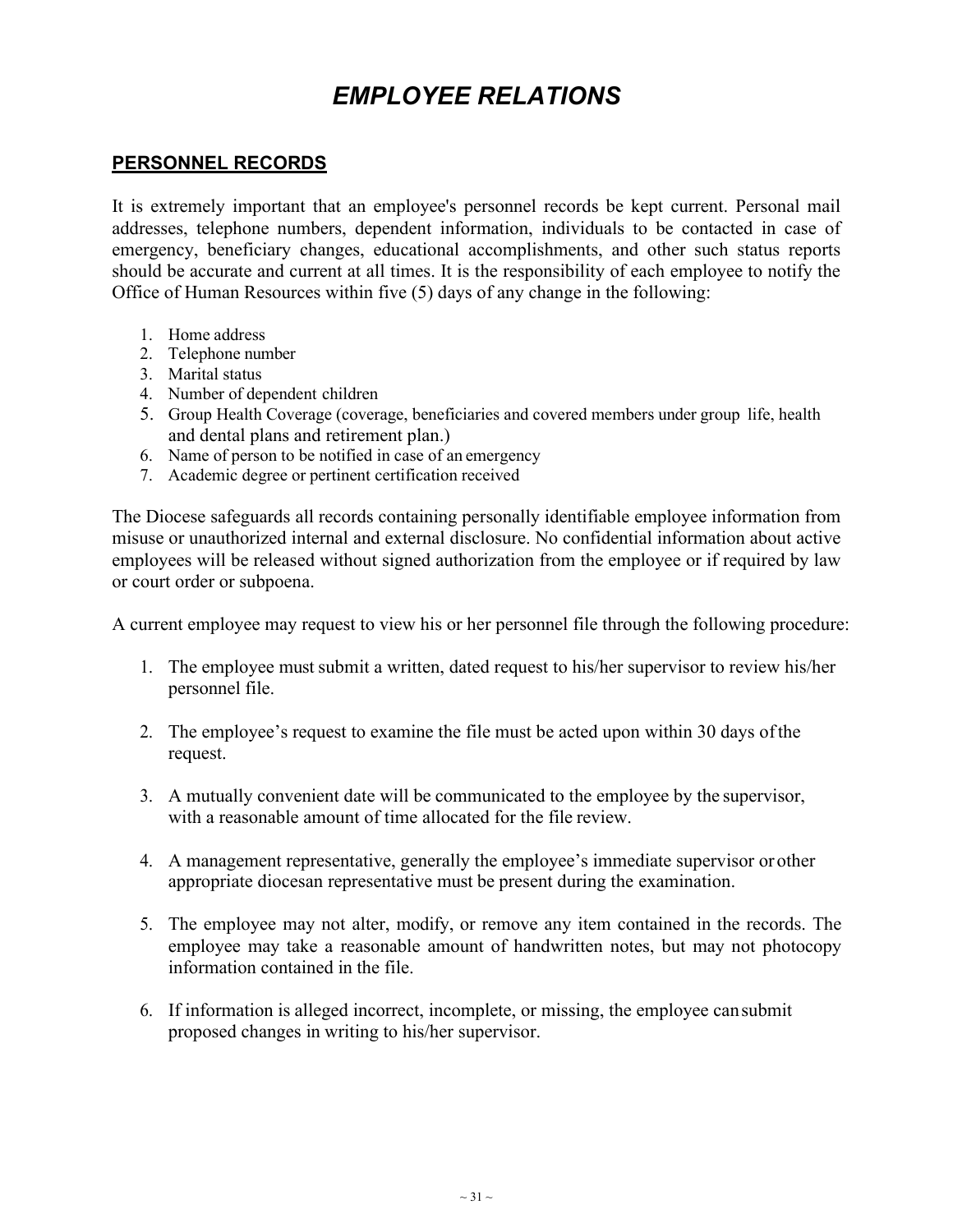# *EMPLOYEE RELATIONS*

## <span id="page-30-1"></span><span id="page-30-0"></span>**PERSONNEL RECORDS**

It is extremely important that an employee's personnel records be kept current. Personal mail addresses, telephone numbers, dependent information, individuals to be contacted in case of emergency, beneficiary changes, educational accomplishments, and other such status reports should be accurate and current at all times. It is the responsibility of each employee to notify the Office of Human Resources within five (5) days of any change in the following:

- 1. Home address
- 2. Telephone number
- 3. Marital status
- 4. Number of dependent children
- 5. Group Health Coverage (coverage, beneficiaries and covered members under group life, health and dental plans and retirement plan.)
- 6. Name of person to be notified in case of an emergency
- 7. Academic degree or pertinent certification received

The Diocese safeguards all records containing personally identifiable employee information from misuse or unauthorized internal and external disclosure. No confidential information about active employees will be released without signed authorization from the employee or if required by law or court order or subpoena.

A current employee may request to view his or her personnel file through the following procedure:

- 1. The employee must submit a written, dated request to his/her supervisor to review his/her personnel file.
- 2. The employee's request to examine the file must be acted upon within 30 days ofthe request.
- 3. A mutually convenient date will be communicated to the employee by the supervisor, with a reasonable amount of time allocated for the file review.
- 4. A management representative, generally the employee's immediate supervisor or other appropriate diocesan representative must be present during the examination.
- 5. The employee may not alter, modify, or remove any item contained in the records. The employee may take a reasonable amount of handwritten notes, but may not photocopy information contained in the file.
- 6. If information is alleged incorrect, incomplete, or missing, the employee cansubmit proposed changes in writing to his/her supervisor.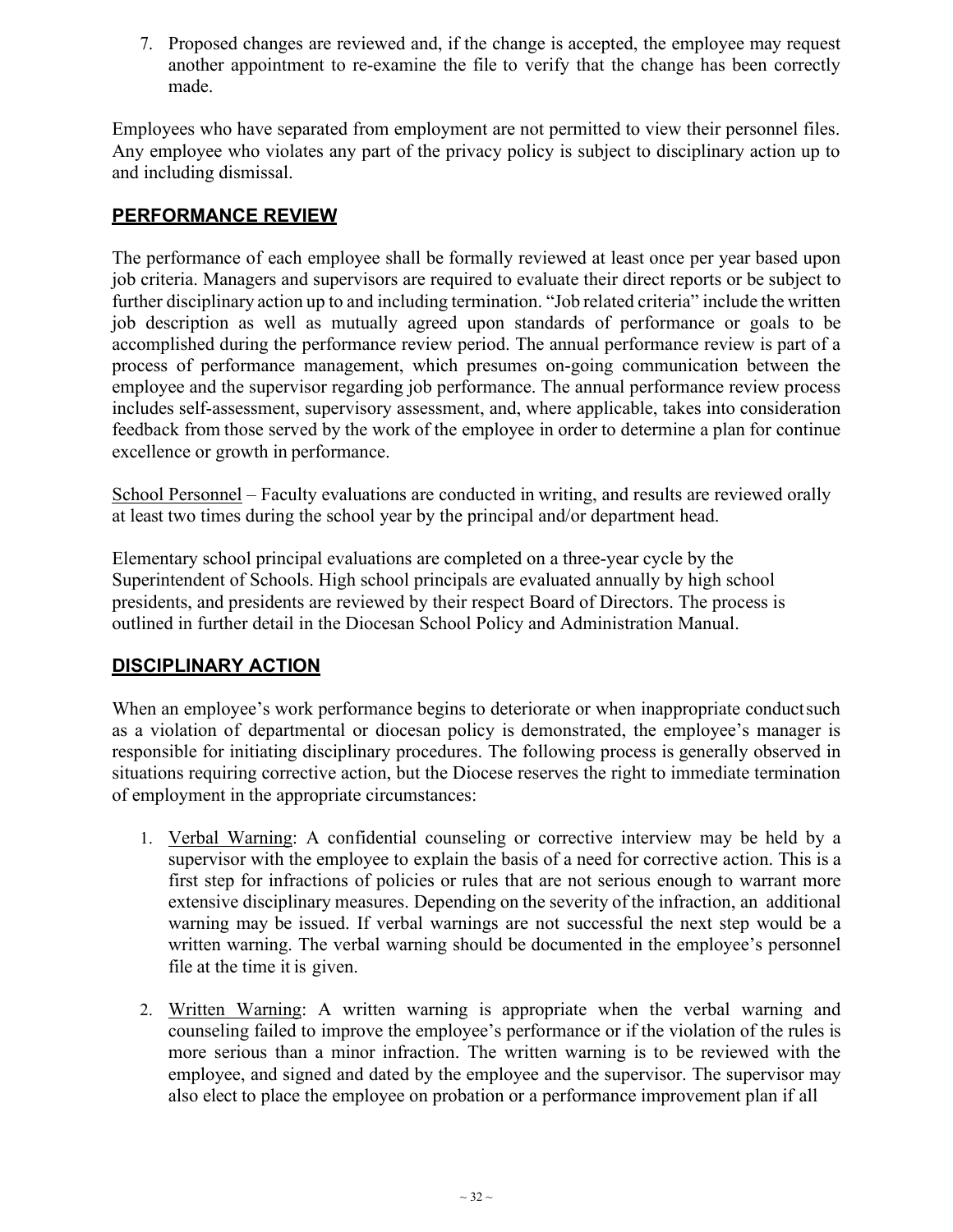7. Proposed changes are reviewed and, if the change is accepted, the employee may request another appointment to re-examine the file to verify that the change has been correctly made.

Employees who have separated from employment are not permitted to view their personnel files. Any employee who violates any part of the privacy policy is subject to disciplinary action up to and including dismissal.

### <span id="page-31-0"></span>**PERFORMANCE REVIEW**

The performance of each employee shall be formally reviewed at least once per year based upon job criteria. Managers and supervisors are required to evaluate their direct reports or be subject to further disciplinary action up to and including termination. "Job related criteria" include the written job description as well as mutually agreed upon standards of performance or goals to be accomplished during the performance review period. The annual performance review is part of a process of performance management, which presumes on-going communication between the employee and the supervisor regarding job performance. The annual performance review process includes self-assessment, supervisory assessment, and, where applicable, takes into consideration feedback from those served by the work of the employee in order to determine a plan for continue excellence or growth in performance.

School Personnel – Faculty evaluations are conducted in writing, and results are reviewed orally at least two times during the school year by the principal and/or department head.

Elementary school principal evaluations are completed on a three-year cycle by the Superintendent of Schools. High school principals are evaluated annually by high school presidents, and presidents are reviewed by their respect Board of Directors. The process is outlined in further detail in the Diocesan School Policy and Administration Manual.

# <span id="page-31-1"></span>**DISCIPLINARY ACTION**

When an employee's work performance begins to deteriorate or when inappropriate conduct such as a violation of departmental or diocesan policy is demonstrated, the employee's manager is responsible for initiating disciplinary procedures. The following process is generally observed in situations requiring corrective action, but the Diocese reserves the right to immediate termination of employment in the appropriate circumstances:

- 1. Verbal Warning: A confidential counseling or corrective interview may be held by a supervisor with the employee to explain the basis of a need for corrective action. This is a first step for infractions of policies or rules that are not serious enough to warrant more extensive disciplinary measures. Depending on the severity of the infraction, an additional warning may be issued. If verbal warnings are not successful the next step would be a written warning. The verbal warning should be documented in the employee's personnel file at the time it is given.
- 2. Written Warning: A written warning is appropriate when the verbal warning and counseling failed to improve the employee's performance or if the violation of the rules is more serious than a minor infraction. The written warning is to be reviewed with the employee, and signed and dated by the employee and the supervisor. The supervisor may also elect to place the employee on probation or a performance improvement plan if all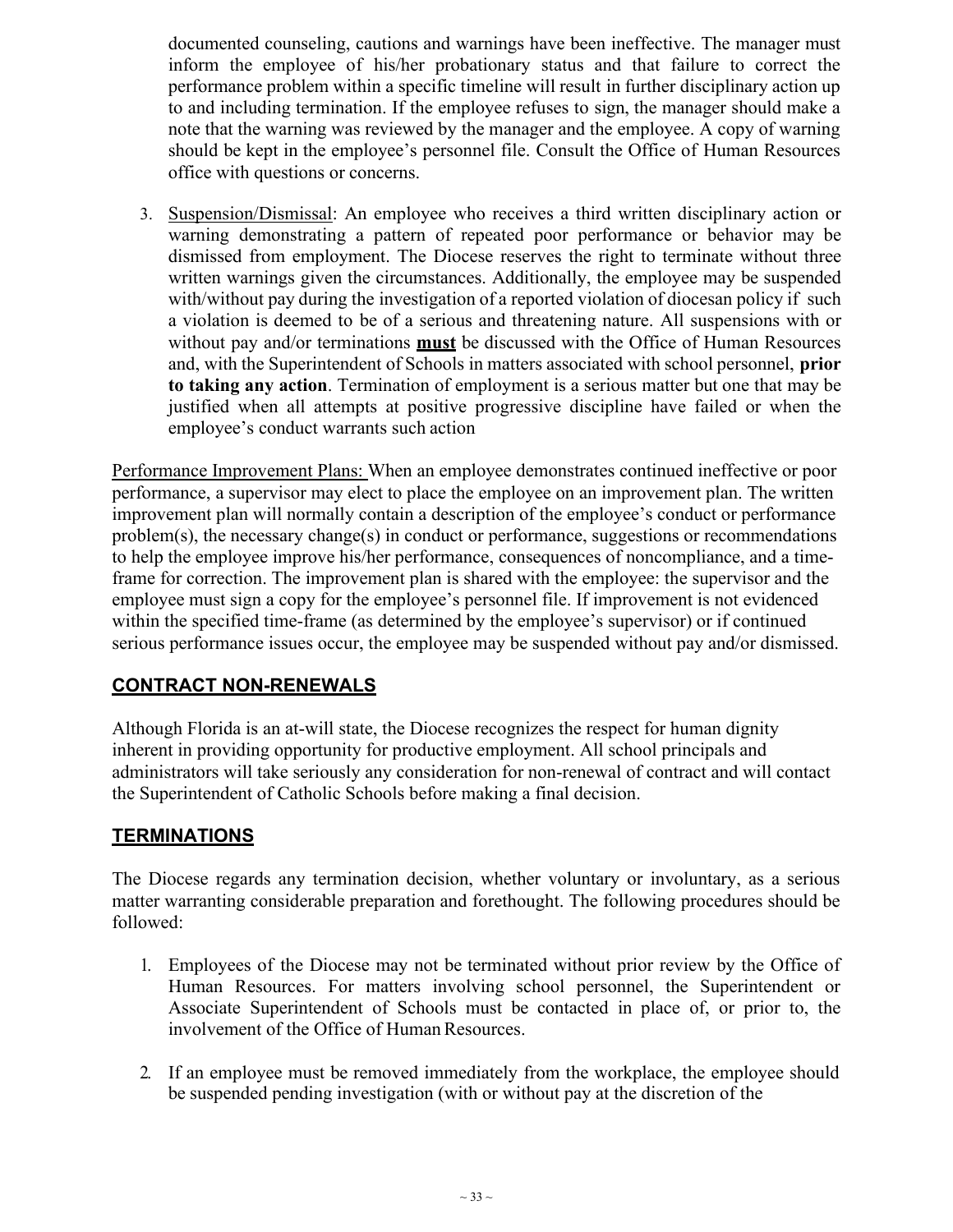documented counseling, cautions and warnings have been ineffective. The manager must inform the employee of his/her probationary status and that failure to correct the performance problem within a specific timeline will result in further disciplinary action up to and including termination. If the employee refuses to sign, the manager should make a note that the warning was reviewed by the manager and the employee. A copy of warning should be kept in the employee's personnel file. Consult the Office of Human Resources office with questions or concerns.

3. Suspension/Dismissal: An employee who receives a third written disciplinary action or warning demonstrating a pattern of repeated poor performance or behavior may be dismissed from employment. The Diocese reserves the right to terminate without three written warnings given the circumstances. Additionally, the employee may be suspended with/without pay during the investigation of a reported violation of diocesan policy if such a violation is deemed to be of a serious and threatening nature. All suspensions with or without pay and/or terminations **must** be discussed with the Office of Human Resources and, with the Superintendent of Schools in matters associated with school personnel, **prior to taking any action**. Termination of employment is a serious matter but one that may be justified when all attempts at positive progressive discipline have failed or when the employee's conduct warrants such action

Performance Improvement Plans: When an employee demonstrates continued ineffective or poor performance, a supervisor may elect to place the employee on an improvement plan. The written improvement plan will normally contain a description of the employee's conduct or performance problem(s), the necessary change(s) in conduct or performance, suggestions or recommendations to help the employee improve his/her performance, consequences of noncompliance, and a timeframe for correction. The improvement plan is shared with the employee: the supervisor and the employee must sign a copy for the employee's personnel file. If improvement is not evidenced within the specified time-frame (as determined by the employee's supervisor) or if continued serious performance issues occur, the employee may be suspended without pay and/or dismissed.

# <span id="page-32-0"></span>**CONTRACT NON-RENEWALS**

Although Florida is an at-will state, the Diocese recognizes the respect for human dignity inherent in providing opportunity for productive employment. All school principals and administrators will take seriously any consideration for non-renewal of contract and will contact the Superintendent of Catholic Schools before making a final decision.

## <span id="page-32-1"></span>**TERMINATIONS**

The Diocese regards any termination decision, whether voluntary or involuntary, as a serious matter warranting considerable preparation and forethought. The following procedures should be followed:

- 1. Employees of the Diocese may not be terminated without prior review by the Office of Human Resources. For matters involving school personnel, the Superintendent or Associate Superintendent of Schools must be contacted in place of, or prior to, the involvement of the Office of Human Resources.
- 2. If an employee must be removed immediately from the workplace, the employee should be suspended pending investigation (with or without pay at the discretion of the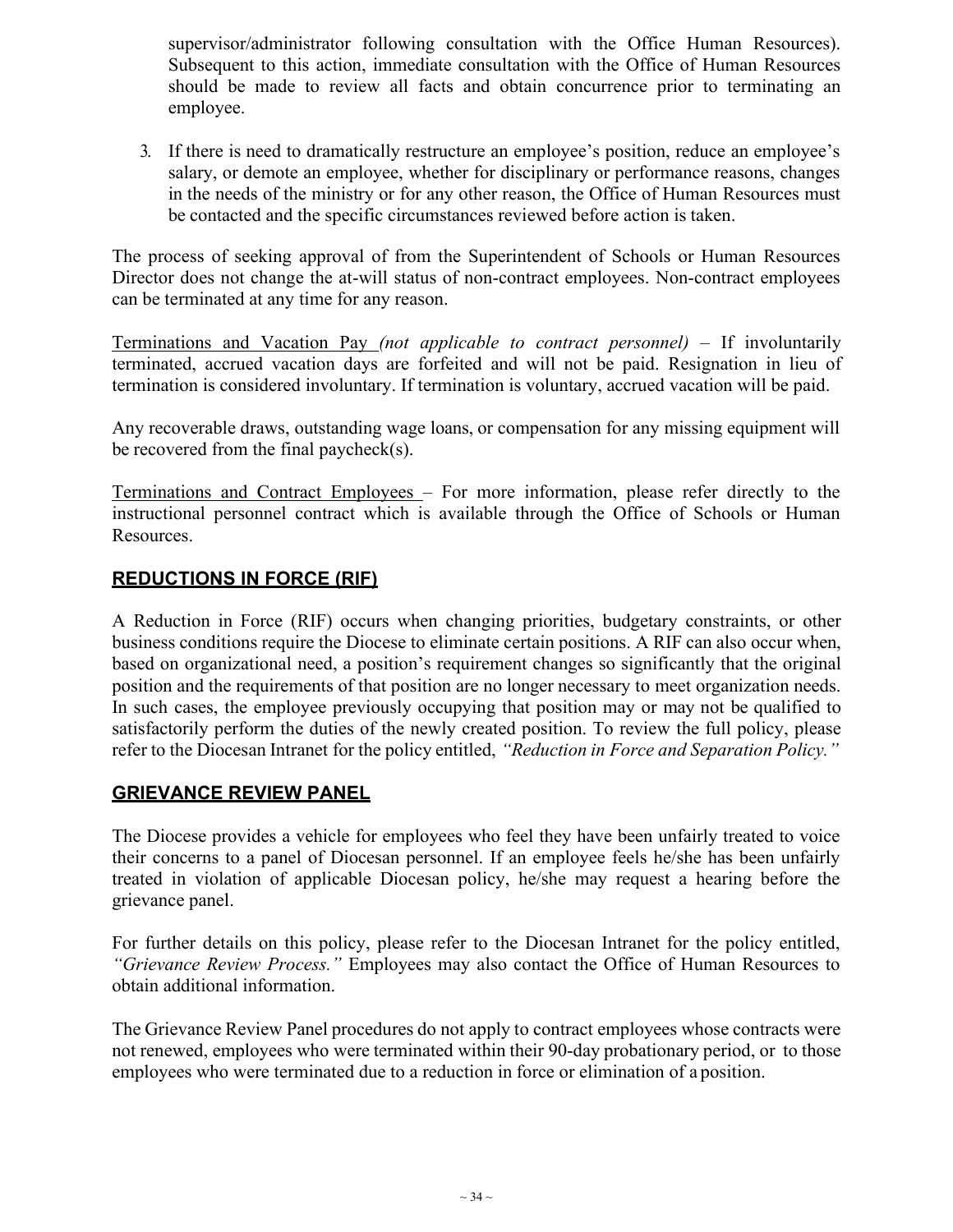supervisor/administrator following consultation with the Office Human Resources). Subsequent to this action, immediate consultation with the Office of Human Resources should be made to review all facts and obtain concurrence prior to terminating an employee.

3. If there is need to dramatically restructure an employee's position, reduce an employee's salary, or demote an employee, whether for disciplinary or performance reasons, changes in the needs of the ministry or for any other reason, the Office of Human Resources must be contacted and the specific circumstances reviewed before action is taken.

The process of seeking approval of from the Superintendent of Schools or Human Resources Director does not change the at-will status of non-contract employees. Non-contract employees can be terminated at any time for any reason.

Terminations and Vacation Pay *(not applicable to contract personnel)* – If involuntarily terminated, accrued vacation days are forfeited and will not be paid. Resignation in lieu of termination is considered involuntary. If termination is voluntary, accrued vacation will be paid.

Any recoverable draws, outstanding wage loans, or compensation for any missing equipment will be recovered from the final paycheck(s).

Terminations and Contract Employees – For more information, please refer directly to the instructional personnel contract which is available through the Office of Schools or Human Resources.

## <span id="page-33-0"></span>**REDUCTIONS IN FORCE (RIF)**

A Reduction in Force (RIF) occurs when changing priorities, budgetary constraints, or other business conditions require the Diocese to eliminate certain positions. A RIF can also occur when, based on organizational need, a position's requirement changes so significantly that the original position and the requirements of that position are no longer necessary to meet organization needs. In such cases, the employee previously occupying that position may or may not be qualified to satisfactorily perform the duties of the newly created position. To review the full policy, please refer to the Diocesan Intranet for the policy entitled, *"Reduction in Force and Separation Policy."*

## <span id="page-33-1"></span>**GRIEVANCE REVIEW PANEL**

The Diocese provides a vehicle for employees who feel they have been unfairly treated to voice their concerns to a panel of Diocesan personnel. If an employee feels he/she has been unfairly treated in violation of applicable Diocesan policy, he/she may request a hearing before the grievance panel.

For further details on this policy, please refer to the Diocesan Intranet for the policy entitled, *"Grievance Review Process."* Employees may also contact the Office of Human Resources to obtain additional information.

The Grievance Review Panel procedures do not apply to contract employees whose contracts were not renewed, employees who were terminated within their 90-day probationary period, or to those employees who were terminated due to a reduction in force or elimination of a position.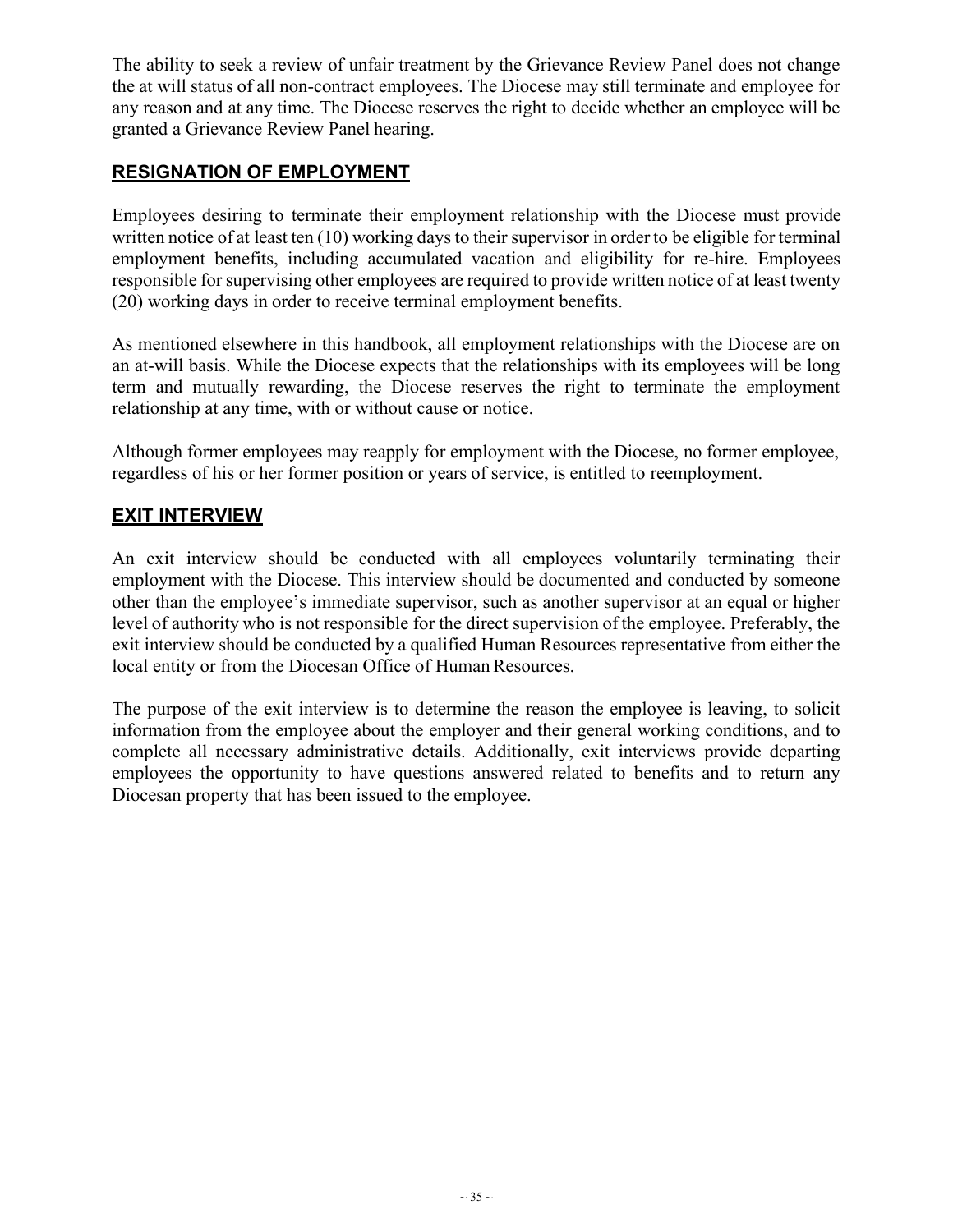The ability to seek a review of unfair treatment by the Grievance Review Panel does not change the at will status of all non-contract employees. The Diocese may still terminate and employee for any reason and at any time. The Diocese reserves the right to decide whether an employee will be granted a Grievance Review Panel hearing.

# <span id="page-34-0"></span>**RESIGNATION OF EMPLOYMENT**

Employees desiring to terminate their employment relationship with the Diocese must provide written notice of at least ten (10) working days to their supervisor in order to be eligible for terminal employment benefits, including accumulated vacation and eligibility for re-hire. Employees responsible for supervising other employees are required to provide written notice of at least twenty (20) working days in order to receive terminal employment benefits.

As mentioned elsewhere in this handbook, all employment relationships with the Diocese are on an at-will basis. While the Diocese expects that the relationships with its employees will be long term and mutually rewarding, the Diocese reserves the right to terminate the employment relationship at any time, with or without cause or notice.

Although former employees may reapply for employment with the Diocese, no former employee, regardless of his or her former position or years of service, is entitled to reemployment.

## <span id="page-34-1"></span>**EXIT INTERVIEW**

An exit interview should be conducted with all employees voluntarily terminating their employment with the Diocese. This interview should be documented and conducted by someone other than the employee's immediate supervisor, such as another supervisor at an equal or higher level of authority who is not responsible for the direct supervision of the employee. Preferably, the exit interview should be conducted by a qualified Human Resources representative from either the local entity or from the Diocesan Office of Human Resources.

The purpose of the exit interview is to determine the reason the employee is leaving, to solicit information from the employee about the employer and their general working conditions, and to complete all necessary administrative details. Additionally, exit interviews provide departing employees the opportunity to have questions answered related to benefits and to return any Diocesan property that has been issued to the employee.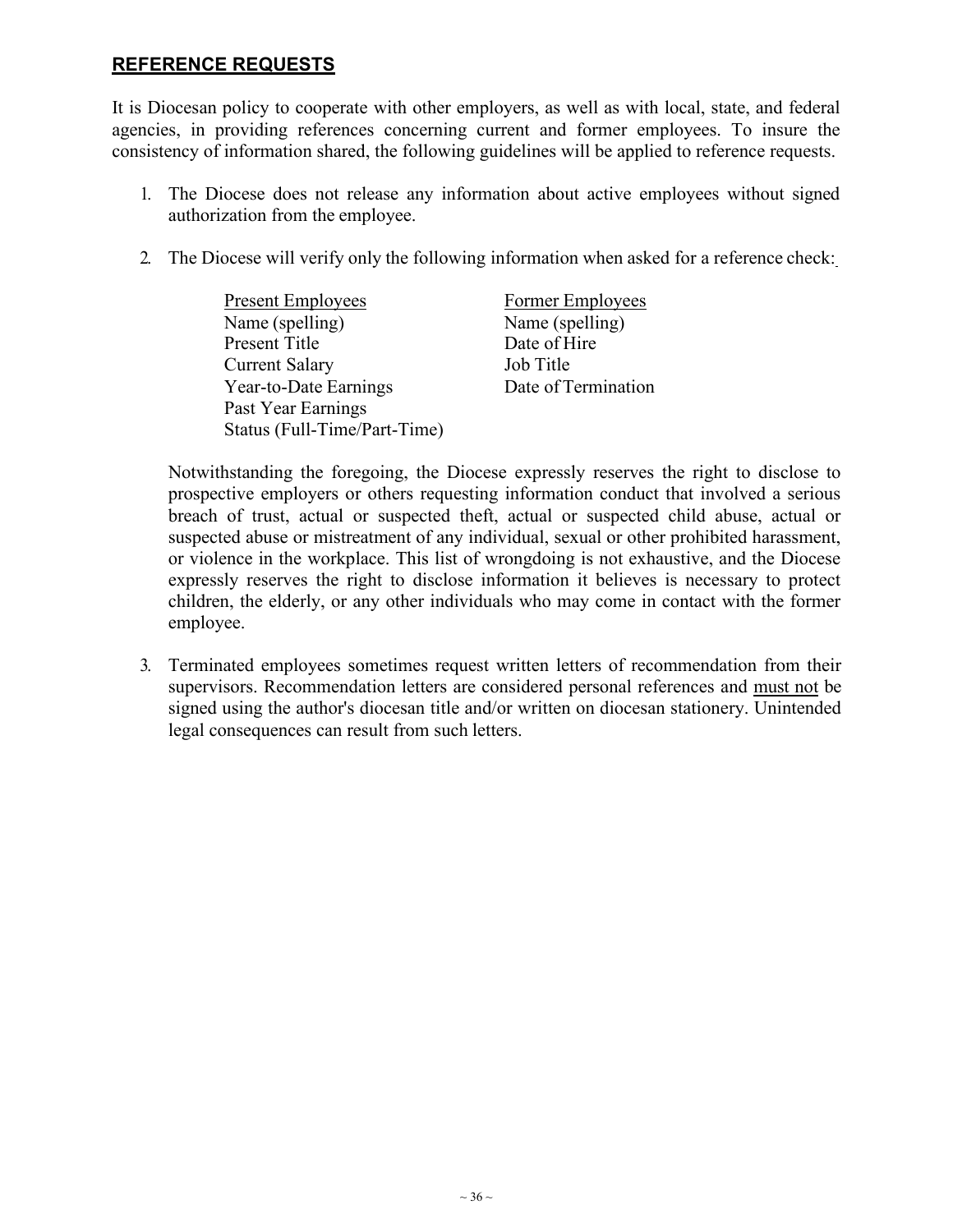### <span id="page-35-0"></span>**REFERENCE REQUESTS**

It is Diocesan policy to cooperate with other employers, as well as with local, state, and federal agencies, in providing references concerning current and former employees. To insure the consistency of information shared, the following guidelines will be applied to reference requests.

- 1. The Diocese does not release any information about active employees without signed authorization from the employee.
- 2. The Diocese will verify only the following information when asked for a reference check:

| <b>Present Employees</b>     | <b>Former Employees</b> |
|------------------------------|-------------------------|
| Name (spelling)              | Name (spelling)         |
| Present Title                | Date of Hire            |
| <b>Current Salary</b>        | Job Title               |
| Year-to-Date Earnings        | Date of Termination     |
| Past Year Earnings           |                         |
| Status (Full-Time/Part-Time) |                         |

Notwithstanding the foregoing, the Diocese expressly reserves the right to disclose to prospective employers or others requesting information conduct that involved a serious breach of trust, actual or suspected theft, actual or suspected child abuse, actual or suspected abuse or mistreatment of any individual, sexual or other prohibited harassment, or violence in the workplace. This list of wrongdoing is not exhaustive, and the Diocese expressly reserves the right to disclose information it believes is necessary to protect children, the elderly, or any other individuals who may come in contact with the former employee.

3. Terminated employees sometimes request written letters of recommendation from their supervisors. Recommendation letters are considered personal references and must not be signed using the author's diocesan title and/or written on diocesan stationery. Unintended legal consequences can result from such letters.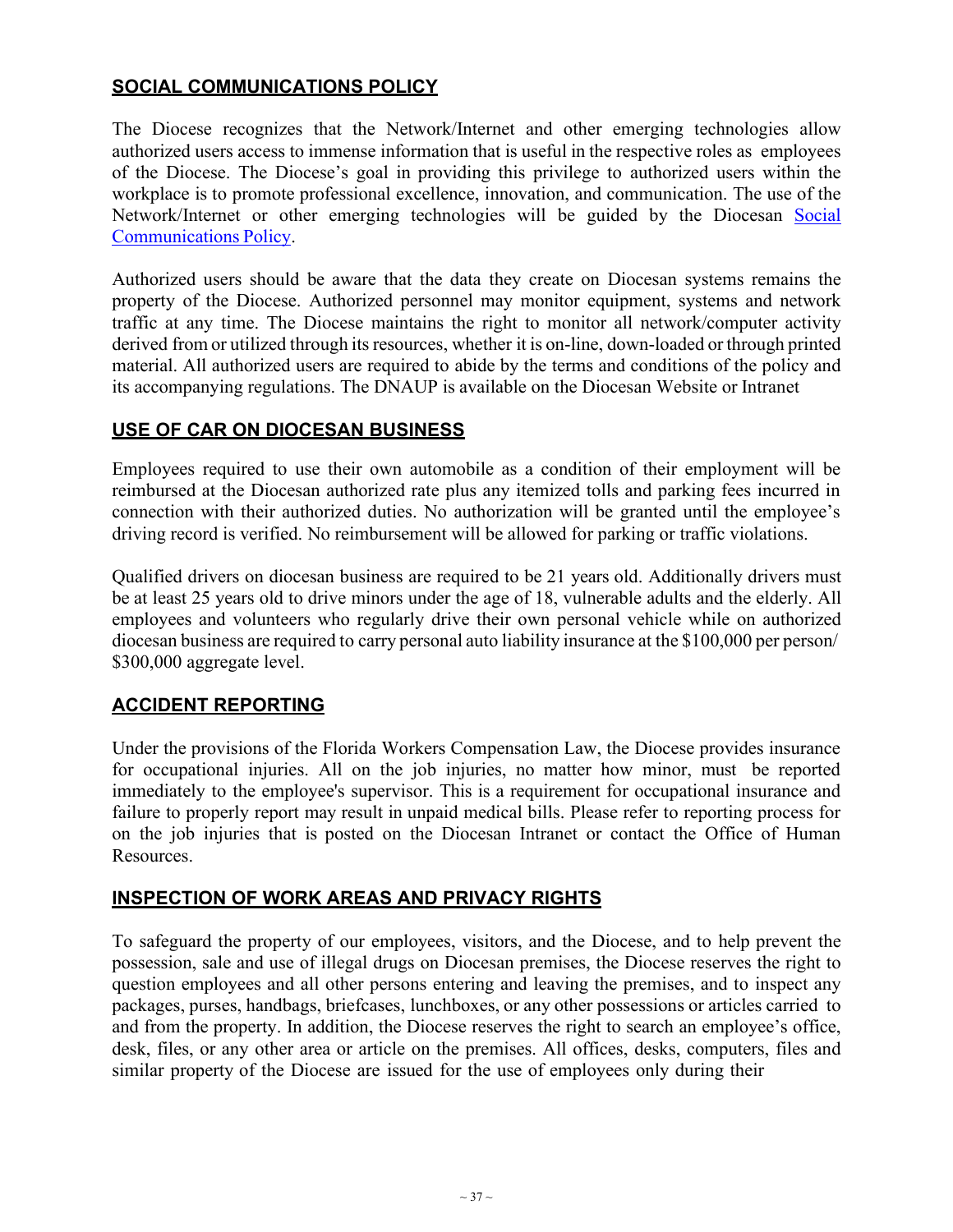## <span id="page-36-0"></span>**SOCIAL COMMUNICATIONS POLICY**

The Diocese recognizes that the Network/Internet and other emerging technologies allow authorized users access to immense information that is useful in the respective roles as employees of the Diocese. The Diocese's goal in providing this privilege to authorized users within the workplace is to promote professional excellence, innovation, and communication. The use of the Network/Internet or other emerging technologies will be guided by the Diocesan [Social](http://www.orlandodiocese.org/wp-content/uploads/2010/08/Social_Communications_DIOCESAN_POLICY_July_2015_English.pdf) [Communications Policy.](http://www.orlandodiocese.org/wp-content/uploads/2010/08/Social_Communications_DIOCESAN_POLICY_July_2015_English.pdf)

Authorized users should be aware that the data they create on Diocesan systems remains the property of the Diocese. Authorized personnel may monitor equipment, systems and network traffic at any time. The Diocese maintains the right to monitor all network/computer activity derived from or utilized through its resources, whether it is on-line, down-loaded or through printed material. All authorized users are required to abide by the terms and conditions of the policy and its accompanying regulations. The DNAUP is available on the Diocesan Website or Intranet

## <span id="page-36-1"></span>**USE OF CAR ON DIOCESAN BUSINESS**

Employees required to use their own automobile as a condition of their employment will be reimbursed at the Diocesan authorized rate plus any itemized tolls and parking fees incurred in connection with their authorized duties. No authorization will be granted until the employee's driving record is verified. No reimbursement will be allowed for parking or traffic violations.

Qualified drivers on diocesan business are required to be 21 years old. Additionally drivers must be at least 25 years old to drive minors under the age of 18, vulnerable adults and the elderly. All employees and volunteers who regularly drive their own personal vehicle while on authorized diocesan business are required to carry personal auto liability insurance at the \$100,000 per person/ \$300,000 aggregate level.

# <span id="page-36-2"></span>**ACCIDENT REPORTING**

Under the provisions of the Florida Workers Compensation Law, the Diocese provides insurance for occupational injuries. All on the job injuries, no matter how minor, must be reported immediately to the employee's supervisor. This is a requirement for occupational insurance and failure to properly report may result in unpaid medical bills. Please refer to reporting process for on the job injuries that is posted on the Diocesan Intranet or contact the Office of Human Resources.

## <span id="page-36-3"></span>**INSPECTION OF WORK AREAS AND PRIVACY RIGHTS**

To safeguard the property of our employees, visitors, and the Diocese, and to help prevent the possession, sale and use of illegal drugs on Diocesan premises, the Diocese reserves the right to question employees and all other persons entering and leaving the premises, and to inspect any packages, purses, handbags, briefcases, lunchboxes, or any other possessions or articles carried to and from the property. In addition, the Diocese reserves the right to search an employee's office, desk, files, or any other area or article on the premises. All offices, desks, computers, files and similar property of the Diocese are issued for the use of employees only during their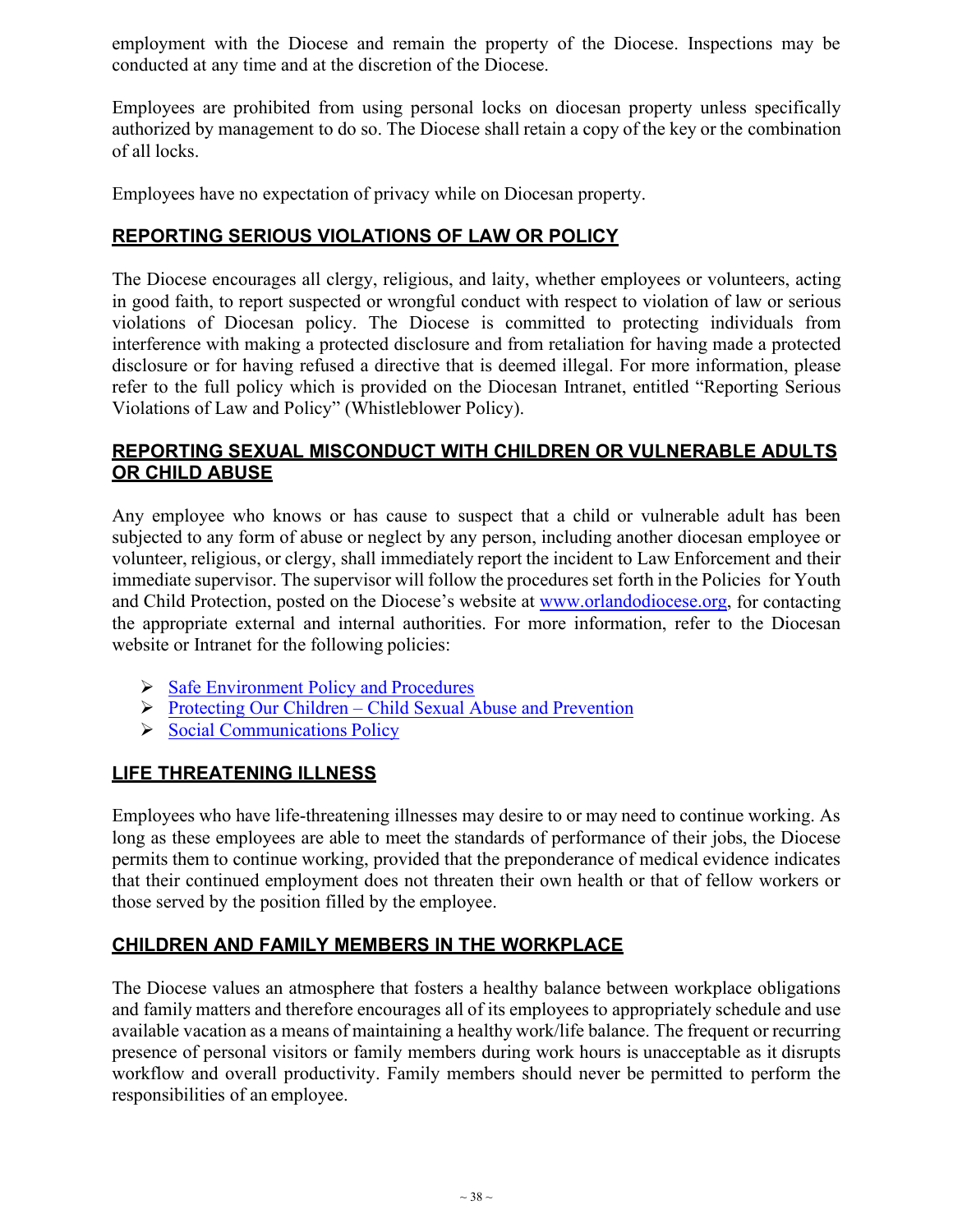employment with the Diocese and remain the property of the Diocese. Inspections may be conducted at any time and at the discretion of the Diocese.

Employees are prohibited from using personal locks on diocesan property unless specifically authorized by management to do so. The Diocese shall retain a copy of the key or the combination of all locks.

Employees have no expectation of privacy while on Diocesan property.

# <span id="page-37-0"></span>**REPORTING SERIOUS VIOLATIONS OF LAW OR POLICY**

The Diocese encourages all clergy, religious, and laity, whether employees or volunteers, acting in good faith, to report suspected or wrongful conduct with respect to violation of law or serious violations of Diocesan policy. The Diocese is committed to protecting individuals from interference with making a protected disclosure and from retaliation for having made a protected disclosure or for having refused a directive that is deemed illegal. For more information, please refer to the full policy which is provided on the Diocesan Intranet, entitled "Reporting Serious Violations of Law and Policy" (Whistleblower Policy).

## <span id="page-37-1"></span>**REPORTING SEXUAL MISCONDUCT WITH CHILDREN OR VULNERABLE ADULTS OR CHILD ABUSE**

Any employee who knows or has cause to suspect that a child or vulnerable adult has been subjected to any form of abuse or neglect by any person, including another diocesan employee or volunteer, religious, or clergy, shall immediately report the incident to Law Enforcement and their immediate supervisor. The supervisor will follow the procedures set forth in the Policies for Youth and Child Protection, posted on the Diocese's website at [www.orlandodiocese.org, f](http://www.orlandodiocese.org/)or contacting the appropriate external and internal authorities. For more information, refer to the Diocesan website or Intranet for the following policies:

- $\triangleright$  [Safe Environment Policy and Procedures](http://www.orlandodiocese.org/wp-content/uploads/2016/05/SafeEnvironmentPolicy201604Eng.pdf)
- $\triangleright$  [Protecting Our Children Child Sexual Abuse and Prevention](http://www.orlandodiocese.org/wp-content/uploads/2016/05/ChildAbusePrevENG20150626.pdf)
- $\triangleright$  [Social Communications](http://www.orlandodiocese.org/wp-content/uploads/2010/08/Social_Communications_DIOCESAN_POLICY_July_2015_English.pdf) Policy

## <span id="page-37-2"></span>**LIFE THREATENING ILLNESS**

Employees who have life-threatening illnesses may desire to or may need to continue working. As long as these employees are able to meet the standards of performance of their jobs, the Diocese permits them to continue working, provided that the preponderance of medical evidence indicates that their continued employment does not threaten their own health or that of fellow workers or those served by the position filled by the employee.

# <span id="page-37-3"></span>**CHILDREN AND FAMILY MEMBERS IN THE WORKPLACE**

The Diocese values an atmosphere that fosters a healthy balance between workplace obligations and family matters and therefore encourages all of its employees to appropriately schedule and use available vacation as a means of maintaining a healthy work/life balance. The frequent or recurring presence of personal visitors or family members during work hours is unacceptable as it disrupts workflow and overall productivity. Family members should never be permitted to perform the responsibilities of an employee.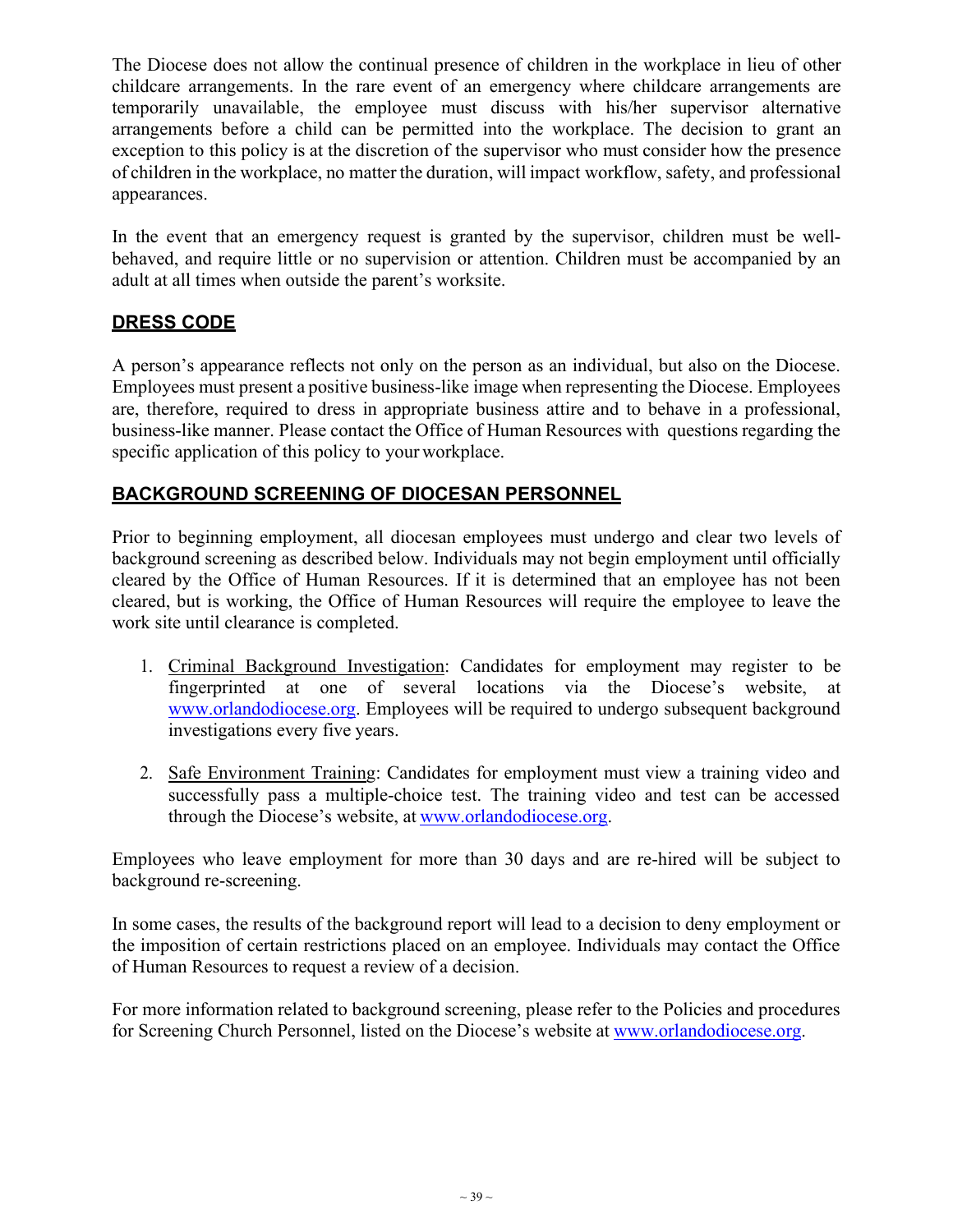The Diocese does not allow the continual presence of children in the workplace in lieu of other childcare arrangements. In the rare event of an emergency where childcare arrangements are temporarily unavailable, the employee must discuss with his/her supervisor alternative arrangements before a child can be permitted into the workplace. The decision to grant an exception to this policy is at the discretion of the supervisor who must consider how the presence of children in the workplace, no matter the duration, will impact workflow, safety, and professional appearances.

In the event that an emergency request is granted by the supervisor, children must be wellbehaved, and require little or no supervision or attention. Children must be accompanied by an adult at all times when outside the parent's worksite.

# <span id="page-38-0"></span>**DRESS CODE**

A person's appearance reflects not only on the person as an individual, but also on the Diocese. Employees must present a positive business-like image when representing the Diocese. Employees are, therefore, required to dress in appropriate business attire and to behave in a professional, business-like manner. Please contact the Office of Human Resources with questions regarding the specific application of this policy to your workplace.

# <span id="page-38-1"></span>**BACKGROUND SCREENING OF DIOCESAN PERSONNEL**

Prior to beginning employment, all diocesan employees must undergo and clear two levels of background screening as described below. Individuals may not begin employment until officially cleared by the Office of Human Resources. If it is determined that an employee has not been cleared, but is working, the Office of Human Resources will require the employee to leave the work site until clearance is completed.

- 1. Criminal Background Investigation: Candidates for employment may register to be fingerprinted at one of several locations via the Diocese's website, at [www.orlandodiocese.org. E](http://www.orlandodiocese.org/)mployees will be required to undergo subsequent background investigations every five years.
- 2. Safe Environment Training: Candidates for employment must view a training video and successfully pass a multiple-choice test. The training video and test can be accessed through the Diocese's website, at [www.orlandodiocese.org.](http://www.orlandodiocese.org/)

Employees who leave employment for more than 30 days and are re-hired will be subject to background re-screening.

In some cases, the results of the background report will lead to a decision to deny employment or the imposition of certain restrictions placed on an employee. Individuals may contact the Office of Human Resources to request a review of a decision.

For more information related to background screening, please refer to the Policies and procedures for Screening Church Personnel, listed on the Diocese's website at [www.orlandodiocese.org.](http://www.orlandodiocese.org/)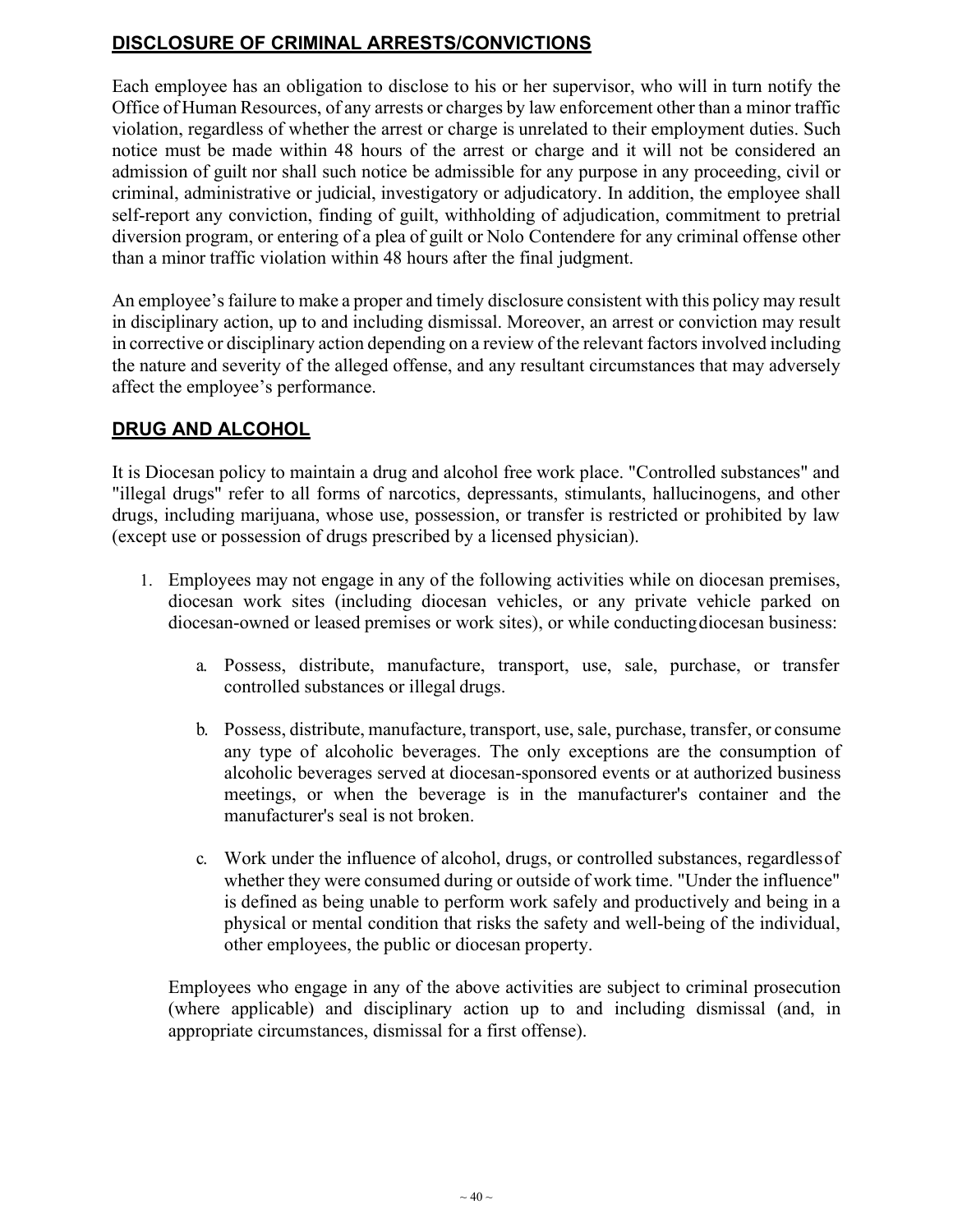# <span id="page-39-0"></span>**DISCLOSURE OF CRIMINAL ARRESTS/CONVICTIONS**

Each employee has an obligation to disclose to his or her supervisor, who will in turn notify the Office of Human Resources, of any arrests or charges by law enforcement other than a minor traffic violation, regardless of whether the arrest or charge is unrelated to their employment duties. Such notice must be made within 48 hours of the arrest or charge and it will not be considered an admission of guilt nor shall such notice be admissible for any purpose in any proceeding, civil or criminal, administrative or judicial, investigatory or adjudicatory. In addition, the employee shall self-report any conviction, finding of guilt, withholding of adjudication, commitment to pretrial diversion program, or entering of a plea of guilt or Nolo Contendere for any criminal offense other than a minor traffic violation within 48 hours after the final judgment.

An employee's failure to make a proper and timely disclosure consistent with this policy may result in disciplinary action, up to and including dismissal. Moreover, an arrest or conviction may result in corrective or disciplinary action depending on a review of the relevant factors involved including the nature and severity of the alleged offense, and any resultant circumstances that may adversely affect the employee's performance.

# <span id="page-39-1"></span>**DRUG AND ALCOHOL**

It is Diocesan policy to maintain a drug and alcohol free work place. "Controlled substances" and "illegal drugs" refer to all forms of narcotics, depressants, stimulants, hallucinogens, and other drugs, including marijuana, whose use, possession, or transfer is restricted or prohibited by law (except use or possession of drugs prescribed by a licensed physician).

- 1. Employees may not engage in any of the following activities while on diocesan premises, diocesan work sites (including diocesan vehicles, or any private vehicle parked on diocesan-owned or leased premises or work sites), or while conducting diocesan business:
	- a. Possess, distribute, manufacture, transport, use, sale, purchase, or transfer controlled substances or illegal drugs.
	- b. Possess, distribute, manufacture, transport, use,sale, purchase, transfer, or consume any type of alcoholic beverages. The only exceptions are the consumption of alcoholic beverages served at diocesan-sponsored events or at authorized business meetings, or when the beverage is in the manufacturer's container and the manufacturer's seal is not broken.
	- c. Work under the influence of alcohol, drugs, or controlled substances, regardless of whether they were consumed during or outside of work time. "Under the influence" is defined as being unable to perform work safely and productively and being in a physical or mental condition that risks the safety and well-being of the individual, other employees, the public or diocesan property.

Employees who engage in any of the above activities are subject to criminal prosecution (where applicable) and disciplinary action up to and including dismissal (and, in appropriate circumstances, dismissal for a first offense).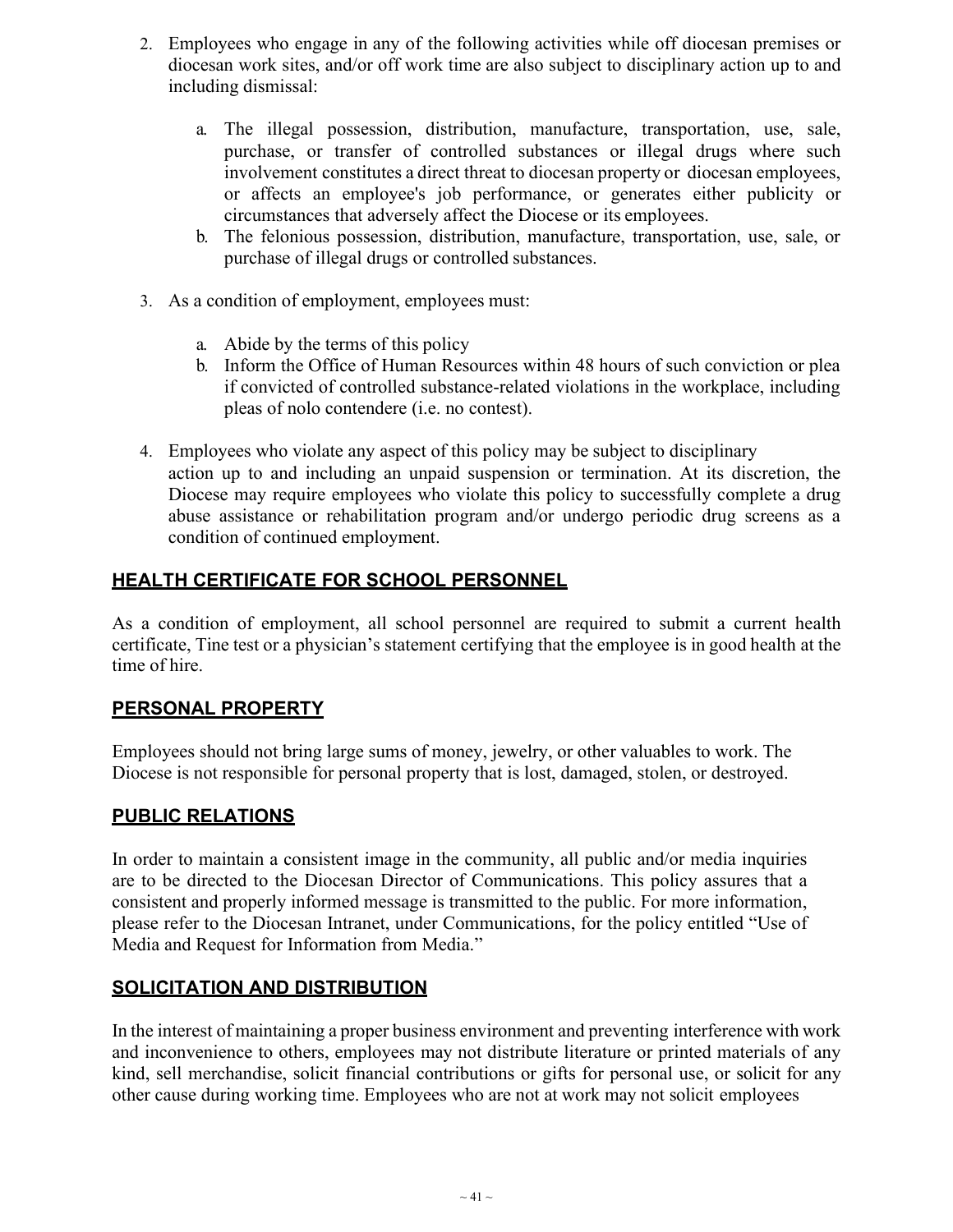- 2. Employees who engage in any of the following activities while off diocesan premises or diocesan work sites, and/or off work time are also subject to disciplinary action up to and including dismissal:
	- a. The illegal possession, distribution, manufacture, transportation, use, sale, purchase, or transfer of controlled substances or illegal drugs where such involvement constitutes a direct threat to diocesan property or diocesan employees, or affects an employee's job performance, or generates either publicity or circumstances that adversely affect the Diocese or its employees.
	- b. The felonious possession, distribution, manufacture, transportation, use, sale, or purchase of illegal drugs or controlled substances.
- 3. As a condition of employment, employees must:
	- a. Abide by the terms of this policy
	- b. Inform the Office of Human Resources within 48 hours of such conviction or plea if convicted of controlled substance-related violations in the workplace, including pleas of nolo contendere (i.e. no contest).
- 4. Employees who violate any aspect of this policy may be subject to disciplinary action up to and including an unpaid suspension or termination. At its discretion, the Diocese may require employees who violate this policy to successfully complete a drug abuse assistance or rehabilitation program and/or undergo periodic drug screens as a condition of continued employment.

# <span id="page-40-0"></span>**HEALTH CERTIFICATE FOR SCHOOL PERSONNEL**

As a condition of employment, all school personnel are required to submit a current health certificate, Tine test or a physician's statement certifying that the employee is in good health at the time of hire.

## <span id="page-40-1"></span>**PERSONAL PROPERTY**

Employees should not bring large sums of money, jewelry, or other valuables to work. The Diocese is not responsible for personal property that is lost, damaged, stolen, or destroyed.

## <span id="page-40-2"></span>**PUBLIC RELATIONS**

In order to maintain a consistent image in the community, all public and/or media inquiries are to be directed to the Diocesan Director of Communications. This policy assures that a consistent and properly informed message is transmitted to the public. For more information, please refer to the Diocesan Intranet, under Communications, for the policy entitled "Use of Media and Request for Information from Media."

## <span id="page-40-3"></span>**SOLICITATION AND DISTRIBUTION**

In the interest of maintaining a proper business environment and preventing interference with work and inconvenience to others, employees may not distribute literature or printed materials of any kind, sell merchandise, solicit financial contributions or gifts for personal use, or solicit for any other cause during working time. Employees who are not at work may not solicit employees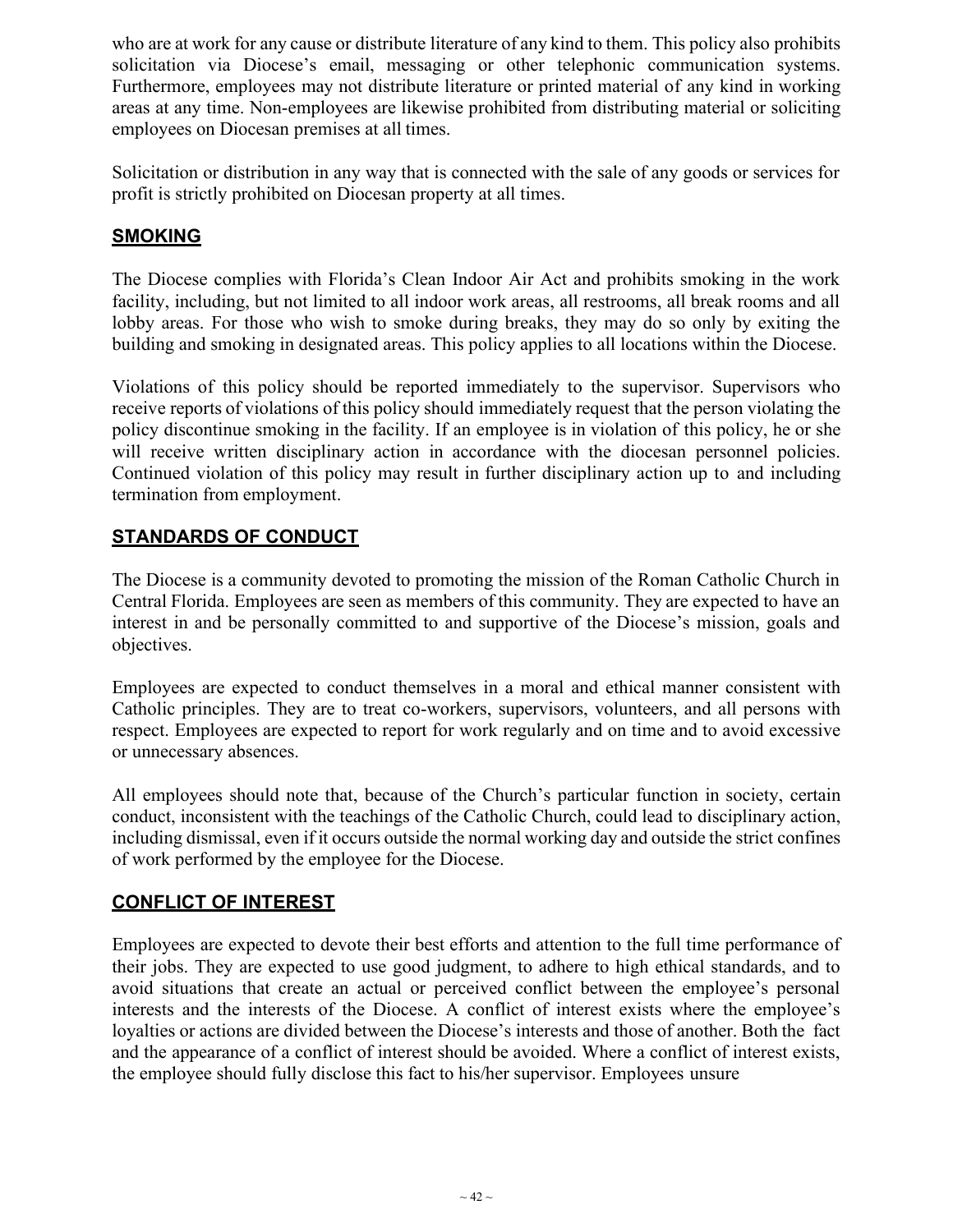who are at work for any cause or distribute literature of any kind to them. This policy also prohibits solicitation via Diocese's email, messaging or other telephonic communication systems. Furthermore, employees may not distribute literature or printed material of any kind in working areas at any time. Non-employees are likewise prohibited from distributing material or soliciting employees on Diocesan premises at all times.

Solicitation or distribution in any way that is connected with the sale of any goods or services for profit is strictly prohibited on Diocesan property at all times.

## <span id="page-41-0"></span>**SMOKING**

The Diocese complies with Florida's Clean Indoor Air Act and prohibits smoking in the work facility, including, but not limited to all indoor work areas, all restrooms, all break rooms and all lobby areas. For those who wish to smoke during breaks, they may do so only by exiting the building and smoking in designated areas. This policy applies to all locations within the Diocese.

Violations of this policy should be reported immediately to the supervisor. Supervisors who receive reports of violations of this policy should immediately request that the person violating the policy discontinue smoking in the facility. If an employee is in violation of this policy, he or she will receive written disciplinary action in accordance with the diocesan personnel policies. Continued violation of this policy may result in further disciplinary action up to and including termination from employment.

## <span id="page-41-1"></span>**STANDARDS OF CONDUCT**

The Diocese is a community devoted to promoting the mission of the Roman Catholic Church in Central Florida. Employees are seen as members of this community. They are expected to have an interest in and be personally committed to and supportive of the Diocese's mission, goals and objectives.

Employees are expected to conduct themselves in a moral and ethical manner consistent with Catholic principles. They are to treat co-workers, supervisors, volunteers, and all persons with respect. Employees are expected to report for work regularly and on time and to avoid excessive or unnecessary absences.

All employees should note that, because of the Church's particular function in society, certain conduct, inconsistent with the teachings of the Catholic Church, could lead to disciplinary action, including dismissal, even if it occurs outside the normal working day and outside the strict confines of work performed by the employee for the Diocese.

## <span id="page-41-2"></span>**CONFLICT OF INTEREST**

Employees are expected to devote their best efforts and attention to the full time performance of their jobs. They are expected to use good judgment, to adhere to high ethical standards, and to avoid situations that create an actual or perceived conflict between the employee's personal interests and the interests of the Diocese. A conflict of interest exists where the employee's loyalties or actions are divided between the Diocese's interests and those of another. Both the fact and the appearance of a conflict of interest should be avoided. Where a conflict of interest exists, the employee should fully disclose this fact to his/her supervisor. Employees unsure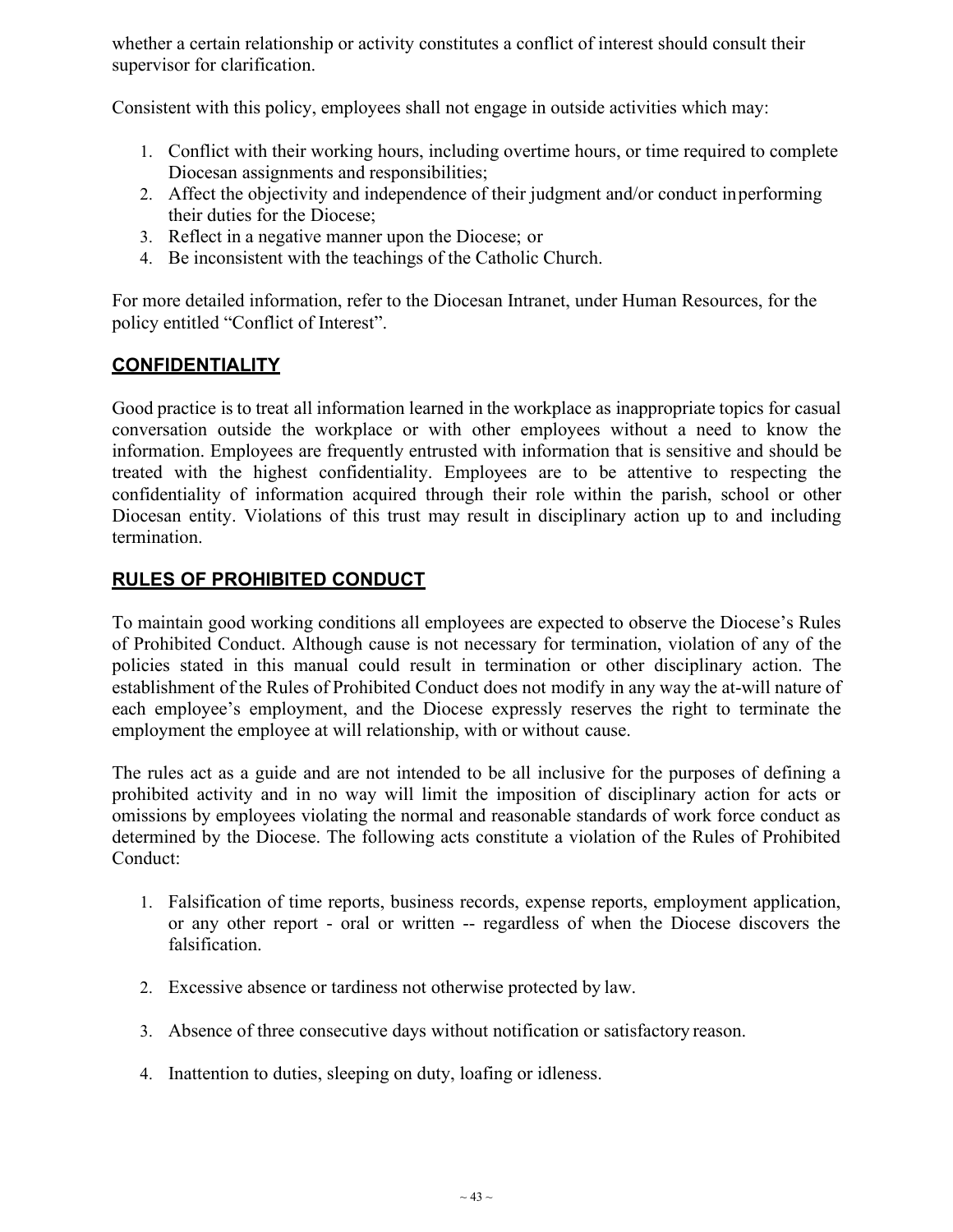whether a certain relationship or activity constitutes a conflict of interest should consult their supervisor for clarification.

Consistent with this policy, employees shall not engage in outside activities which may:

- 1. Conflict with their working hours, including overtime hours, or time required to complete Diocesan assignments and responsibilities;
- 2. Affect the objectivity and independence of their judgment and/or conduct in performing their duties for the Diocese;
- 3. Reflect in a negative manner upon the Diocese; or
- 4. Be inconsistent with the teachings of the Catholic Church.

For more detailed information, refer to the Diocesan Intranet, under Human Resources, for the policy entitled "Conflict of Interest".

# <span id="page-42-0"></span>**CONFIDENTIALITY**

Good practice is to treat all information learned in the workplace as inappropriate topics for casual conversation outside the workplace or with other employees without a need to know the information. Employees are frequently entrusted with information that is sensitive and should be treated with the highest confidentiality. Employees are to be attentive to respecting the confidentiality of information acquired through their role within the parish, school or other Diocesan entity. Violations of this trust may result in disciplinary action up to and including termination.

## <span id="page-42-1"></span>**RULES OF PROHIBITED CONDUCT**

To maintain good working conditions all employees are expected to observe the Diocese's Rules of Prohibited Conduct. Although cause is not necessary for termination, violation of any of the policies stated in this manual could result in termination or other disciplinary action. The establishment of the Rules of Prohibited Conduct does not modify in any way the at-will nature of each employee's employment, and the Diocese expressly reserves the right to terminate the employment the employee at will relationship, with or without cause.

The rules act as a guide and are not intended to be all inclusive for the purposes of defining a prohibited activity and in no way will limit the imposition of disciplinary action for acts or omissions by employees violating the normal and reasonable standards of work force conduct as determined by the Diocese. The following acts constitute a violation of the Rules of Prohibited Conduct:

- 1. Falsification of time reports, business records, expense reports, employment application, or any other report - oral or written -- regardless of when the Diocese discovers the falsification.
- 2. Excessive absence or tardiness not otherwise protected by law.
- 3. Absence of three consecutive days without notification or satisfactory reason.
- 4. Inattention to duties, sleeping on duty, loafing or idleness.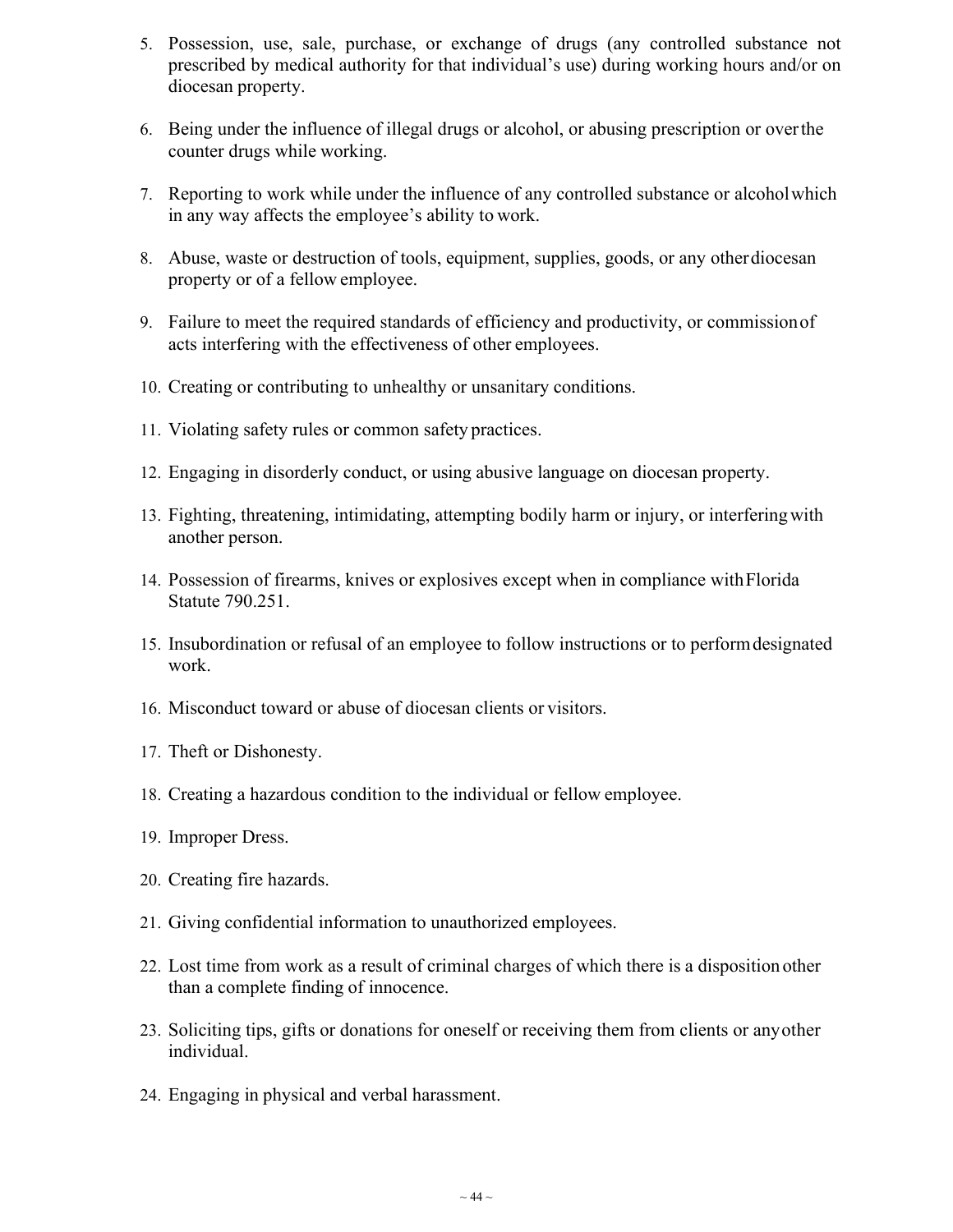- 5. Possession, use, sale, purchase, or exchange of drugs (any controlled substance not prescribed by medical authority for that individual's use) during working hours and/or on diocesan property.
- 6. Being under the influence of illegal drugs or alcohol, or abusing prescription or overthe counter drugs while working.
- 7. Reporting to work while under the influence of any controlled substance or alcoholwhich in any way affects the employee's ability to work.
- 8. Abuse, waste or destruction of tools, equipment, supplies, goods, or any otherdiocesan property or of a fellow employee.
- 9. Failure to meet the required standards of efficiency and productivity, or commissionof acts interfering with the effectiveness of other employees.
- 10. Creating or contributing to unhealthy or unsanitary conditions.
- 11. Violating safety rules or common safety practices.
- 12. Engaging in disorderly conduct, or using abusive language on diocesan property.
- 13. Fighting, threatening, intimidating, attempting bodily harm or injury, or interferingwith another person.
- 14. Possession of firearms, knives or explosives except when in compliance withFlorida Statute 790.251.
- 15. Insubordination or refusal of an employee to follow instructions or to performdesignated work.
- 16. Misconduct toward or abuse of diocesan clients or visitors.
- 17. Theft or Dishonesty.
- 18. Creating a hazardous condition to the individual or fellow employee.
- 19. Improper Dress.
- 20. Creating fire hazards.
- 21. Giving confidential information to unauthorized employees.
- 22. Lost time from work as a result of criminal charges of which there is a disposition other than a complete finding of innocence.
- 23. Soliciting tips, gifts or donations for oneself or receiving them from clients or anyother individual.
- 24. Engaging in physical and verbal harassment.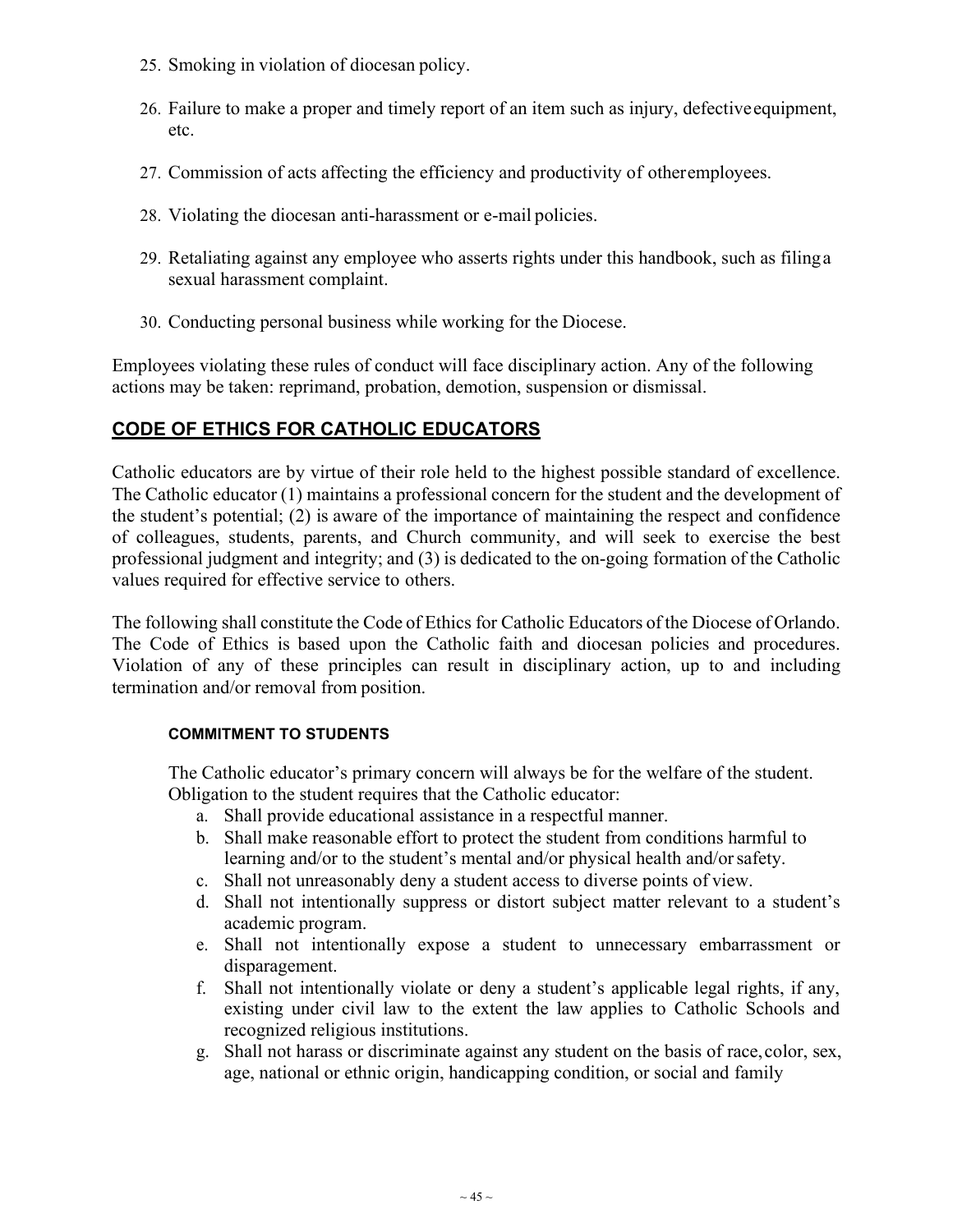- 25. Smoking in violation of diocesan policy.
- 26. Failure to make a proper and timely report of an item such as injury, defective equipment, etc.
- 27. Commission of acts affecting the efficiency and productivity of other employees.
- 28. Violating the diocesan anti-harassment or e-mail policies.
- 29. Retaliating against any employee who asserts rights under this handbook, such as filing a sexual harassment complaint.
- 30. Conducting personal business while working for the Diocese.

Employees violating these rules of conduct will face disciplinary action. Any of the following actions may be taken: reprimand, probation, demotion, suspension or dismissal.

# <span id="page-44-0"></span>**CODE OF ETHICS FOR CATHOLIC EDUCATORS**

Catholic educators are by virtue of their role held to the highest possible standard of excellence. The Catholic educator (1) maintains a professional concern for the student and the development of the student's potential; (2) is aware of the importance of maintaining the respect and confidence of colleagues, students, parents, and Church community, and will seek to exercise the best professional judgment and integrity; and (3) is dedicated to the on-going formation of the Catholic values required for effective service to others.

The following shall constitute the Code of Ethics for Catholic Educators of the Diocese of Orlando. The Code of Ethics is based upon the Catholic faith and diocesan policies and procedures. Violation of any of these principles can result in disciplinary action, up to and including termination and/or removal from position.

#### <span id="page-44-1"></span>**COMMITMENT TO STUDENTS**

The Catholic educator's primary concern will always be for the welfare of the student. Obligation to the student requires that the Catholic educator:

- a. Shall provide educational assistance in a respectful manner.
- b. Shall make reasonable effort to protect the student from conditions harmful to learning and/or to the student's mental and/or physical health and/or safety.
- c. Shall not unreasonably deny a student access to diverse points of view.
- d. Shall not intentionally suppress or distort subject matter relevant to a student's academic program.
- e. Shall not intentionally expose a student to unnecessary embarrassment or disparagement.
- f. Shall not intentionally violate or deny a student's applicable legal rights, if any, existing under civil law to the extent the law applies to Catholic Schools and recognized religious institutions.
- g. Shall not harass or discriminate against any student on the basis of race, color, sex, age, national or ethnic origin, handicapping condition, or social and family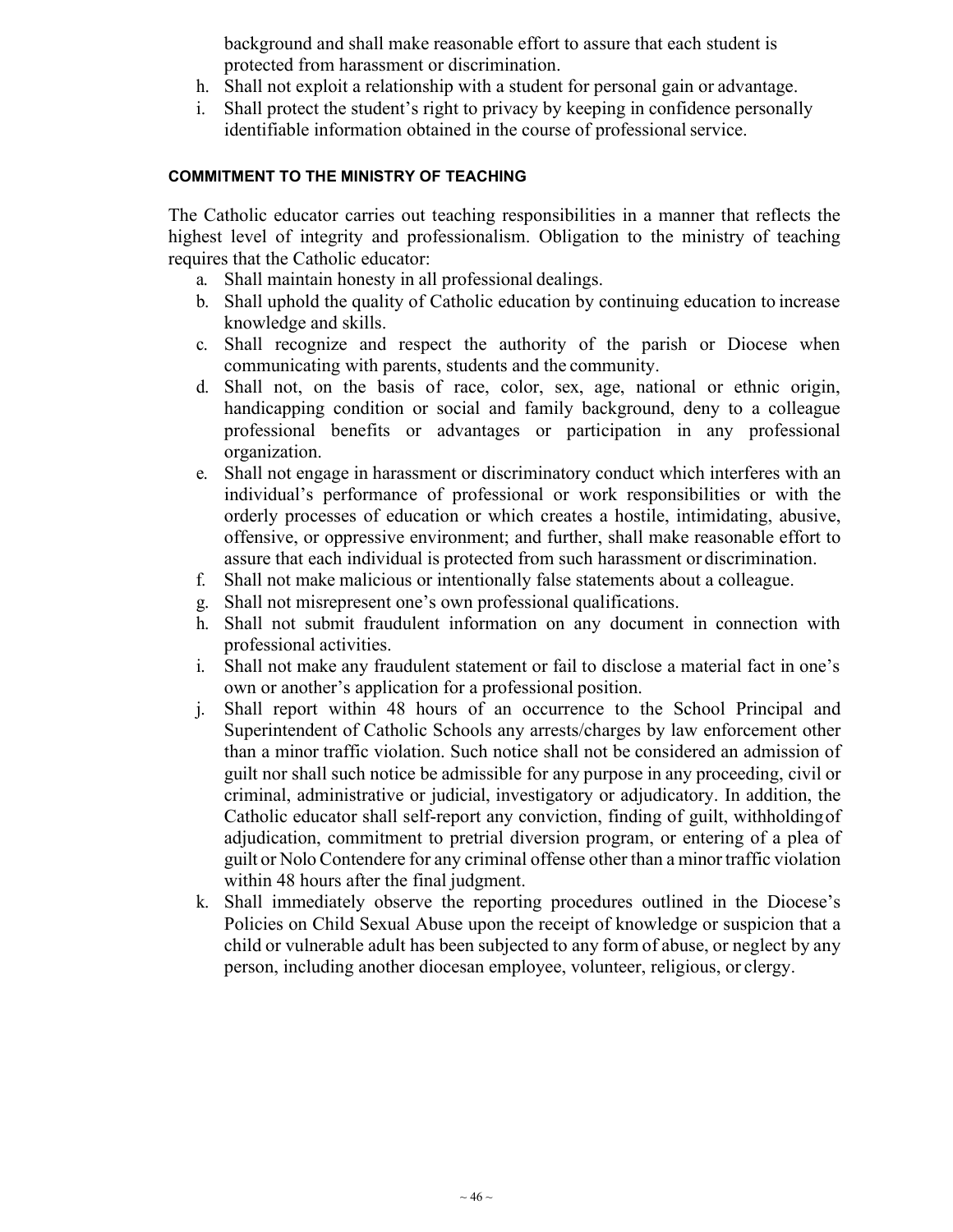background and shall make reasonable effort to assure that each student is protected from harassment or discrimination.

- h. Shall not exploit a relationship with a student for personal gain or advantage.
- i. Shall protect the student's right to privacy by keeping in confidence personally identifiable information obtained in the course of professional service.

#### <span id="page-45-0"></span>**COMMITMENT TO THE MINISTRY OF TEACHING**

The Catholic educator carries out teaching responsibilities in a manner that reflects the highest level of integrity and professionalism. Obligation to the ministry of teaching requires that the Catholic educator:

- a. Shall maintain honesty in all professional dealings.
- b. Shall uphold the quality of Catholic education by continuing education to increase knowledge and skills.
- c. Shall recognize and respect the authority of the parish or Diocese when communicating with parents, students and the community.
- d. Shall not, on the basis of race, color, sex, age, national or ethnic origin, handicapping condition or social and family background, deny to a colleague professional benefits or advantages or participation in any professional organization.
- e. Shall not engage in harassment or discriminatory conduct which interferes with an individual's performance of professional or work responsibilities or with the orderly processes of education or which creates a hostile, intimidating, abusive, offensive, or oppressive environment; and further, shall make reasonable effort to assure that each individual is protected from such harassment or discrimination.
- f. Shall not make malicious or intentionally false statements about a colleague.
- g. Shall not misrepresent one's own professional qualifications.
- h. Shall not submit fraudulent information on any document in connection with professional activities.
- i. Shall not make any fraudulent statement or fail to disclose a material fact in one's own or another's application for a professional position.
- j. Shall report within 48 hours of an occurrence to the School Principal and Superintendent of Catholic Schools any arrests/charges by law enforcement other than a minor traffic violation. Such notice shall not be considered an admission of guilt nor shall such notice be admissible for any purpose in any proceeding, civil or criminal, administrative or judicial, investigatory or adjudicatory. In addition, the Catholic educator shall self-report any conviction, finding of guilt, withholdingof adjudication, commitment to pretrial diversion program, or entering of a plea of guilt or Nolo Contendere for any criminal offense other than a minor traffic violation within 48 hours after the final judgment.
- k. Shall immediately observe the reporting procedures outlined in the Diocese's Policies on Child Sexual Abuse upon the receipt of knowledge or suspicion that a child or vulnerable adult has been subjected to any form of abuse, or neglect by any person, including another diocesan employee, volunteer, religious, or clergy.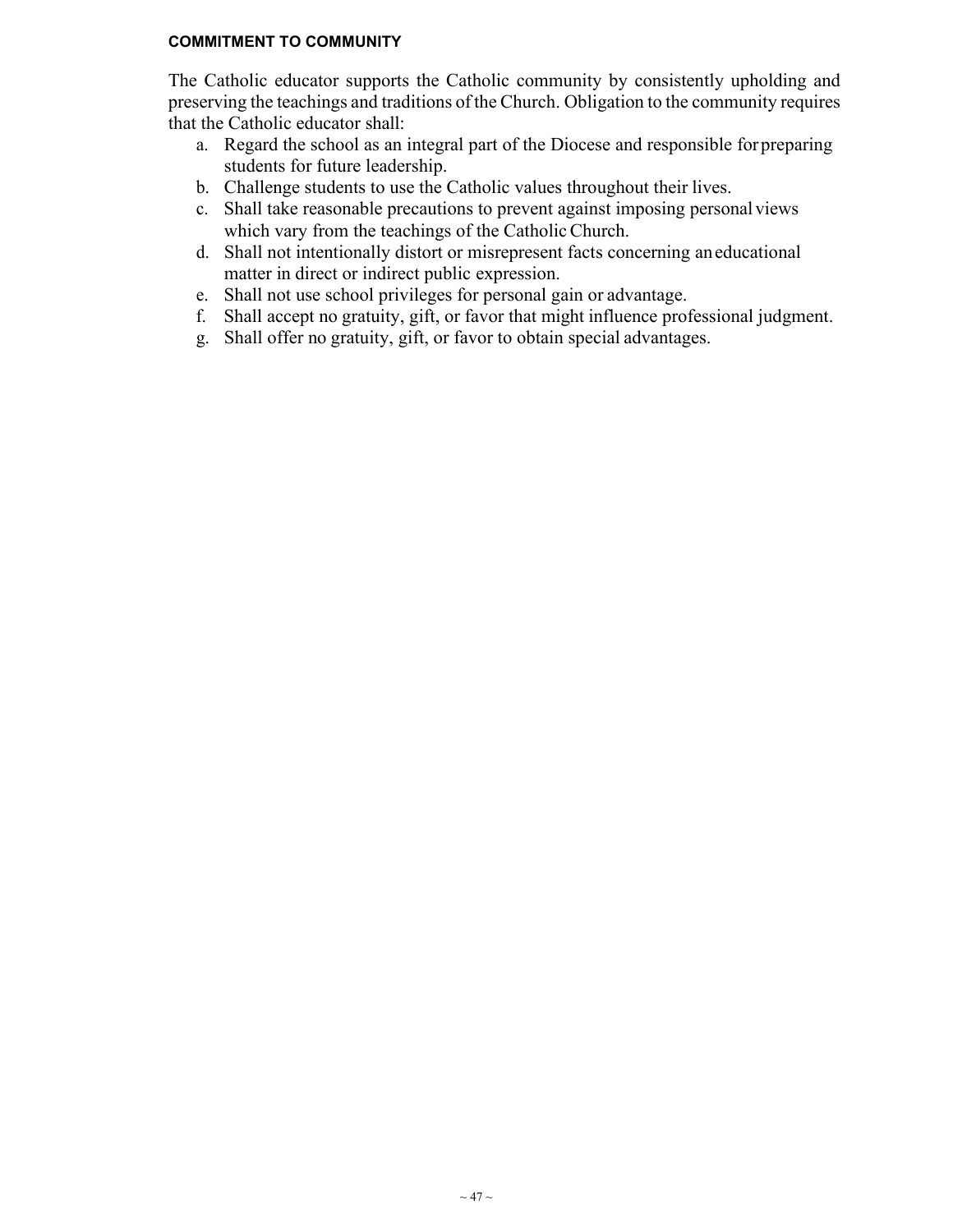#### <span id="page-46-0"></span>**COMMITMENT TO COMMUNITY**

The Catholic educator supports the Catholic community by consistently upholding and preserving the teachings and traditions ofthe Church. Obligation to the community requires that the Catholic educator shall:

- a. Regard the school as an integral part of the Diocese and responsible forpreparing students for future leadership.
- b. Challenge students to use the Catholic values throughout their lives.
- c. Shall take reasonable precautions to prevent against imposing personalviews which vary from the teachings of the CatholicChurch.
- d. Shall not intentionally distort or misrepresent facts concerning aneducational matter in direct or indirect public expression.
- e. Shall not use school privileges for personal gain or advantage.
- f. Shall accept no gratuity, gift, or favor that might influence professional judgment.
- g. Shall offer no gratuity, gift, or favor to obtain special advantages.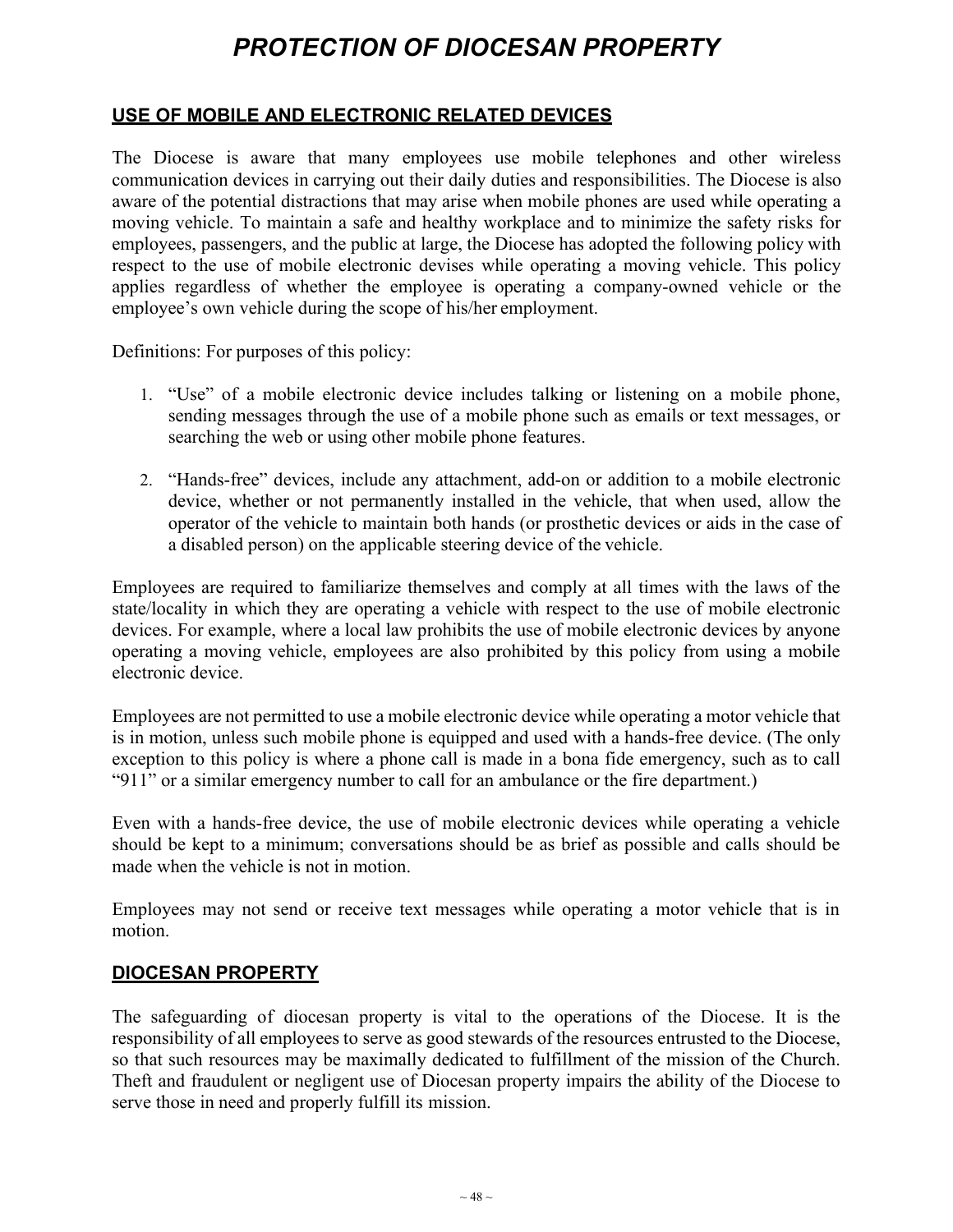# *PROTECTION OF DIOCESAN PROPERTY*

## <span id="page-47-1"></span><span id="page-47-0"></span>**USE OF MOBILE AND ELECTRONIC RELATED DEVICES**

The Diocese is aware that many employees use mobile telephones and other wireless communication devices in carrying out their daily duties and responsibilities. The Diocese is also aware of the potential distractions that may arise when mobile phones are used while operating a moving vehicle. To maintain a safe and healthy workplace and to minimize the safety risks for employees, passengers, and the public at large, the Diocese has adopted the following policy with respect to the use of mobile electronic devises while operating a moving vehicle. This policy applies regardless of whether the employee is operating a company-owned vehicle or the employee's own vehicle during the scope of his/her employment.

Definitions: For purposes of this policy:

- 1. "Use" of a mobile electronic device includes talking or listening on a mobile phone, sending messages through the use of a mobile phone such as emails or text messages, or searching the web or using other mobile phone features.
- 2. "Hands-free" devices, include any attachment, add-on or addition to a mobile electronic device, whether or not permanently installed in the vehicle, that when used, allow the operator of the vehicle to maintain both hands (or prosthetic devices or aids in the case of a disabled person) on the applicable steering device of the vehicle.

Employees are required to familiarize themselves and comply at all times with the laws of the state/locality in which they are operating a vehicle with respect to the use of mobile electronic devices. For example, where a local law prohibits the use of mobile electronic devices by anyone operating a moving vehicle, employees are also prohibited by this policy from using a mobile electronic device.

Employees are not permitted to use a mobile electronic device while operating a motor vehicle that is in motion, unless such mobile phone is equipped and used with a hands-free device. (The only exception to this policy is where a phone call is made in a bona fide emergency, such as to call "911" or a similar emergency number to call for an ambulance or the fire department.)

Even with a hands-free device, the use of mobile electronic devices while operating a vehicle should be kept to a minimum; conversations should be as brief as possible and calls should be made when the vehicle is not in motion.

Employees may not send or receive text messages while operating a motor vehicle that is in motion.

## <span id="page-47-2"></span>**DIOCESAN PROPERTY**

The safeguarding of diocesan property is vital to the operations of the Diocese. It is the responsibility of all employees to serve as good stewards of the resources entrusted to the Diocese, so that such resources may be maximally dedicated to fulfillment of the mission of the Church. Theft and fraudulent or negligent use of Diocesan property impairs the ability of the Diocese to serve those in need and properly fulfill its mission.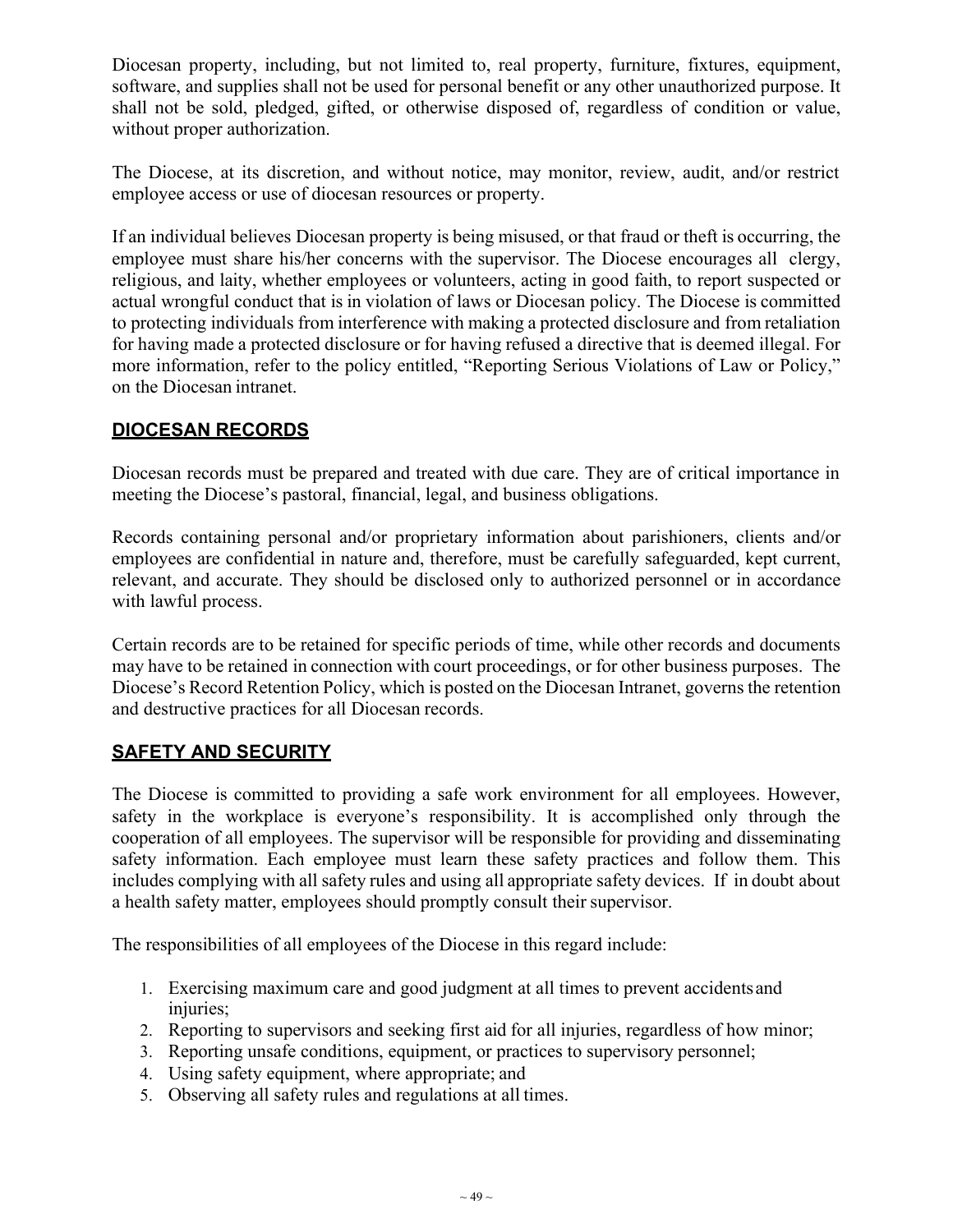Diocesan property, including, but not limited to, real property, furniture, fixtures, equipment, software, and supplies shall not be used for personal benefit or any other unauthorized purpose. It shall not be sold, pledged, gifted, or otherwise disposed of, regardless of condition or value, without proper authorization.

The Diocese, at its discretion, and without notice, may monitor, review, audit, and/or restrict employee access or use of diocesan resources or property.

If an individual believes Diocesan property is being misused, or that fraud or theft is occurring, the employee must share his/her concerns with the supervisor. The Diocese encourages all clergy, religious, and laity, whether employees or volunteers, acting in good faith, to report suspected or actual wrongful conduct that is in violation of laws or Diocesan policy. The Diocese is committed to protecting individuals from interference with making a protected disclosure and from retaliation for having made a protected disclosure or for having refused a directive that is deemed illegal. For more information, refer to the policy entitled, ["Reporting Serious Violations of Law or Policy,"](http://www.orlandodiocese.org/downloads/hr/violations.pdf) on the Diocesan intranet.

# <span id="page-48-0"></span>**DIOCESAN RECORDS**

Diocesan records must be prepared and treated with due care. They are of critical importance in meeting the Diocese's pastoral, financial, legal, and business obligations.

Records containing personal and/or proprietary information about parishioners, clients and/or employees are confidential in nature and, therefore, must be carefully safeguarded, kept current, relevant, and accurate. They should be disclosed only to authorized personnel or in accordance with lawful process.

Certain records are to be retained for specific periods of time, while other records and documents may have to be retained in connection with court proceedings, or for other business purposes. The Diocese's Record Retention Policy, which is posted on the Diocesan Intranet, governs the retention and destructive practices for all Diocesan records.

# <span id="page-48-1"></span>**SAFETY AND SECURITY**

The Diocese is committed to providing a safe work environment for all employees. However, safety in the workplace is everyone's responsibility. It is accomplished only through the cooperation of all employees. The supervisor will be responsible for providing and disseminating safety information. Each employee must learn these safety practices and follow them. This includes complying with all safety rules and using all appropriate safety devices. If in doubt about a health safety matter, employees should promptly consult their supervisor.

The responsibilities of all employees of the Diocese in this regard include:

- 1. Exercising maximum care and good judgment at all times to prevent accidents and injuries;
- 2. Reporting to supervisors and seeking first aid for all injuries, regardless of how minor;
- 3. Reporting unsafe conditions, equipment, or practices to supervisory personnel;
- 4. Using safety equipment, where appropriate; and
- 5. Observing all safety rules and regulations at all times.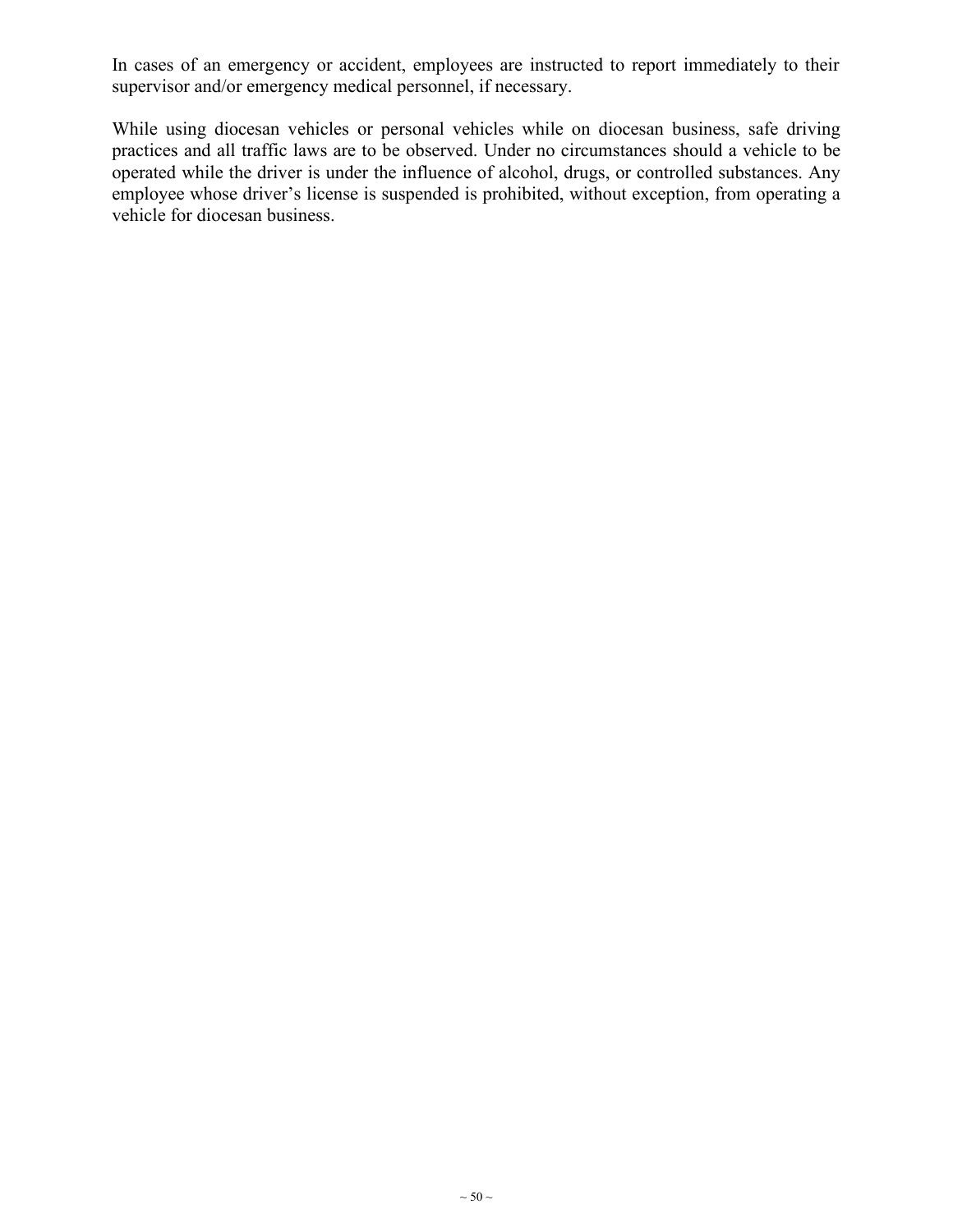In cases of an emergency or accident, employees are instructed to report immediately to their supervisor and/or emergency medical personnel, if necessary.

While using diocesan vehicles or personal vehicles while on diocesan business, safe driving practices and all traffic laws are to be observed. Under no circumstances should a vehicle to be operated while the driver is under the influence of alcohol, drugs, or controlled substances. Any employee whose driver's license is suspended is prohibited, without exception, from operating a vehicle for diocesan business.